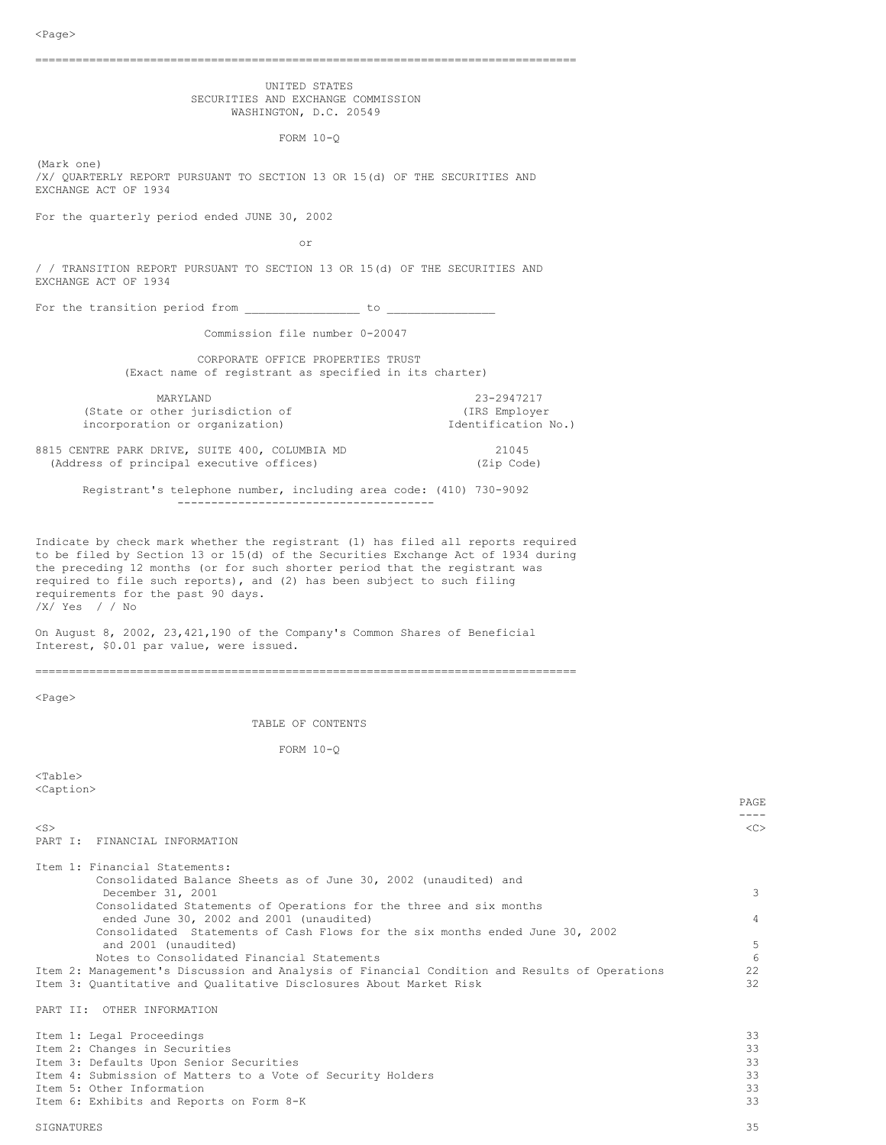|  | UNITED STATES |                                    |
|--|---------------|------------------------------------|
|  |               | SECURITIES AND EXCHANGE COMMISSION |
|  |               | WASHINGTON, D.C. 20549             |

FORM 10-Q

(Mark one) /X/ QUARTERLY REPORT PURSUANT TO SECTION 13 OR 15(d) OF THE SECURITIES AND EXCHANGE ACT OF 1934

For the quarterly period ended JUNE 30, 2002

or

/ / TRANSITION REPORT PURSUANT TO SECTION 13 OR 15(d) OF THE SECURITIES AND EXCHANGE ACT OF 1934

For the transition period from \_\_\_\_\_\_\_\_\_\_\_\_\_\_\_\_\_ to \_\_\_\_\_\_\_\_\_\_\_\_\_\_\_\_

Commission file number 0-20047

CORPORATE OFFICE PROPERTIES TRUST (Exact name of registrant as specified in its charter)

MARYLAND 23-2947217<br>
other jurisdiction of (IRS Employer (State or other jurisdiction of  $(IRS\ Employer\ incorporation or organization)$ incorporation or organization)

8815 CENTRE PARK DRIVE, SUITE 400, COLUMBIA MD 21045 (Address of principal executive offices) (Zip Code)

Registrant's telephone number, including area code: (410) 730-9092 --------------------------------------

Indicate by check mark whether the registrant (1) has filed all reports required to be filed by Section 13 or 15(d) of the Securities Exchange Act of 1934 during the preceding 12 months (or for such shorter period that the registrant was required to file such reports), and (2) has been subject to such filing requirements for the past 90 days. /X/ Yes / / No

On August 8, 2002, 23,421,190 of the Company's Common Shares of Beneficial

Interest, \$0.01 par value, were issued.

================================================================================

<Page>

TABLE OF CONTENTS

FORM 10-Q

<Table> <Caption>

| $<$ S $>$                                                                                     | < <sub></sub> |
|-----------------------------------------------------------------------------------------------|---------------|
| PART I: FINANCIAL INFORMATION                                                                 |               |
| Item 1: Financial Statements:                                                                 |               |
| Consolidated Balance Sheets as of June 30, 2002 (unaudited) and                               |               |
| December 31, 2001                                                                             | 3             |
| Consolidated Statements of Operations for the three and six months                            |               |
| ended June 30, 2002 and 2001 (unaudited)                                                      | 4             |
| Consolidated Statements of Cash Flows for the six months ended June 30, 2002                  |               |
| and 2001 (unaudited)                                                                          | 5             |
| Notes to Consolidated Financial Statements                                                    | 6             |
| Item 2: Management's Discussion and Analysis of Financial Condition and Results of Operations | 22            |
| Item 3: Quantitative and Qualitative Disclosures About Market Risk                            | 32            |
| PART II: OTHER INFORMATION                                                                    |               |
| Item 1: Legal Proceedings                                                                     | 33            |
| Item 2: Changes in Securities                                                                 | 33            |
| Item 3: Defaults Upon Senior Securities                                                       | 33            |
| Item 4: Submission of Matters to a Vote of Security Holders                                   | 33            |
| Item 5: Other Information                                                                     | 33            |

Item 6: Exhibits and Reports on Form 8-K 33

SIGNATURES 35

PAGE ----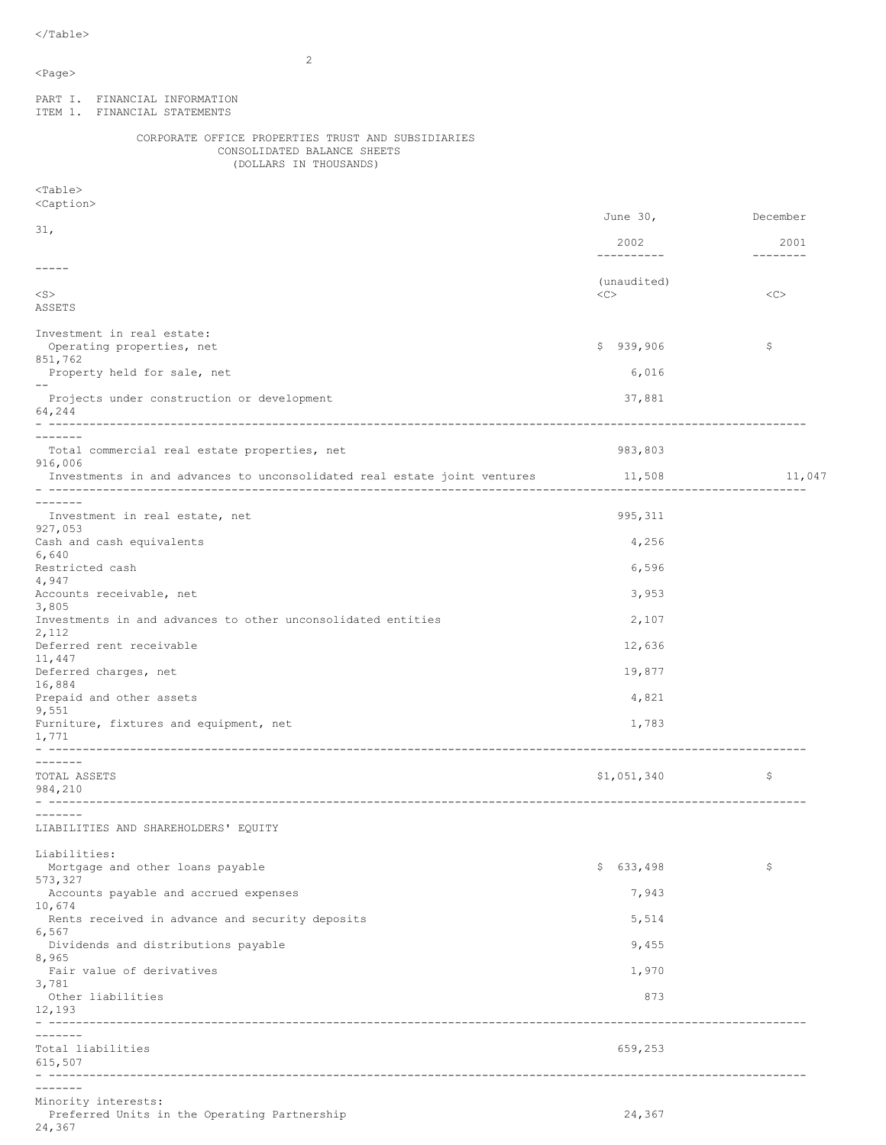$<$ Page $>$ 

PART I. FINANCIAL INFORMATION

 $\mathfrak{D}$ 

ITEM 1. FINANCIAL STATEMENTS CORPORATE OFFICE PROPERTIES TRUST AND SUBSIDIARIES CONSOLIDATED BALANCE SHEETS (DOLLARS IN THOUSANDS) <Table> <Caption> June 30, December 31, 2002 2001 ---------- -------- ----- (unaudited) <S> <C> <C> ASSETS Investment in real estate: Operating properties, net \$ 939,906 \$ 939,906 \$ 851,762 Property held for sale, net 6,016 -- Projects under construction or development 37,881 64,244 - ---------------------------------------------------------------------------------------------------------------- ------- Total commercial real estate properties, net 983,803 916,006 Investments in and advances to unconsolidated real estate joint ventures 11,508 11,508 11,047 - ---------------------------------------------------------------------------------------------------------------- ------- Investment in real estate, net extending the state of the 995,311 states of the 995,311 states of the 995,311 states of the 995,311 states of the 995,311 states of the 995,311 states of the 1995,311 states of the 1995 stat 927,053 Cash and cash equivalents 4,256 6,640 Restricted cash 6,596 4,947 Accounts receivable, net 3,953 3,805 Investments in and advances to other unconsolidated entities 2,107 2,112 Deferred rent receivable 12,636 11,447 Deferred charges, net 19,877 16,884 Prepaid and other assets 4,821 9,551 Furniture, fixtures and equipment, net 1,783 1,771 - ---------------------------------------------------------------------------------------------------------------- -------<br>TOTAL ASSETS TOTAL ASSETS  $$1,051,340$   $$51,051,340$ 984,210 - ---------------------------------------------------------------------------------------------------------------- ------- LIABILITIES AND SHAREHOLDERS' EQUITY Liabilities: Mortgage and other loans payable  $\zeta = \zeta$ 573,327 Accounts payable and accrued expenses 7,943 10,674 Rents received in advance and security deposits 5,514 6,567 Dividends and distributions payable 9,455 8,965 Fair value of derivatives 1,970 3,781 Other liabilities 873 12,193 - ---------------------------------------------------------------------------------------------------------------- ------- Total liabilities 659,253 615,507 - ---------------------------------------------------------------------------------------------------------------- ------- Minority interests:

Preferred Units in the Operating Partnership 24,367 24,367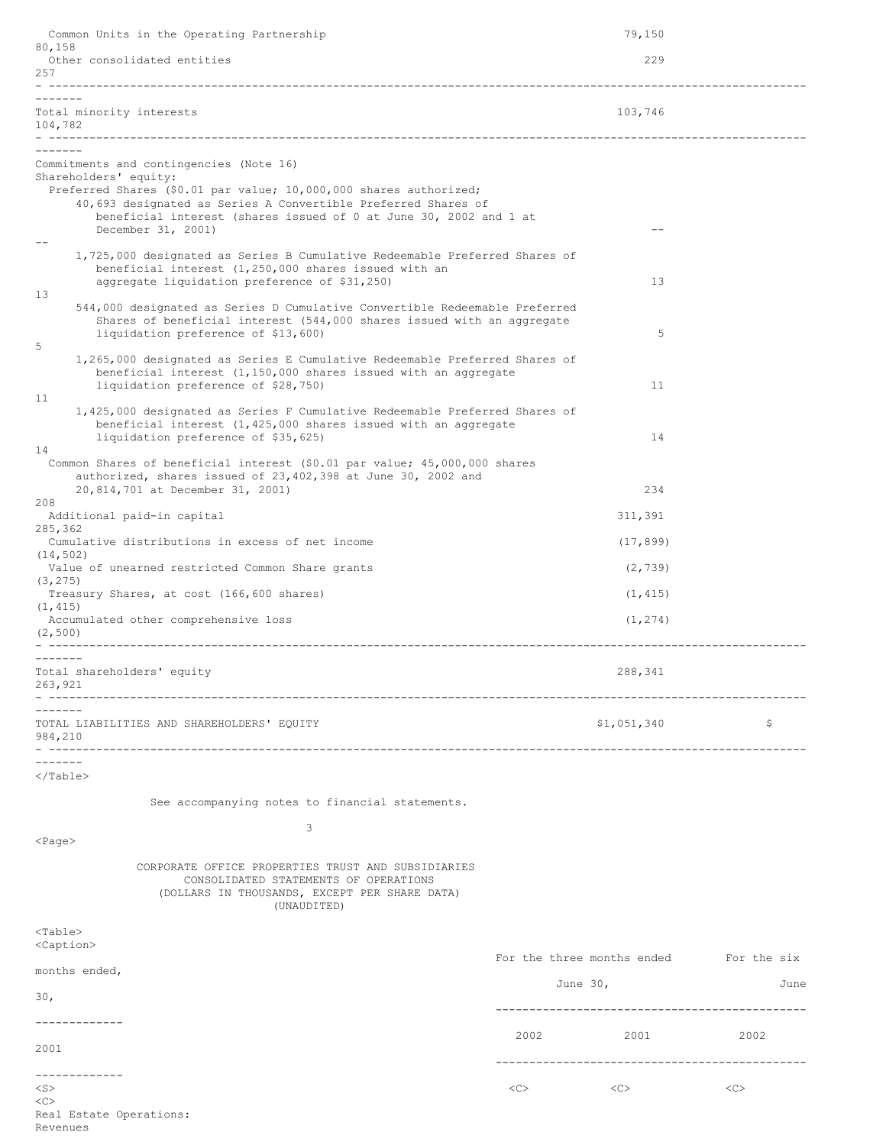| Common Units in the Operating Partnership                                                                                                                                                         |      | 79,150                                 |      |
|---------------------------------------------------------------------------------------------------------------------------------------------------------------------------------------------------|------|----------------------------------------|------|
| 80,158<br>Other consolidated entities<br>257                                                                                                                                                      |      | 229                                    |      |
|                                                                                                                                                                                                   |      |                                        |      |
| Total minority interests<br>104,782                                                                                                                                                               |      | 103,746                                |      |
|                                                                                                                                                                                                   |      |                                        |      |
| Commitments and contingencies (Note 16)<br>Shareholders' equity:<br>Preferred Shares (\$0.01 par value; 10,000,000 shares authorized;                                                             |      |                                        |      |
| 40,693 designated as Series A Convertible Preferred Shares of<br>beneficial interest (shares issued of 0 at June 30, 2002 and 1 at<br>December 31, 2001)                                          |      |                                        |      |
| 1,725,000 designated as Series B Cumulative Redeemable Preferred Shares of<br>beneficial interest (1,250,000 shares issued with an<br>aggregate liquidation preference of \$31,250)               |      | 13                                     |      |
| 13<br>544,000 designated as Series D Cumulative Convertible Redeemable Preferred<br>Shares of beneficial interest (544,000 shares issued with an aggregate<br>liquidation preference of \$13,600) |      | 5                                      |      |
| 5<br>1,265,000 designated as Series E Cumulative Redeemable Preferred Shares of<br>beneficial interest $(1,150,000$ shares issued with an aggregate<br>liquidation preference of \$28,750)        |      | 11                                     |      |
| 11<br>1,425,000 designated as Series F Cumulative Redeemable Preferred Shares of<br>beneficial interest $(1, 425, 000$ shares issued with an aggregate<br>liquidation preference of \$35,625)     |      | 14                                     |      |
| 14<br>Common Shares of beneficial interest (\$0.01 par value; 45,000,000 shares<br>authorized, shares issued of 23,402,398 at June 30, 2002 and                                                   |      |                                        |      |
| 20,814,701 at December 31, 2001)<br>208                                                                                                                                                           |      | 234                                    |      |
| Additional paid-in capital<br>285,362                                                                                                                                                             |      | 311,391                                |      |
| Cumulative distributions in excess of net income<br>(14, 502)                                                                                                                                     |      | (17, 899)                              |      |
| Value of unearned restricted Common Share grants                                                                                                                                                  |      | (2, 739)                               |      |
| (3, 275)<br>Treasury Shares, at cost (166,600 shares)                                                                                                                                             |      | (1, 415)                               |      |
| (1, 415)<br>Accumulated other comprehensive loss<br>(2, 500)                                                                                                                                      |      | (1, 274)                               |      |
|                                                                                                                                                                                                   |      |                                        |      |
| Total shareholders' equity<br>263,921                                                                                                                                                             |      | 288,341                                |      |
| TOTAL LIABILITIES AND SHAREHOLDERS' EQUITY<br>984,210<br>--------------------------------                                                                                                         |      | \$1,051,340                            | \$   |
| .<br>$\langle$ /Table>                                                                                                                                                                            |      |                                        |      |
| See accompanying notes to financial statements.                                                                                                                                                   |      |                                        |      |
| 3<br>$<$ Page $>$                                                                                                                                                                                 |      |                                        |      |
| CORPORATE OFFICE PROPERTIES TRUST AND SUBSIDIARIES<br>CONSOLIDATED STATEMENTS OF OPERATIONS<br>(DOLLARS IN THOUSANDS, EXCEPT PER SHARE DATA)<br>(UNAUDITED)                                       |      |                                        |      |
| <table><br/><caption></caption></table>                                                                                                                                                           |      |                                        |      |
| months ended,                                                                                                                                                                                     |      | For the three months ended For the six |      |
| 30 <sub>1</sub>                                                                                                                                                                                   |      | June $30l$                             | June |
| -------------                                                                                                                                                                                     |      | ------------------------------         |      |
| 2001                                                                                                                                                                                              | 2002 | 2001                                   | 2002 |
| -------------                                                                                                                                                                                     |      |                                        |      |
| $<$ S $>$<br><<                                                                                                                                                                                   | <<>  | <<>                                    | <<   |

Real Estate Operations:

Revenues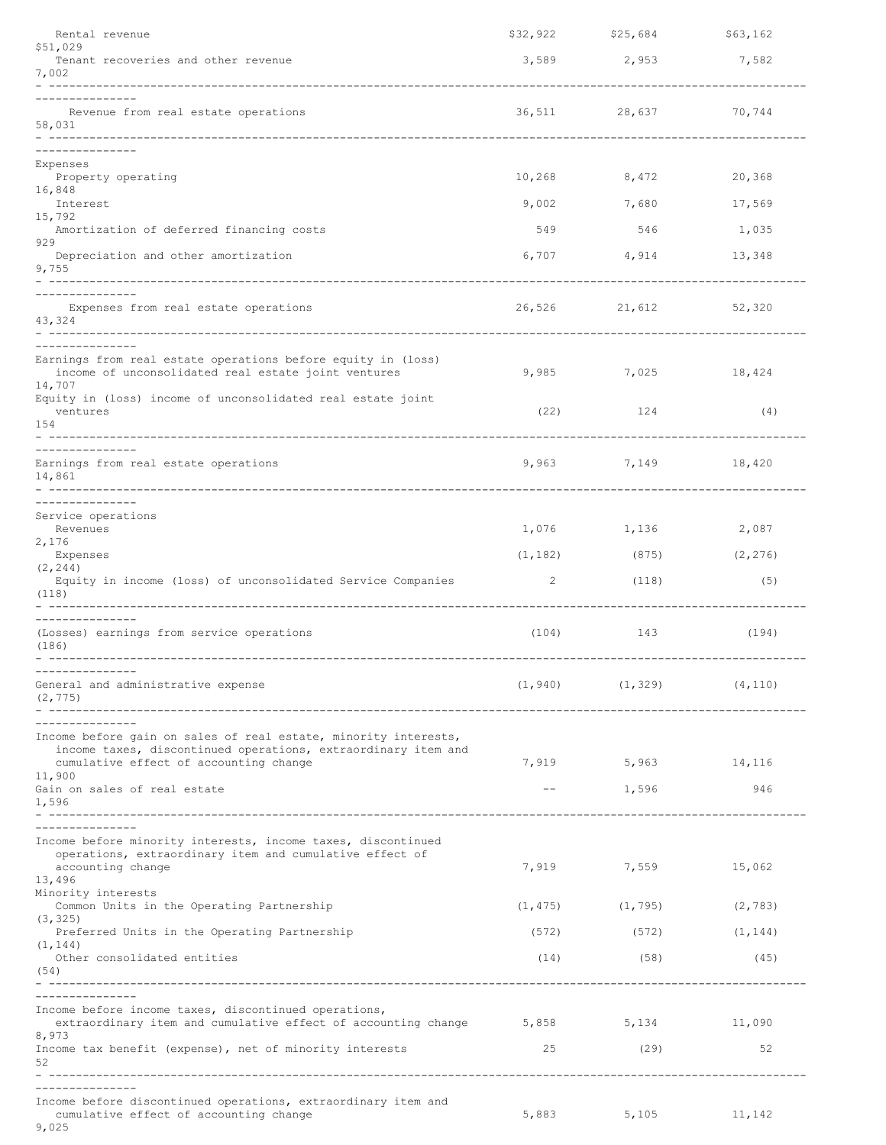| Rental revenue                                                                                                          | \$32,922 | \$25,684             | \$63,162 |
|-------------------------------------------------------------------------------------------------------------------------|----------|----------------------|----------|
| \$51,029<br>Tenant recoveries and other revenue                                                                         |          | 3,589 2,953 7,582    |          |
| 7,002                                                                                                                   |          |                      |          |
| Revenue from real estate operations                                                                                     |          | 36,511 28,637        | 70,744   |
| 58,031                                                                                                                  |          |                      |          |
|                                                                                                                         |          |                      |          |
| Expenses<br>Property operating                                                                                          | 10,268   | 8,472                | 20,368   |
| 16,848                                                                                                                  |          |                      |          |
| Interest<br>15,792                                                                                                      | 9,002    | 7,680                | 17,569   |
| Amortization of deferred financing costs<br>929                                                                         | 549      | 546                  | 1,035    |
| Depreciation and other amortization<br>9,755                                                                            |          | 6,707 4,914 13,348   |          |
|                                                                                                                         |          |                      |          |
| Expenses from real estate operations<br>43,324                                                                          |          | 26,526 21,612 52,320 |          |
|                                                                                                                         |          |                      |          |
| Earnings from real estate operations before equity in (loss)<br>income of unconsolidated real estate joint ventures     |          | 9,985 7,025 18,424   |          |
| 14,707<br>Equity in (loss) income of unconsolidated real estate joint                                                   |          |                      |          |
| ventures<br>154                                                                                                         | (22)     | 124                  | (4)      |
|                                                                                                                         |          |                      |          |
| -----------<br>Earnings from real estate operations                                                                     |          | 9,963 7,149 18,420   |          |
| 14,861                                                                                                                  |          |                      |          |
| -----------<br>Service operations                                                                                       |          |                      |          |
| Revenues                                                                                                                |          | 1,076 1,136          | 2,087    |
| 2,176<br>Expenses                                                                                                       | (1, 182) | (875)                | (2, 276) |
| (2, 244)<br>Equity in income (loss) of unconsolidated Service Companies                                                 | 2        | (118)                | (5)      |
| (118)                                                                                                                   |          |                      |          |
|                                                                                                                         |          |                      |          |
| (Losses) earnings from service operations<br>(186)                                                                      | (104)    | 143                  | (194)    |
| -------------                                                                                                           |          |                      |          |
| General and administrative expense<br>(2, 775)                                                                          | (1, 940) | (1, 329)             | (4, 110) |
|                                                                                                                         |          |                      |          |
| Income before gain on sales of real estate, minority interests,                                                         |          |                      |          |
| income taxes, discontinued operations, extraordinary item and<br>cumulative effect of accounting change                 |          | 7,919 5,963 14,116   |          |
| 11,900<br>Gain on sales of real estate                                                                                  | $--$     | 1,596                | 946      |
| 1,596                                                                                                                   |          |                      |          |
|                                                                                                                         |          |                      |          |
| Income before minority interests, income taxes, discontinued<br>operations, extraordinary item and cumulative effect of |          |                      |          |
| accounting change                                                                                                       | 7,919    | 7,559                | 15,062   |
| 13,496<br>Minority interests                                                                                            |          |                      |          |
| Common Units in the Operating Partnership<br>(3, 325)                                                                   | (1, 475) | (1, 795)             | (2, 783) |
| Preferred Units in the Operating Partnership<br>(1, 144)                                                                | (572)    | (572)                | (1, 144) |
| Other consolidated entities                                                                                             | (14)     | (58)                 | (45)     |
| (54)                                                                                                                    |          |                      |          |
| Income before income taxes, discontinued operations,                                                                    |          |                      |          |
| extraordinary item and cumulative effect of accounting change 5,858 5,134 11,090<br>8,973                               |          |                      |          |
| Income tax benefit (expense), net of minority interests                                                                 | 25       | (29)                 | 52       |
| 52<br>--------------------------                                                                                        |          |                      |          |
| Income before discontinued operations, extraordinary item and                                                           |          |                      |          |
| cumulative effect of accounting change<br>9,025                                                                         | 5,883    | 5,105                | 11,142   |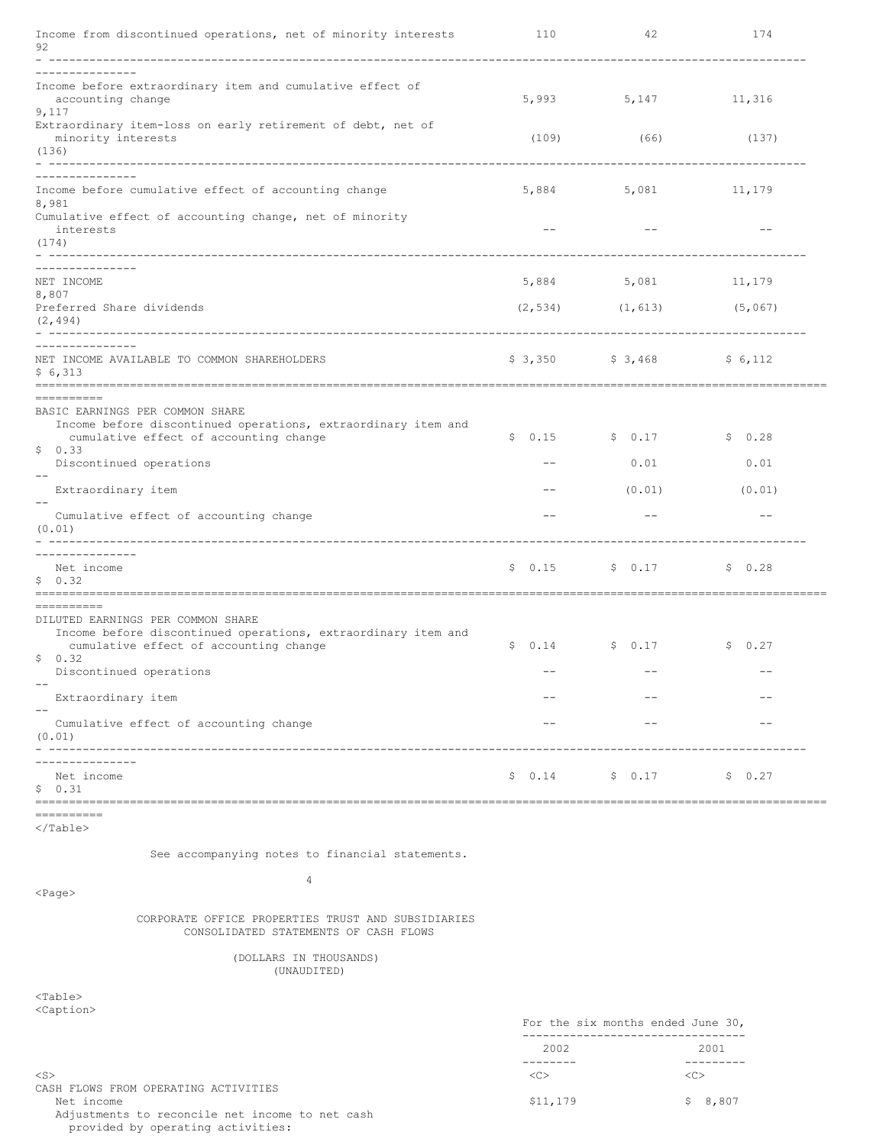| Income from discontinued operations, net of minority interests<br>92                                                                                       | 110    | 42                    | 174     |
|------------------------------------------------------------------------------------------------------------------------------------------------------------|--------|-----------------------|---------|
|                                                                                                                                                            |        |                       |         |
| Income before extraordinary item and cumulative effect of<br>accounting change<br>9,117                                                                    | 5,993  | 5,147                 | 11,316  |
| Extraordinary item-loss on early retirement of debt, net of<br>minority interests<br>(136)<br>- ------------                                               | (109)  | (66)                  | (137)   |
| Income before cumulative effect of accounting change<br>8,981                                                                                              | 5,884  | 5,081                 | 11,179  |
| Cumulative effect of accounting change, net of minority<br>interests<br>(174)                                                                              | $ -$   |                       | $ -$    |
| ---------------<br>NET INCOME                                                                                                                              | 5,884  | 5,081                 | 11,179  |
| 8,807<br>Preferred Share dividends<br>(2, 494)<br>- --------                                                                                               |        | $(2, 534)$ $(1, 613)$ | (5,067) |
| NET INCOME AVAILABLE TO COMMON SHAREHOLDERS<br>\$6,313                                                                                                     |        | $$3,350$ $$3,468$     | \$6,112 |
| ==========<br>BASIC EARNINGS PER COMMON SHARE                                                                                                              |        |                       |         |
| Income before discontinued operations, extraordinary item and<br>cumulative effect of accounting change<br>\$0.33                                          | \$0.15 | \$0.17                | \$0.28  |
| Discontinued operations                                                                                                                                    | $ -$   | 0.01                  | 0.01    |
| Extraordinary item                                                                                                                                         | $ -$   | (0.01)                | (0.01)  |
| Cumulative effect of accounting change<br>(0.01)                                                                                                           | $ -$   | $ -$                  | $-$     |
| -------------<br>Net income<br>\$0.32<br>-----------                                                                                                       | \$0.15 | \$ 0.17               | \$0.28  |
| __________<br>DILUTED EARNINGS PER COMMON SHARE<br>Income before discontinued operations, extraordinary item and<br>cumulative effect of accounting change | \$0.14 | \$0.17                | \$0.27  |
| \$0.32<br>Discontinued operations                                                                                                                          | $ -$   | $ -$                  | $ -$    |
| Extraordinary item                                                                                                                                         |        |                       |         |
| $-$<br>Cumulative effect of accounting change<br>(0.01)                                                                                                    |        |                       |         |
| Net income<br>\$0.31                                                                                                                                       | \$0.14 | \$0.17                | \$0.27  |
| ----------<br>                                                                                                                                             |        |                       |         |

  |  |  || See accompanying notes to financial statements. |  |  |  |
| $\overline{4}$  $<$ Page> |  |  |  |
| CORPORATE OFFICE PROPERTIES TRUST AND SUBSIDIARIESCONSOLIDATED STATEMENTS OF CASH FLOWS |  |  |  |
| (DOLLARS IN THOUSANDS)(UNAUDITED) |  |  |  |
| $<$ Table $>$ |  |  |  |
|  |  | For the six months ended June 30,--------------------------------- |  |
|  | 2002-------- |  | 2001---------- |
| $<$ S $>$ | << |  | << |
CASH FLOWS FROM OPERATING ACTIVITIES Adjustments to reconcile net income to net cash provided by operating activities:

 $$11,179$   $$8,807$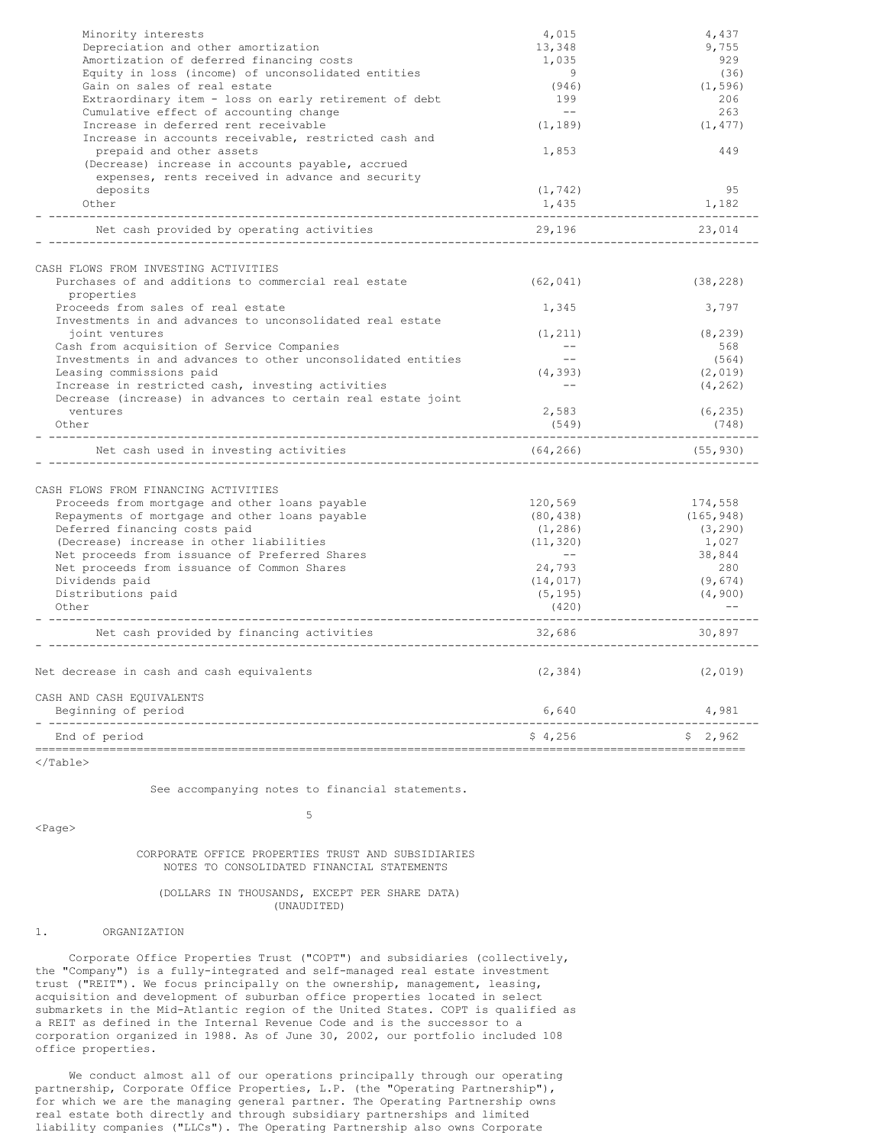| Minority interests                                           | 4,015             | 4,437      |
|--------------------------------------------------------------|-------------------|------------|
| Depreciation and other amortization                          | 13,348            | 9,755      |
| Amortization of deferred financing costs                     | 1,035             | 929        |
| Equity in loss (income) of unconsolidated entities           | 9                 | (36)       |
| Gain on sales of real estate                                 | (946)             | (1, 596)   |
| Extraordinary item - loss on early retirement of debt        | 199               | 206        |
| Cumulative effect of accounting change                       | $\qquad \qquad -$ | 263        |
| Increase in deferred rent receivable                         | (1, 189)          | (1, 477)   |
| Increase in accounts receivable, restricted cash and         |                   |            |
| prepaid and other assets                                     | 1,853             | 449        |
| (Decrease) increase in accounts payable, accrued             |                   |            |
| expenses, rents received in advance and security             |                   |            |
| deposits                                                     | (1, 742)          | 95         |
| Other                                                        | 1,435             | 1,182      |
| Net cash provided by operating activities                    | 29,196            | 23,014     |
| CASH FLOWS FROM INVESTING ACTIVITIES                         |                   |            |
| Purchases of and additions to commercial real estate         | (62, 041)         | (38, 228)  |
| properties                                                   |                   |            |
| Proceeds from sales of real estate                           | 1,345             | 3,797      |
| Investments in and advances to unconsolidated real estate    |                   |            |
| joint ventures                                               | (1, 211)          | (8, 239)   |
| Cash from acquisition of Service Companies                   | $- -$             | 568        |
| Investments in and advances to other unconsolidated entities | $- -$             | (564)      |
| Leasing commissions paid                                     | (4, 393)          | (2, 019)   |
| Increase in restricted cash, investing activities            | $- -$             | (4, 262)   |
| Decrease (increase) in advances to certain real estate joint |                   |            |
| ventures                                                     | 2,583             | (6, 235)   |
| Other                                                        | (549)             | (748)      |
| Net cash used in investing activities                        | (64, 266)         | (55, 930)  |
|                                                              |                   |            |
| CASH FLOWS FROM FINANCING ACTIVITIES                         |                   |            |
| Proceeds from mortgage and other loans payable               | 120,569           | 174,558    |
| Repayments of mortgage and other loans payable               | (80, 438)         | (165, 948) |
| Deferred financing costs paid                                | (1, 286)          | (3, 290)   |
| (Decrease) increase in other liabilities                     | (11, 320)         | 1,027      |
| Net proceeds from issuance of Preferred Shares               | $\sim$ $ -$       | 38,844     |
| Net proceeds from issuance of Common Shares                  | 24,793            | 280        |
| Dividends paid                                               | (14, 017)         | (9, 674)   |
| Distributions paid                                           | (5, 195)          | (4, 900)   |
| Other                                                        | (420)             |            |
| Net cash provided by financing activities                    | 32,686            | 30,897     |
| Net decrease in cash and cash equivalents                    | (2, 384)          | (2, 019)   |
| CASH AND CASH EQUIVALENTS                                    |                   |            |
| Beginning of period                                          | 6,640             | 4,981      |
| End of period                                                | \$4,256           | \$2,962    |

See accompanying notes to financial statements. 5

<Page>

# CORPORATE OFFICE PROPERTIES TRUST AND SUBSIDIARIES NOTES TO CONSOLIDATED FINANCIAL STATEMENTS

### (DOLLARS IN THOUSANDS, EXCEPT PER SHARE DATA) (UNAUDITED)

### 1. ORGANIZATION

Corporate Office Properties Trust ("COPT") and subsidiaries (collectively, the "Company") is a fully-integrated and self-managed real estate investment trust ("REIT"). We focus principally on the ownership, management, leasing, acquisition and development of suburban office properties located in select submarkets in the Mid-Atlantic region of the United States. COPT is qualified as a REIT as defined in the Internal Revenue Code and is the successor to a corporation organized in 1988. As of June 30, 2002, our portfolio included 108 office properties.

We conduct almost all of our operations principally through our operating partnership, Corporate Office Properties, L.P. (the "Operating Partnership"), for which we are the managing general partner. The Operating Partnership owns real estate both directly and through subsidiary partnerships and limited liability companies ("LLCs"). The Operating Partnership also owns Corporate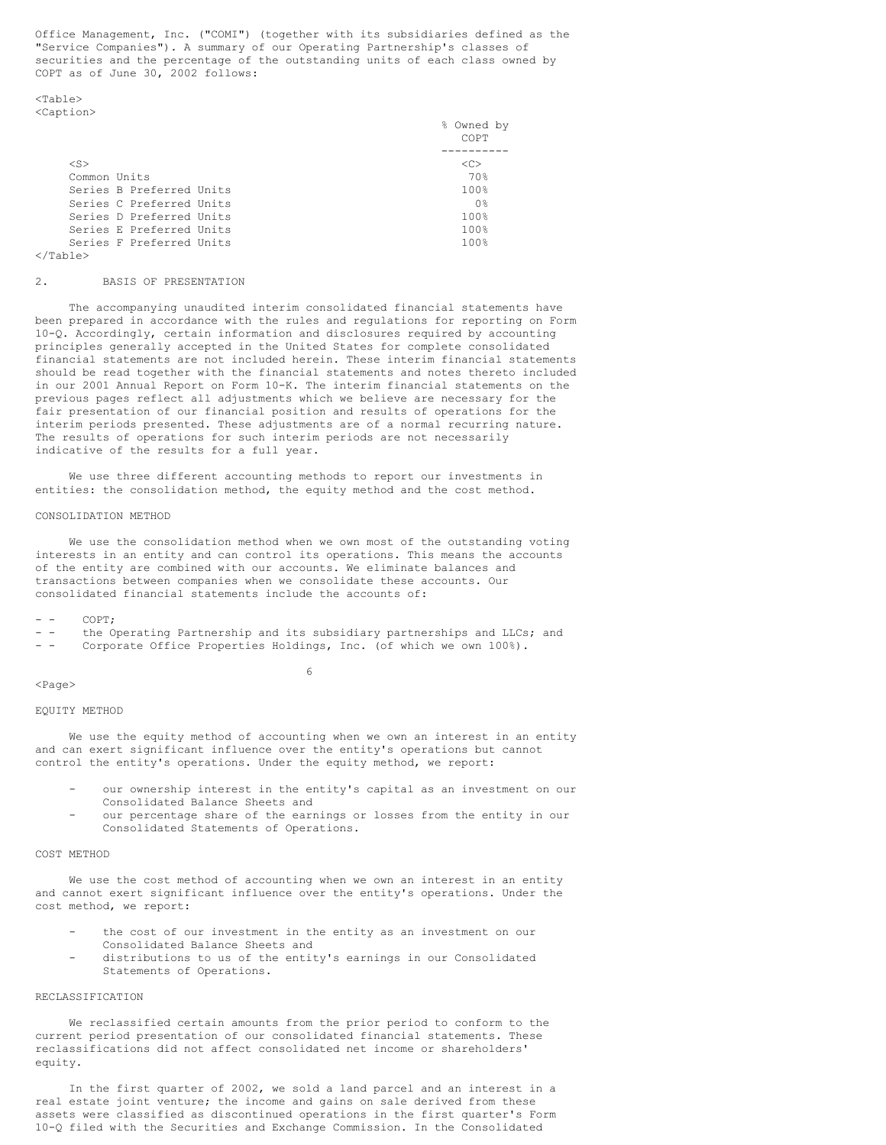Office Management, Inc. ("COMI") (together with its subsidiaries defined as the "Service Companies"). A summary of our Operating Partnership's classes of securities and the percentage of the outstanding units of each class owned by COPT as of June 30, 2002 follows:

<Table> <Caption>

|                          | % Owned by<br>COPT |
|--------------------------|--------------------|
| $<$ S>                   | < <sub></sub>      |
|                          |                    |
| Common Units             | 70%                |
| Series B Preferred Units | 100%               |
| Series C Preferred Units | 0 <sup>°</sup>     |
| Series D Preferred Units | 100%               |
| Series E Preferred Units | 100%               |
| Series F Preferred Units | 100 <sub>8</sub>   |
|                          |                    |

  |### 2. BASIS OF PRESENTATION

The accompanying unaudited interim consolidated financial statements have been prepared in accordance with the rules and regulations for reporting on Form 10-Q. Accordingly, certain information and disclosures required by accounting principles generally accepted in the United States for complete consolidated financial statements are not included herein. These interim financial statements should be read together with the financial statements and notes thereto included in our 2001 Annual Report on Form 10-K. The interim financial statements on the previous pages reflect all adjustments which we believe are necessary for the fair presentation of our financial position and results of operations for the interim periods presented. These adjustments are of a normal recurring nature. The results of operations for such interim periods are not necessarily indicative of the results for a full year.

We use three different accounting methods to report our investments in entities: the consolidation method, the equity method and the cost method.

### CONSOLIDATION METHOD

We use the consolidation method when we own most of the outstanding voting interests in an entity and can control its operations. This means the accounts of the entity are combined with our accounts. We eliminate balances and transactions between companies when we consolidate these accounts. Our consolidated financial statements include the accounts of:

 $COPT:$ 

- - the Operating Partnership and its subsidiary partnerships and LLCs; and
- Corporate Office Properties Holdings, Inc. (of which we own 100%).

6

### <Page>

### EQUITY METHOD

We use the equity method of accounting when we own an interest in an entity and can exert significant influence over the entity's operations but cannot control the entity's operations. Under the equity method, we report:

- our ownership interest in the entity's capital as an investment on our Consolidated Balance Sheets and
- our percentage share of the earnings or losses from the entity in our Consolidated Statements of Operations.

#### COST METHOD

We use the cost method of accounting when we own an interest in an entity and cannot exert significant influence over the entity's operations. Under the cost method, we report:

- the cost of our investment in the entity as an investment on our Consolidated Balance Sheets and
- distributions to us of the entity's earnings in our Consolidated Statements of Operations.

### RECLASSIFICATION

We reclassified certain amounts from the prior period to conform to the current period presentation of our consolidated financial statements. These reclassifications did not affect consolidated net income or shareholders' equity.

In the first quarter of 2002, we sold a land parcel and an interest in a real estate joint venture; the income and gains on sale derived from these assets were classified as discontinued operations in the first quarter's Form 10-Q filed with the Securities and Exchange Commission. In the Consolidated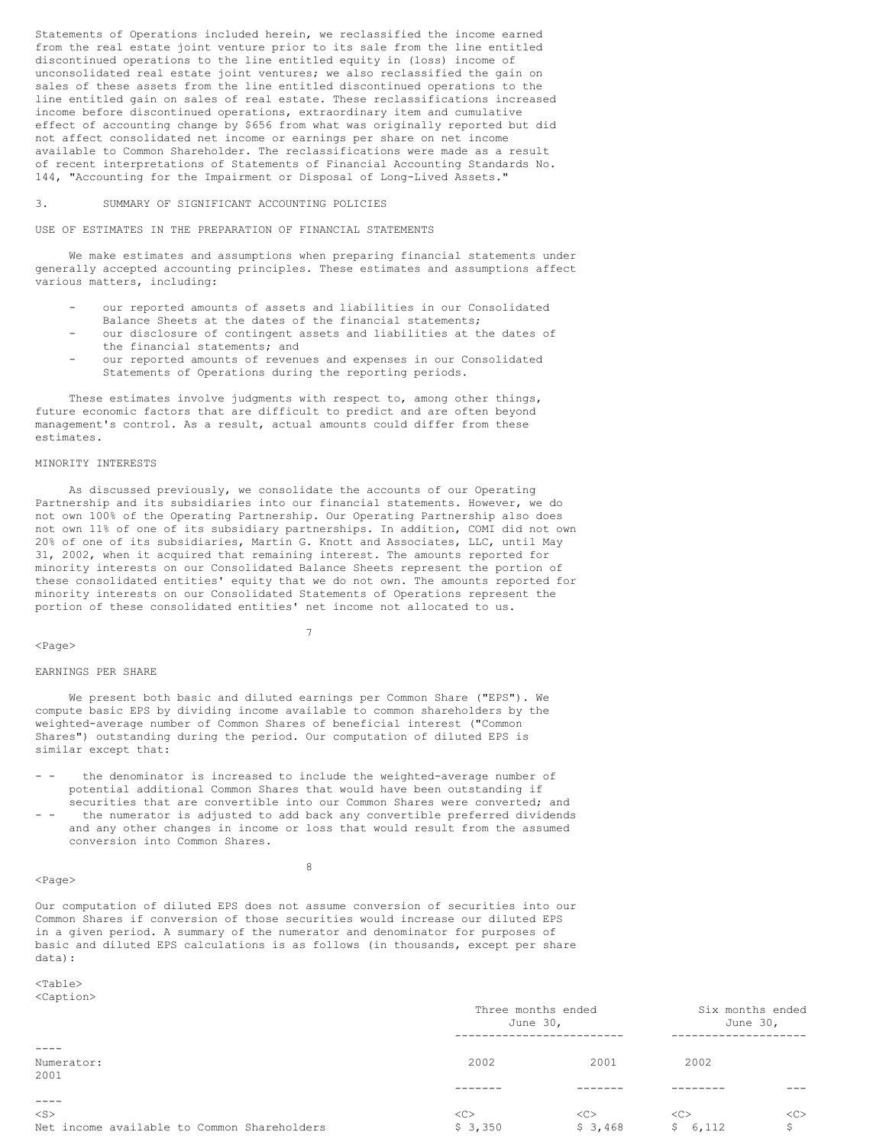Statements of Operations included herein, we reclassified the income earned from the real estate joint venture prior to its sale from the line entitled discontinued operations to the line entitled equity in (loss) income of unconsolidated real estate joint ventures; we also reclassified the gain on sales of these assets from the line entitled discontinued operations to the line entitled gain on sales of real estate. These reclassifications increased income before discontinued operations, extraordinary item and cumulative effect of accounting change by \$656 from what was originally reported but did not affect consolidated net income or earnings per share on net income available to Common Shareholder. The reclassifications were made as a result of recent interpretations of Statements of Financial Accounting Standards No. 144, "Accounting for the Impairment or Disposal of Long-Lived Assets."

### 3. SUMMARY OF SIGNIFICANT ACCOUNTING POLICIES

USE OF ESTIMATES IN THE PREPARATION OF FINANCIAL STATEMENTS

We make estimates and assumptions when preparing financial statements under generally accepted accounting principles. These estimates and assumptions affect various matters, including:

- our reported amounts of assets and liabilities in our Consolidated Balance Sheets at the dates of the financial statements;
- our disclosure of contingent assets and liabilities at the dates of the financial statements; and
- our reported amounts of revenues and expenses in our Consolidated Statements of Operations during the reporting periods.

These estimates involve judgments with respect to, among other things, future economic factors that are difficult to predict and are often beyond management's control. As a result, actual amounts could differ from these estimates.

### MINORITY INTERESTS

As discussed previously, we consolidate the accounts of our Operating Partnership and its subsidiaries into our financial statements. However, we do not own 100% of the Operating Partnership. Our Operating Partnership also does not own 11% of one of its subsidiary partnerships. In addition, COMI did not own 20% of one of its subsidiaries, Martin G. Knott and Associates, LLC, until May 31, 2002, when it acquired that remaining interest. The amounts reported for minority interests on our Consolidated Balance Sheets represent the portion of these consolidated entities' equity that we do not own. The amounts reported for minority interests on our Consolidated Statements of Operations represent the portion of these consolidated entities' net income not allocated to us.

7

#### $<$ Page $>$

#### EARNINGS PER SHARE

We present both basic and diluted earnings per Common Share ("EPS"). We compute basic EPS by dividing income available to common shareholders by the weighted-average number of Common Shares of beneficial interest ("Common Shares") outstanding during the period. Our computation of diluted EPS is similar except that:

- the denominator is increased to include the weighted-average number of potential additional Common Shares that would have been outstanding if securities that are convertible into our Common Shares were converted; and
- the numerator is adjusted to add back any convertible preferred dividends and any other changes in income or loss that would result from the assumed conversion into Common Shares.

8

### <Page>

Our computation of diluted EPS does not assume conversion of securities into our Common Shares if conversion of those securities would increase our diluted EPS in a given period. A summary of the numerator and denominator for purposes of basic and diluted EPS calculations is as follows (in thousands, except per share data):

 $<sub>Th</sub>$ </sub> <Caption>

| $-$ - $-$ - $-$ - $-$ - $-$ - $-$ - $-$ - $-$ - $-$ - $-$ - $-$ - $-$ - $-$ - $-$ - $-$ - $-$ - $-$ - $-$ - $-$ - $-$ - $-$ - $-$ - $-$ - $-$ - $-$ - $-$ - $-$ - $-$ - $-$ - $-$ - $-$ - $-$ - $-$ - $-$ - $-$ - $-$ - $-$ - | Three months ended<br>June 30, | Six months ended<br>June 30, |               |     |
|-------------------------------------------------------------------------------------------------------------------------------------------------------------------------------------------------------------------------------|--------------------------------|------------------------------|---------------|-----|
|                                                                                                                                                                                                                               |                                |                              |               |     |
| Numerator:                                                                                                                                                                                                                    | 2002                           | 2001                         | 2002          |     |
| 2001                                                                                                                                                                                                                          |                                |                              |               |     |
|                                                                                                                                                                                                                               |                                |                              |               |     |
|                                                                                                                                                                                                                               |                                |                              |               |     |
| $<$ S $>$                                                                                                                                                                                                                     | < <sub></sub>                  | < <sub></sub>                | < <sub></sub> | <<> |
| Net income available to Common Shareholders                                                                                                                                                                                   | \$3,350                        | \$3,468                      | 6,112<br>S.   | Ŝ.  |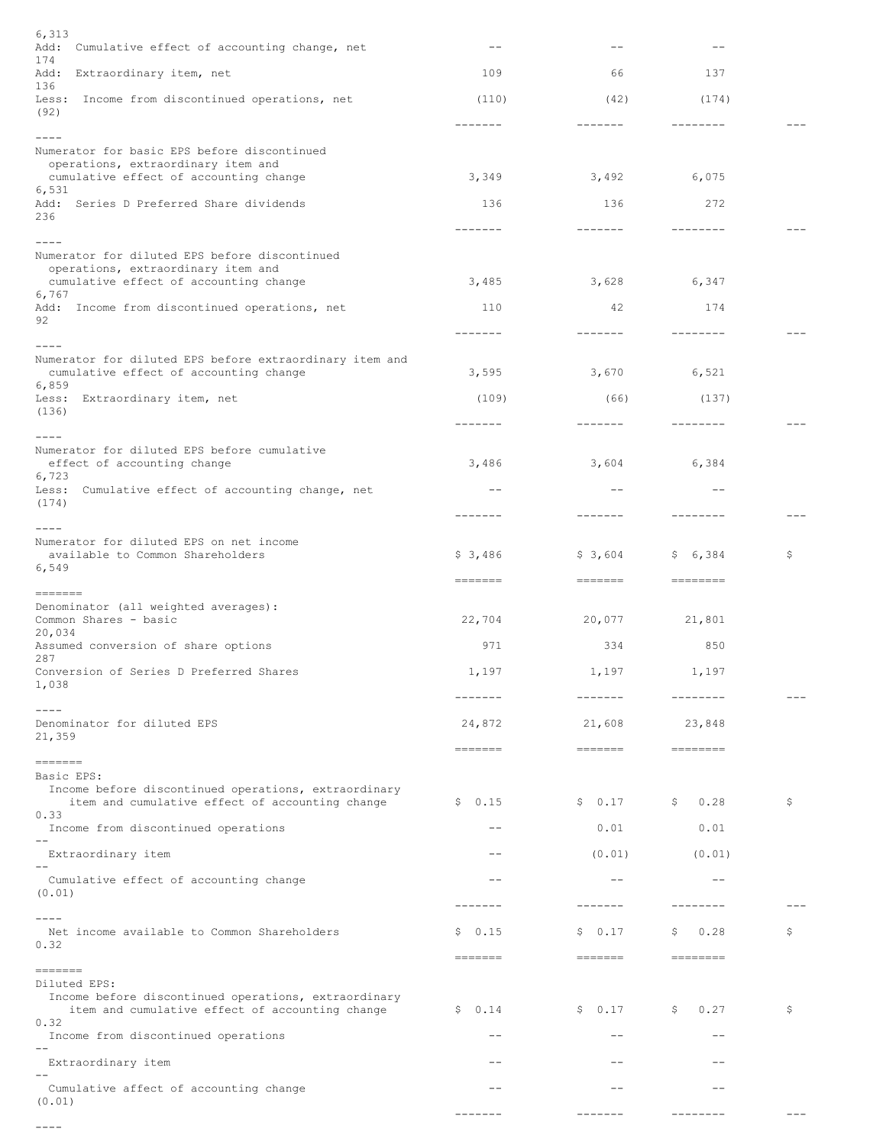| 6,313<br>Add:<br>Cumulative effect of accounting change, net                                            |                   |                                                                                                                                                                                                                                                                                                                                                                                                                                                                                 |            |    |
|---------------------------------------------------------------------------------------------------------|-------------------|---------------------------------------------------------------------------------------------------------------------------------------------------------------------------------------------------------------------------------------------------------------------------------------------------------------------------------------------------------------------------------------------------------------------------------------------------------------------------------|------------|----|
| 174<br>Add:<br>Extraordinary item, net                                                                  | 109               | 66                                                                                                                                                                                                                                                                                                                                                                                                                                                                              | 137        |    |
| 136<br>Less: Income from discontinued operations, net                                                   | (110)             | (42)                                                                                                                                                                                                                                                                                                                                                                                                                                                                            | (174)      |    |
| (92)                                                                                                    | -------           |                                                                                                                                                                                                                                                                                                                                                                                                                                                                                 |            |    |
| ----<br>Numerator for basic EPS before discontinued                                                     |                   |                                                                                                                                                                                                                                                                                                                                                                                                                                                                                 |            |    |
| operations, extraordinary item and<br>cumulative effect of accounting change                            | 3,349             | 3,492                                                                                                                                                                                                                                                                                                                                                                                                                                                                           | 6,075      |    |
| 6,531<br>Add: Series D Preferred Share dividends                                                        | 136               | 136                                                                                                                                                                                                                                                                                                                                                                                                                                                                             | 272        |    |
| 236                                                                                                     | $- - - - - - - -$ |                                                                                                                                                                                                                                                                                                                                                                                                                                                                                 |            |    |
| ----<br>Numerator for diluted EPS before discontinued                                                   |                   |                                                                                                                                                                                                                                                                                                                                                                                                                                                                                 |            |    |
| operations, extraordinary item and<br>cumulative effect of accounting change                            | 3,485             | 3,628                                                                                                                                                                                                                                                                                                                                                                                                                                                                           | 6,347      |    |
| 6,767                                                                                                   |                   |                                                                                                                                                                                                                                                                                                                                                                                                                                                                                 |            |    |
| Add: Income from discontinued operations, net<br>92                                                     | 110               | 42                                                                                                                                                                                                                                                                                                                                                                                                                                                                              | 174        |    |
| ----                                                                                                    | -------           |                                                                                                                                                                                                                                                                                                                                                                                                                                                                                 |            |    |
| Numerator for diluted EPS before extraordinary item and<br>cumulative effect of accounting change       | 3,595             | 3,670                                                                                                                                                                                                                                                                                                                                                                                                                                                                           | 6,521      |    |
| 6,859<br>Less: Extraordinary item, net                                                                  | (109)             | (66)                                                                                                                                                                                                                                                                                                                                                                                                                                                                            | (137)      |    |
| (136)                                                                                                   | ------            |                                                                                                                                                                                                                                                                                                                                                                                                                                                                                 |            |    |
| $- - - -$<br>Numerator for diluted EPS before cumulative                                                |                   |                                                                                                                                                                                                                                                                                                                                                                                                                                                                                 |            |    |
| effect of accounting change<br>6,723                                                                    | 3,486             | 3,604                                                                                                                                                                                                                                                                                                                                                                                                                                                                           | 6,384      |    |
| Cumulative effect of accounting change, net<br>Less:                                                    |                   |                                                                                                                                                                                                                                                                                                                                                                                                                                                                                 |            |    |
| (174)                                                                                                   | -------           |                                                                                                                                                                                                                                                                                                                                                                                                                                                                                 |            |    |
| ----<br>Numerator for diluted EPS on net income                                                         |                   |                                                                                                                                                                                                                                                                                                                                                                                                                                                                                 |            |    |
| available to Common Shareholders<br>6,549                                                               | \$3,486           | \$3,604                                                                                                                                                                                                                                                                                                                                                                                                                                                                         | \$6,384    | \$ |
| =======                                                                                                 | =======           | =======                                                                                                                                                                                                                                                                                                                                                                                                                                                                         | ========   |    |
| Denominator (all weighted averages):<br>Common Shares - basic                                           | 22,704            | 20,077                                                                                                                                                                                                                                                                                                                                                                                                                                                                          | 21,801     |    |
| 20,034<br>Assumed conversion of share options                                                           | 971               | 334                                                                                                                                                                                                                                                                                                                                                                                                                                                                             | 850        |    |
| 287<br>Conversion of Series D Preferred Shares                                                          | 1,197             | 1,197                                                                                                                                                                                                                                                                                                                                                                                                                                                                           | 1,197      |    |
| 1,038                                                                                                   | $- - - - - -$     |                                                                                                                                                                                                                                                                                                                                                                                                                                                                                 |            |    |
| Denominator for diluted EPS                                                                             | 24,872            | 21,608                                                                                                                                                                                                                                                                                                                                                                                                                                                                          | 23,848     |    |
| 21,359                                                                                                  | =======           |                                                                                                                                                                                                                                                                                                                                                                                                                                                                                 | ========   |    |
| =======<br>Basic EPS:                                                                                   |                   |                                                                                                                                                                                                                                                                                                                                                                                                                                                                                 |            |    |
| Income before discontinued operations, extraordinary<br>item and cumulative effect of accounting change | \$0.15            | \$0.17                                                                                                                                                                                                                                                                                                                                                                                                                                                                          | 0.28<br>Ş  | \$ |
| 0.33                                                                                                    |                   | 0.01                                                                                                                                                                                                                                                                                                                                                                                                                                                                            | 0.01       |    |
| Income from discontinued operations                                                                     |                   |                                                                                                                                                                                                                                                                                                                                                                                                                                                                                 |            |    |
| Extraordinary item                                                                                      |                   | (0.01)                                                                                                                                                                                                                                                                                                                                                                                                                                                                          | (0.01)     |    |
| Cumulative effect of accounting change<br>(0.01)                                                        |                   |                                                                                                                                                                                                                                                                                                                                                                                                                                                                                 |            |    |
|                                                                                                         |                   |                                                                                                                                                                                                                                                                                                                                                                                                                                                                                 |            |    |
| Net income available to Common Shareholders<br>0.32                                                     | 0.15<br>Ş         | 0.17<br>Ş.                                                                                                                                                                                                                                                                                                                                                                                                                                                                      | 0.28<br>Ş  | \$ |
| =======                                                                                                 | =======           | $\begin{tabular}{ll} \multicolumn{3}{c}{\textbf{m}} & \multicolumn{3}{c}{\textbf{m}} & \multicolumn{3}{c}{\textbf{m}} & \multicolumn{3}{c}{\textbf{m}} & \multicolumn{3}{c}{\textbf{m}} & \multicolumn{3}{c}{\textbf{m}} & \multicolumn{3}{c}{\textbf{m}} & \multicolumn{3}{c}{\textbf{m}} & \multicolumn{3}{c}{\textbf{m}} & \multicolumn{3}{c}{\textbf{m}} & \multicolumn{3}{c}{\textbf{m}} & \multicolumn{3}{c}{\textbf{m}} & \multicolumn{3}{c}{\textbf{m}} & \multicolumn$ | ========   |    |
| Diluted EPS:<br>Income before discontinued operations, extraordinary                                    |                   |                                                                                                                                                                                                                                                                                                                                                                                                                                                                                 |            |    |
| item and cumulative effect of accounting change<br>0.32                                                 | \$0.14            | \$0.17                                                                                                                                                                                                                                                                                                                                                                                                                                                                          | \$<br>0.27 | \$ |
| Income from discontinued operations                                                                     |                   |                                                                                                                                                                                                                                                                                                                                                                                                                                                                                 |            |    |
| Extraordinary item                                                                                      |                   |                                                                                                                                                                                                                                                                                                                                                                                                                                                                                 |            |    |
| Cumulative affect of accounting change                                                                  |                   |                                                                                                                                                                                                                                                                                                                                                                                                                                                                                 |            |    |
| (0.01)                                                                                                  | -------           | --------                                                                                                                                                                                                                                                                                                                                                                                                                                                                        |            |    |

----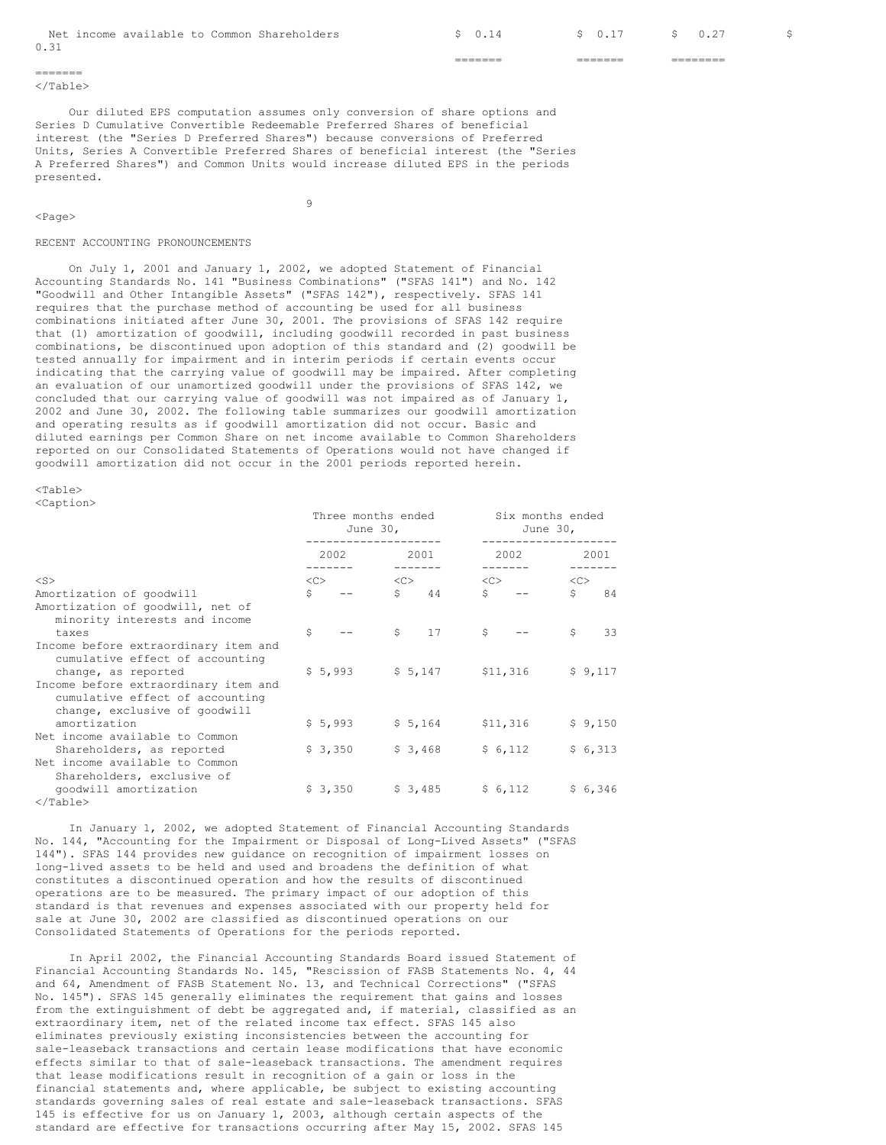|      |                                             |  | _______<br>_______ | _______<br>_______ | ______<br>________ |  |
|------|---------------------------------------------|--|--------------------|--------------------|--------------------|--|
| 0.31 |                                             |  |                    |                    |                    |  |
|      | Net income available to Common Shareholders |  | $\sim$ 0.14        | \$ 0.17            | \$ 0.27            |  |

======= </Table>

<Page>

Our diluted EPS computation assumes only conversion of share options and Series D Cumulative Convertible Redeemable Preferred Shares of beneficial interest (the "Series D Preferred Shares") because conversions of Preferred Units, Series A Convertible Preferred Shares of beneficial interest (the "Series A Preferred Shares") and Common Units would increase diluted EPS in the periods presented.

9

#### RECENT ACCOUNTING PRONOUNCEMENTS

On July 1, 2001 and January 1, 2002, we adopted Statement of Financial Accounting Standards No. 141 "Business Combinations" ("SFAS 141") and No. 142 "Goodwill and Other Intangible Assets" ("SFAS 142"), respectively. SFAS 141 requires that the purchase method of accounting be used for all business combinations initiated after June 30, 2001. The provisions of SFAS 142 require that (1) amortization of goodwill, including goodwill recorded in past business combinations, be discontinued upon adoption of this standard and (2) goodwill be tested annually for impairment and in interim periods if certain events occur indicating that the carrying value of goodwill may be impaired. After completing an evaluation of our unamortized goodwill under the provisions of SFAS 142, we concluded that our carrying value of goodwill was not impaired as of January 1, 2002 and June 30, 2002. The following table summarizes our goodwill amortization and operating results as if goodwill amortization did not occur. Basic and diluted earnings per Common Share on net income available to Common Shareholders reported on our Consolidated Statements of Operations would not have changed if goodwill amortization did not occur in the 2001 periods reported herein.

 $<$ Table $>$ 

<Caption>

|                                                                                                          |              | Three months ended<br>June $30l$        |  |                                                      |               | Six months ended<br>June $30r$          |              |         |  |
|----------------------------------------------------------------------------------------------------------|--------------|-----------------------------------------|--|------------------------------------------------------|---------------|-----------------------------------------|--------------|---------|--|
|                                                                                                          |              | 2002                                    |  | 2001                                                 |               | 2002                                    |              | 2001    |  |
| $<$ S $>$                                                                                                |              | $\langle C \rangle$ $\langle C \rangle$ |  |                                                      |               | $\langle C \rangle$ $\langle C \rangle$ |              |         |  |
| Amortization of goodwill                                                                                 | Ŝ.           |                                         |  | $\sin 44$                                            |               | $S \t - -$                              | Ŝ.           | 84      |  |
| Amortization of goodwill, net of<br>minority interests and income                                        |              |                                         |  |                                                      |               |                                         |              |         |  |
| taxes                                                                                                    | $\mathsf{S}$ |                                         |  | $\begin{array}{cc} \text{S} & \text{17} \end{array}$ | $\mathcal{S}$ |                                         | $\mathsf{S}$ | 33      |  |
| Income before extraordinary item and<br>cumulative effect of accounting                                  |              |                                         |  |                                                      |               |                                         |              |         |  |
| change, as reported                                                                                      |              | $$5,993$ $$5,147$ $$11,316$             |  |                                                      |               |                                         |              | \$9,117 |  |
| Income before extraordinary item and<br>cumulative effect of accounting<br>change, exclusive of goodwill |              |                                         |  |                                                      |               |                                         |              |         |  |
| amortization                                                                                             |              | $$5,993$ $$5,164$ $$11,316$             |  |                                                      |               |                                         |              | \$9,150 |  |
| Net income available to Common                                                                           |              |                                         |  |                                                      |               |                                         |              |         |  |
| Shareholders, as reported                                                                                |              | $$3,350$ $$3,468$ $$6,112$              |  |                                                      |               |                                         |              | \$6,313 |  |
| Net income available to Common<br>Shareholders, exclusive of                                             |              |                                         |  |                                                      |               |                                         |              |         |  |
| qoodwill amortization                                                                                    |              | $$3,350$ $$3,485$ $$6,112$              |  |                                                      |               |                                         |              | \$6,346 |  |
|                                                                                                          |              |                                         |  |                                                      |               |                                         |              |         |  |

  |  |  |  |  |  |  |  |In January 1, 2002, we adopted Statement of Financial Accounting Standards No. 144, "Accounting for the Impairment or Disposal of Long-Lived Assets" ("SFAS 144"). SFAS 144 provides new guidance on recognition of impairment losses on long-lived assets to be held and used and broadens the definition of what constitutes a discontinued operation and how the results of discontinued operations are to be measured. The primary impact of our adoption of this standard is that revenues and expenses associated with our property held for sale at June 30, 2002 are classified as discontinued operations on our Consolidated Statements of Operations for the periods reported.

In April 2002, the Financial Accounting Standards Board issued Statement of Financial Accounting Standards No. 145, "Rescission of FASB Statements No. 4, 44 and 64, Amendment of FASB Statement No. 13, and Technical Corrections" ("SFAS No. 145"). SFAS 145 generally eliminates the requirement that gains and losses from the extinguishment of debt be aggregated and, if material, classified as an extraordinary item, net of the related income tax effect. SFAS 145 also eliminates previously existing inconsistencies between the accounting for sale-leaseback transactions and certain lease modifications that have economic effects similar to that of sale-leaseback transactions. The amendment requires that lease modifications result in recognition of a gain or loss in the financial statements and, where applicable, be subject to existing accounting standards governing sales of real estate and sale-leaseback transactions. SFAS 145 is effective for us on January 1, 2003, although certain aspects of the standard are effective for transactions occurring after May 15, 2002. SFAS 145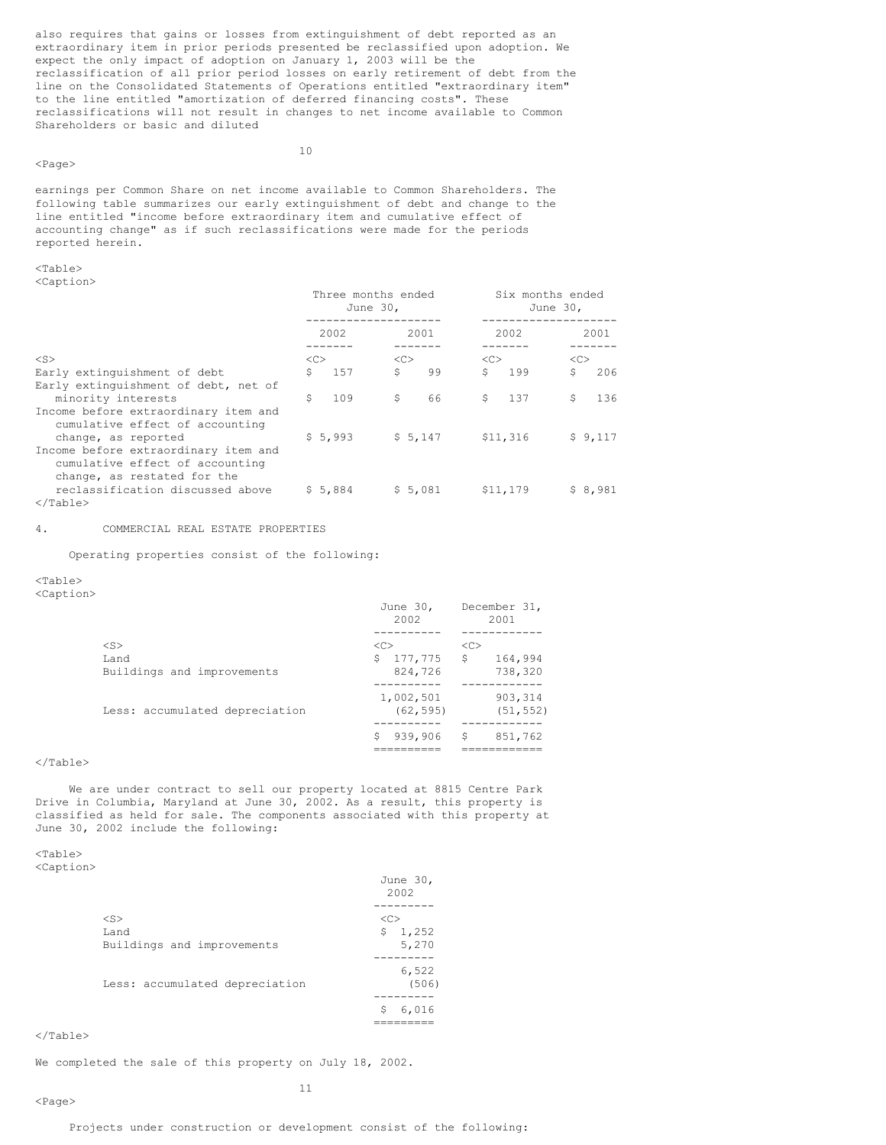also requires that gains or losses from extinguishment of debt reported as an extraordinary item in prior periods presented be reclassified upon adoption. We expect the only impact of adoption on January 1, 2003 will be the reclassification of all prior period losses on early retirement of debt from the line on the Consolidated Statements of Operations entitled "extraordinary item" to the line entitled "amortization of deferred financing costs". These reclassifications will not result in changes to net income available to Common Shareholders or basic and diluted

### <Page>

10

earnings per Common Share on net income available to Common Shareholders. The following table summarizes our early extinguishment of debt and change to the line entitled "income before extraordinary item and cumulative effect of accounting change" as if such reclassifications were made for the periods reported herein.

# $<sub>Th</sub>$ </sub>

<Caption>

|                                                                                                        | Three months ended<br>June 30, |              | Six months ended | June 30,  |
|--------------------------------------------------------------------------------------------------------|--------------------------------|--------------|------------------|-----------|
|                                                                                                        | 2002                           | 2001         | 2002             | 2001      |
| $<$ S>                                                                                                 | <<>                            | $<<$ $<$ $>$ | <<               | <<        |
| Early extinguishment of debt                                                                           | Ŝ.<br>157                      | \$<br>99     | Ŝ.<br>199        | Ŝ.<br>206 |
| Early extinguishment of debt, net of                                                                   |                                |              |                  |           |
| minority interests                                                                                     | Ŝ.<br>109                      | \$<br>66     | \$<br>137        | \$<br>136 |
| Income before extraordinary item and<br>cumulative effect of accounting                                |                                |              |                  |           |
| change, as reported                                                                                    | \$5,993                        | 5.147        | \$11,316         | \$9,117   |
| Income before extraordinary item and<br>cumulative effect of accounting<br>change, as restated for the |                                |              |                  |           |
| reclassification discussed above                                                                       | \$5,884                        | \$5.081      | \$11,179         | \$8,981   |
| $\langle$ /Table>                                                                                      |                                |              |                  |           |

#### 4. COMMERCIAL REAL ESTATE PROPERTIES

Operating properties consist of the following:

# <Table>

<Caption>

|                                | June 30,<br>2002 | December 31,<br>2001 |
|--------------------------------|------------------|----------------------|
| $<$ S>                         | < <sub></sub>    | < <sub></sub>        |
| Land                           | 177,775<br>\$    | - \$<br>164,994      |
| Buildings and improvements     | 824,726          | 738,320              |
|                                | 1,002,501        | 903, 314             |
| Less: accumulated depreciation | (62, 595)        | (51, 552)            |
|                                | 939,906          | 851,762<br>S         |
|                                |                  |                      |

### </Table>

We are under contract to sell our property located at 8815 Centre Park Drive in Columbia, Maryland at June 30, 2002. As a result, this property is classified as held for sale. The components associated with this property at June 30, 2002 include the following:

#### <Table>  $\overline{C}$ antion $\overline{C}$

| ∪aut±uii⁄ |  |  |
|-----------|--|--|
|           |  |  |

|                                | June 30,<br>2002 |
|--------------------------------|------------------|
|                                |                  |
| $<$ S $>$                      | < <sub></sub>    |
| Land                           | \$1,252          |
| Buildings and improvements     | 5,270            |
|                                |                  |
|                                | 6,522            |
| Less: accumulated depreciation | (506)            |
|                                |                  |
|                                | 6,016<br>\$      |
|                                |                  |

### $\langle$ Table $\rangle$

<Page>

We completed the sale of this property on July 18, 2002.

11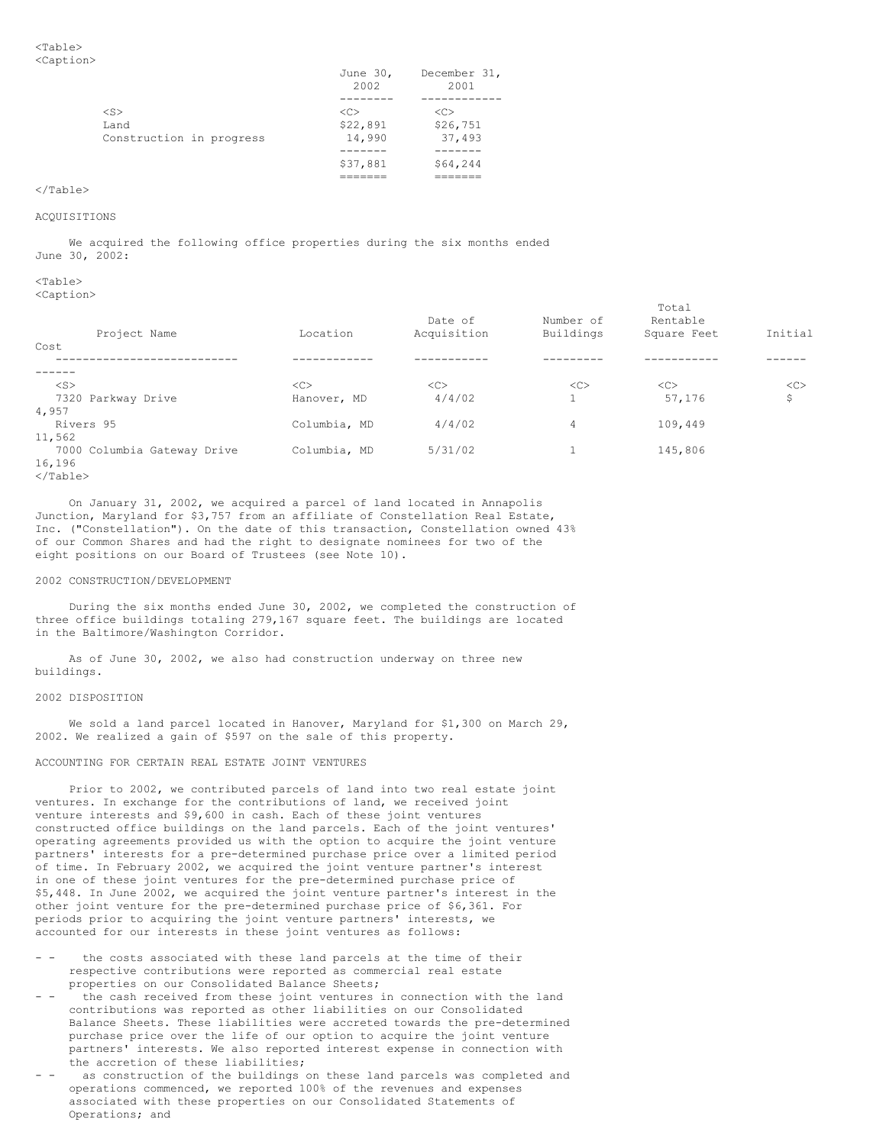|                          | June 30,<br>2002 | December 31,<br>2001 |
|--------------------------|------------------|----------------------|
|                          |                  |                      |
| $<$ S>                   | < <sub></sub>    | < <sub></sub>        |
| Land                     | \$22,891         | \$26,751             |
| Construction in progress | 14,990           | 37,493               |
|                          |                  |                      |
|                          | \$37,881         | \$64,244             |
|                          |                  |                      |

### ACQUISITIONS

We acquired the following office properties during the six months ended June 30, 2002:

# <Table>

<Caption>

| Project Name                | Location     | Date of<br>Acquisition | Number of<br>Buildings | Total<br>Rentable<br>Square Feet | Initial |
|-----------------------------|--------------|------------------------|------------------------|----------------------------------|---------|
| Cost                        |              |                        |                        |                                  |         |
|                             |              |                        |                        |                                  |         |
| $<$ S>                      | <<           | <<                     | <<                     | <<                               | <<      |
| 7320 Parkway Drive          | Hanover, MD  | 4/4/02                 |                        | 57,176                           | \$      |
| 4,957                       |              |                        |                        |                                  |         |
| Rivers 95                   | Columbia, MD | 4/4/02                 | $\overline{4}$         | 109,449                          |         |
| 11,562                      |              |                        |                        |                                  |         |
| 7000 Columbia Gateway Drive | Columbia, MD | 5/31/02                |                        | 145,806                          |         |
| 16,196                      |              |                        |                        |                                  |         |
| .                           |              |                        |                        |                                  |         |

```
</Table>
```
On January 31, 2002, we acquired a parcel of land located in Annapolis Junction, Maryland for \$3,757 from an affiliate of Constellation Real Estate, Inc. ("Constellation"). On the date of this transaction, Constellation owned 43% of our Common Shares and had the right to designate nominees for two of the eight positions on our Board of Trustees (see Note 10).

### 2002 CONSTRUCTION/DEVELOPMENT

During the six months ended June 30, 2002, we completed the construction of three office buildings totaling 279,167 square feet. The buildings are located in the Baltimore/Washington Corridor.

As of June 30, 2002, we also had construction underway on three new buildings.

### 2002 DISPOSITION

We sold a land parcel located in Hanover, Maryland for \$1,300 on March 29, 2002. We realized a gain of \$597 on the sale of this property.

### ACCOUNTING FOR CERTAIN REAL ESTATE JOINT VENTURES

Prior to 2002, we contributed parcels of land into two real estate joint ventures. In exchange for the contributions of land, we received joint venture interests and \$9,600 in cash. Each of these joint ventures constructed office buildings on the land parcels. Each of the joint ventures' operating agreements provided us with the option to acquire the joint venture partners' interests for a pre-determined purchase price over a limited period of time. In February 2002, we acquired the joint venture partner's interest in one of these joint ventures for the pre-determined purchase price of \$5,448. In June 2002, we acquired the joint venture partner's interest in the other joint venture for the pre-determined purchase price of \$6,361. For periods prior to acquiring the joint venture partners' interests, we accounted for our interests in these joint ventures as follows:

- the costs associated with these land parcels at the time of their respective contributions were reported as commercial real estate properties on our Consolidated Balance Sheets;
- the cash received from these joint ventures in connection with the land contributions was reported as other liabilities on our Consolidated Balance Sheets. These liabilities were accreted towards the pre-determined purchase price over the life of our option to acquire the joint venture partners' interests. We also reported interest expense in connection with the accretion of these liabilities;
- as construction of the buildings on these land parcels was completed and operations commenced, we reported 100% of the revenues and expenses associated with these properties on our Consolidated Statements of Operations; and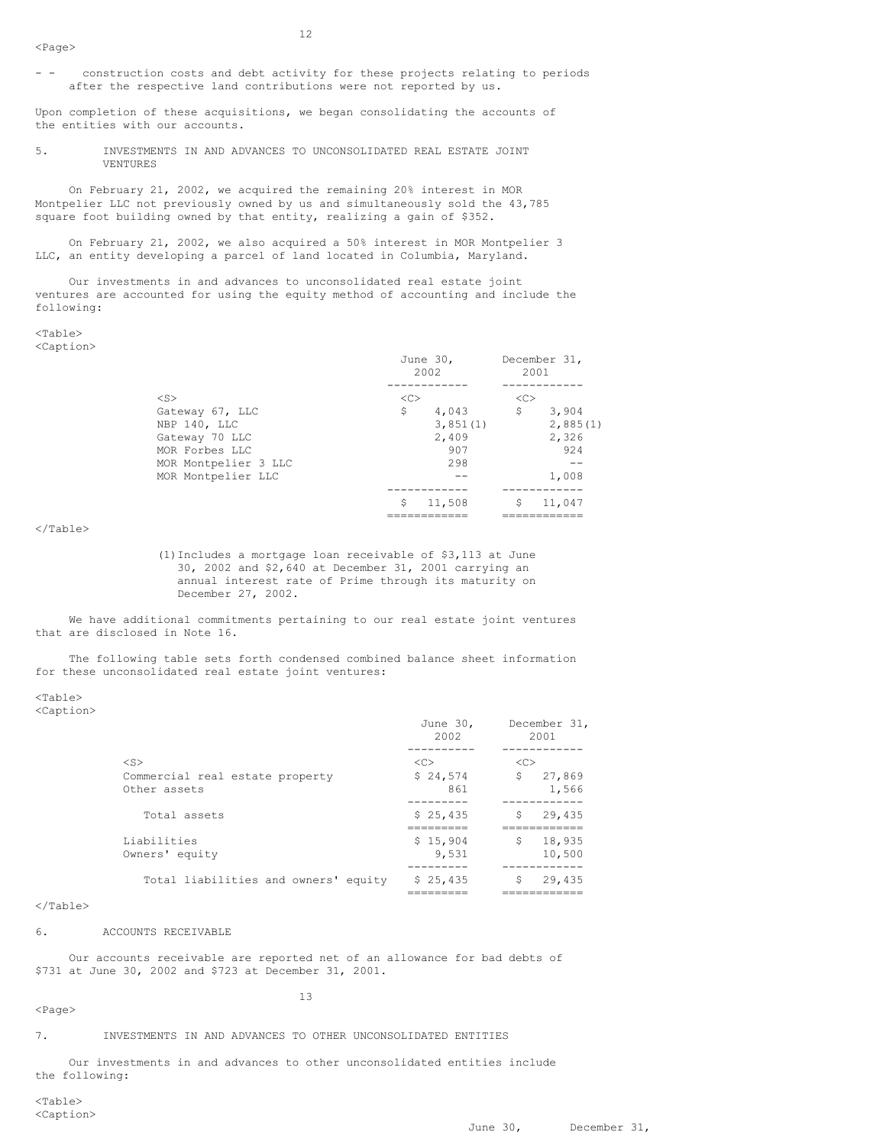- - construction costs and debt activity for these projects relating to periods after the respective land contributions were not reported by us.

12

Upon completion of these acquisitions, we began consolidating the accounts of the entities with our accounts.

5. INVESTMENTS IN AND ADVANCES TO UNCONSOLIDATED REAL ESTATE JOINT VENTURES

On February 21, 2002, we acquired the remaining 20% interest in MOR Montpelier LLC not previously owned by us and simultaneously sold the 43,785 square foot building owned by that entity, realizing a gain of \$352.

On February 21, 2002, we also acquired a 50% interest in MOR Montpelier 3 LLC, an entity developing a parcel of land located in Columbia, Maryland.

Our investments in and advances to unconsolidated real estate joint ventures are accounted for using the equity method of accounting and include the following:

### $<$ Table $>$ <Caption>

|                      | June 30,<br>2002 | December 31,<br>2001 |
|----------------------|------------------|----------------------|
| $<$ S>               | < <sub></sub>    | < <sub></sub>        |
| Gateway 67, LLC      | \$<br>4,043      | \$<br>3,904          |
| NBP 140, LLC         | 3,851(1)         | 2,885(1)             |
| Gateway 70 LLC       | 2,409            | 2,326                |
| MOR Forbes LLC       | 907              | 924                  |
| MOR Montpelier 3 LLC | 298              |                      |
| MOR Montpelier LLC   |                  | 1,008                |
|                      |                  |                      |
|                      | Ŝ<br>11,508      | \$<br>11,047         |
|                      |                  |                      |

</Table>

(1)Includes a mortgage loan receivable of \$3,113 at June 30, 2002 and \$2,640 at December 31, 2001 carrying an annual interest rate of Prime through its maturity on December 27, 2002.

We have additional commitments pertaining to our real estate joint ventures that are disclosed in Note 16.

The following table sets forth condensed combined balance sheet information for these unconsolidated real estate joint ventures:

<Table>

<Caption>

|                                                 | June 30,<br>2002  | December 31,<br>2001   |
|-------------------------------------------------|-------------------|------------------------|
| $<$ S $>$                                       | <<                | <<                     |
| Commercial real estate property<br>Other assets | \$24,574<br>861   | \$<br>27,869<br>1,566  |
| Total assets                                    | \$25,435          | 29,435<br>\$           |
| Liabilities<br>Owners' equity                   | \$15,904<br>9,531 | 18,935<br>\$<br>10,500 |
| Total liabilities and owners' equity            | \$25,435          | 29,435<br>S<br>.       |

# </Table>

### 6. ACCOUNTS RECEIVABLE

Our accounts receivable are reported net of an allowance for bad debts of \$731 at June 30, 2002 and \$723 at December 31, 2001.

13

### <Page>

7. INVESTMENTS IN AND ADVANCES TO OTHER UNCONSOLIDATED ENTITIES

Our investments in and advances to other unconsolidated entities include the following: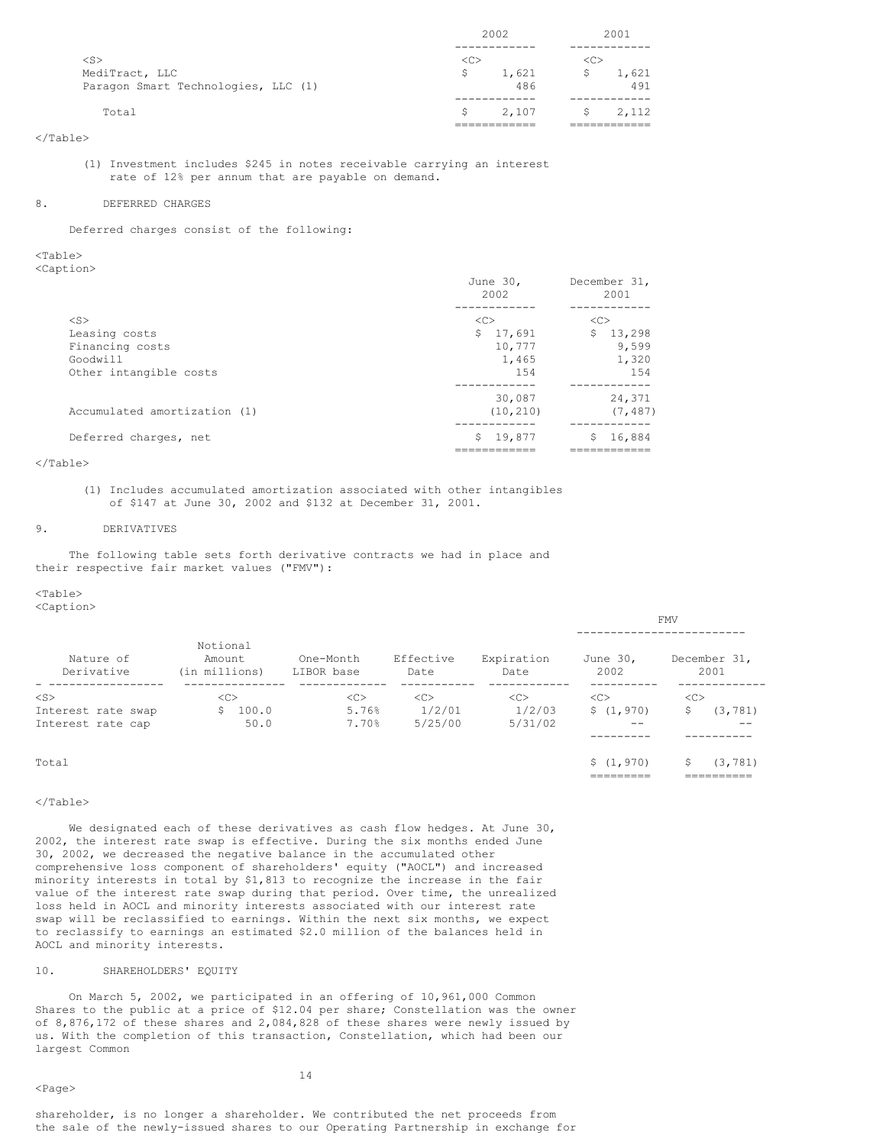|                                     | 2002                |       | 2001          |       |
|-------------------------------------|---------------------|-------|---------------|-------|
|                                     |                     |       |               |       |
| $<$ S $>$                           | $\langle C \rangle$ |       | < <sub></sub> |       |
| MediTract, LLC                      | s                   | 1,621 | Ŝ.            | 1,621 |
| Paragon Smart Technologies, LLC (1) |                     | 486   |               | 491   |
|                                     |                     |       |               |       |
| Total                               | S.                  | 2,107 | $S$ and $S$   | 2,112 |
|                                     |                     |       |               |       |

(1) Investment includes \$245 in notes receivable carrying an interest rate of 12% per annum that are payable on demand.

### 8. DEFERRED CHARGES

Deferred charges consist of the following:

<Table> <Caption>

|                              | June 30,<br>2002 | December 31,<br>2001 |
|------------------------------|------------------|----------------------|
|                              |                  |                      |
| $<$ S $>$                    | <<               | <<                   |
| Leasing costs                | S.<br>17,691     | S.<br>13,298         |
| Financing costs              | 10,777           | 9,599                |
| Goodwill                     | 1,465            | 1,320                |
| Other intangible costs       | 1.54             | 1.54                 |
|                              |                  |                      |
|                              | 30,087           | 24,371               |
| Accumulated amortization (1) | (10, 210)        | (7, 487)             |
|                              |                  |                      |
| Deferred charges, net        | 19,877<br>S.     | 16,884<br>Ŝ.         |
|                              |                  |                      |

### </Table>

(1) Includes accumulated amortization associated with other intangibles of \$147 at June 30, 2002 and \$132 at December 31, 2001.

### 9. DERIVATIVES

The following table sets forth derivative contracts we had in place and their respective fair market values ("FMV"):

# $<sub>Th</sub>$ </sub>

<Caption>

|                         |                                     |                         |                   |                    |                         | <b><i><u>LLIV</u></i></b>  |
|-------------------------|-------------------------------------|-------------------------|-------------------|--------------------|-------------------------|----------------------------|
|                         |                                     |                         |                   |                    |                         |                            |
| Nature of<br>Derivative | Notional<br>Amount<br>(in millions) | One-Month<br>LIBOR base | Effective<br>Date | Expiration<br>Date | June 30,<br>2002        | December 31,<br>2001       |
| $<$ S $>$               | < <sub></sub>                       | <<                      | <<                | < <sub></sub>      | <<>                     | < <sub></sub>              |
| Interest rate swap      | 100.0                               | 5.76%                   | 1/2/01            | 1/2/03             | \$(1, 970)              | (3, 781)<br>S.             |
| Interest rate cap       | 50.0                                | 7.70%                   | 5/25/00           | 5/31/02            | --                      | --                         |
|                         |                                     |                         |                   |                    |                         |                            |
| Total                   |                                     |                         |                   |                    | \$(1, 970)<br>========= | (3, 781)<br>S<br>========= |

FMV

### </Table>

We designated each of these derivatives as cash flow hedges. At June 30, 2002, the interest rate swap is effective. During the six months ended June 30, 2002, we decreased the negative balance in the accumulated other comprehensive loss component of shareholders' equity ("AOCL") and increased minority interests in total by \$1,813 to recognize the increase in the fair value of the interest rate swap during that period. Over time, the unrealized loss held in AOCL and minority interests associated with our interest rate swap will be reclassified to earnings. Within the next six months, we expect to reclassify to earnings an estimated \$2.0 million of the balances held in AOCL and minority interests.

# 10. SHAREHOLDERS' EQUITY

On March 5, 2002, we participated in an offering of 10,961,000 Common Shares to the public at a price of \$12.04 per share; Constellation was the owner of 8,876,172 of these shares and 2,084,828 of these shares were newly issued by us. With the completion of this transaction, Constellation, which had been our largest Common

### <Page>

shareholder, is no longer a shareholder. We contributed the net proceeds from the sale of the newly-issued shares to our Operating Partnership in exchange for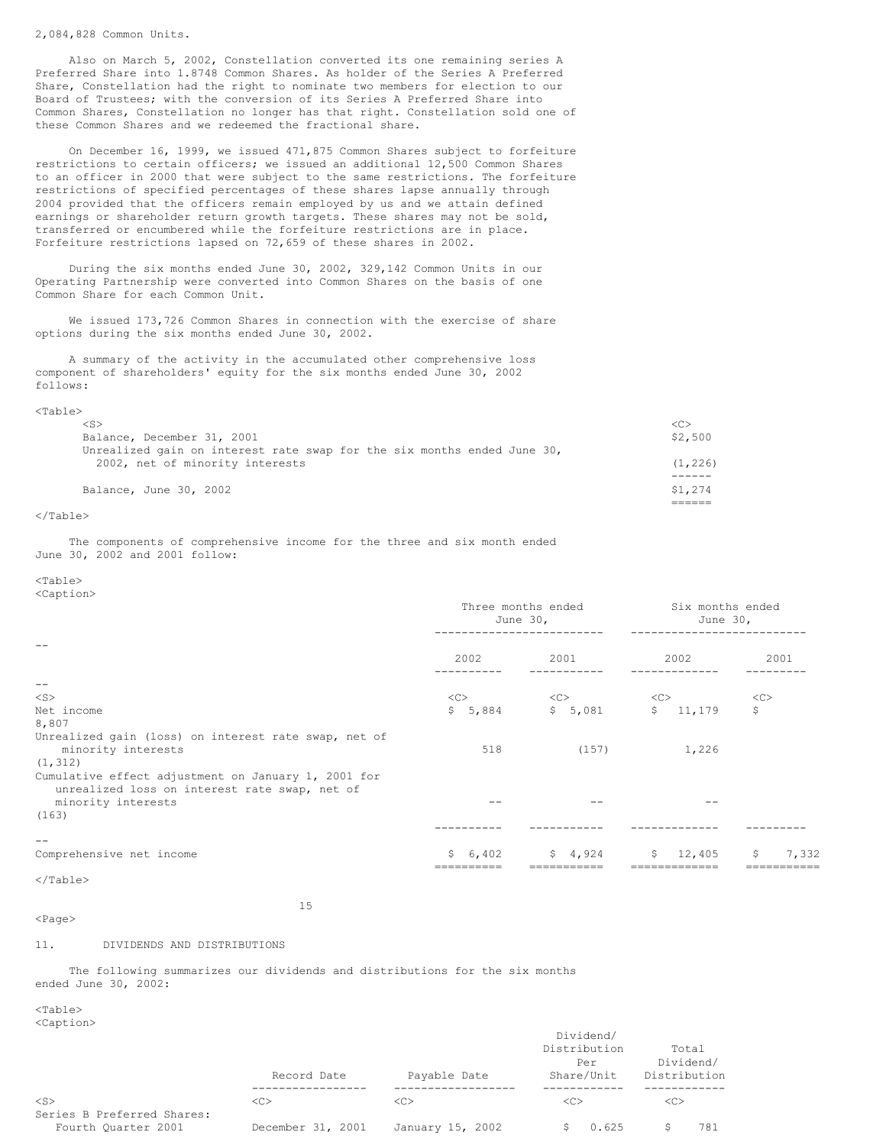### 2,084,828 Common Units.

Also on March 5, 2002, Constellation converted its one remaining series A Preferred Share into 1.8748 Common Shares. As holder of the Series A Preferred Share, Constellation had the right to nominate two members for election to our Board of Trustees; with the conversion of its Series A Preferred Share into Common Shares, Constellation no longer has that right. Constellation sold one of these Common Shares and we redeemed the fractional share.

On December 16, 1999, we issued 471,875 Common Shares subject to forfeiture restrictions to certain officers; we issued an additional 12,500 Common Shares to an officer in 2000 that were subject to the same restrictions. The forfeiture restrictions of specified percentages of these shares lapse annually through 2004 provided that the officers remain employed by us and we attain defined earnings or shareholder return growth targets. These shares may not be sold, transferred or encumbered while the forfeiture restrictions are in place. Forfeiture restrictions lapsed on 72,659 of these shares in 2002.

During the six months ended June 30, 2002, 329,142 Common Units in our Operating Partnership were converted into Common Shares on the basis of one Common Share for each Common Unit.

We issued 173,726 Common Shares in connection with the exercise of share options during the six months ended June 30, 2002.

A summary of the activity in the accumulated other comprehensive loss component of shareholders' equity for the six months ended June 30, 2002 follows:

# <Table>

| $\langle S \rangle$                                                       | <c></c>  |
|---------------------------------------------------------------------------|----------|
| Balance, December 31, 2001                                                | \$2,500  |
| Unrealized gain on interest rate swap for the six months ended June $30r$ |          |
| 2002, net of minority interests                                           | (1, 226) |
|                                                                           |          |
| Balance, June 30, 2002                                                    | \$1,274  |
|                                                                           |          |

### </Table>

The components of comprehensive income for the three and six month ended June 30, 2002 and 2001 follow:

# <Table>

<Caption>

|                                                                                                      | Three months ended<br>June $30r$ |                   | Six months ended<br>June $301$ |             |
|------------------------------------------------------------------------------------------------------|----------------------------------|-------------------|--------------------------------|-------------|
|                                                                                                      | 2002                             | 2001              | 2002                           | 2001        |
| $\qquad \qquad -$                                                                                    |                                  |                   |                                |             |
| $<$ S $>$                                                                                            | <<                               | $<<$ C $>$        | <<                             | <<          |
| Net income                                                                                           |                                  | $$5,884$ $$5,081$ | \$11,179                       | \$          |
| 8,807                                                                                                |                                  |                   |                                |             |
| Unrealized gain (loss) on interest rate swap, net of<br>minority interests                           | 518                              | (157)             | 1,226                          |             |
| (1, 312)                                                                                             |                                  |                   |                                |             |
| Cumulative effect adjustment on January 1, 2001 for<br>unrealized loss on interest rate swap, net of |                                  |                   |                                |             |
| minority interests                                                                                   |                                  |                   |                                |             |
| (163)                                                                                                |                                  |                   |                                |             |
|                                                                                                      |                                  |                   |                                |             |
|                                                                                                      |                                  |                   |                                |             |
| Comprehensive net income                                                                             | \$6,402                          | \$4,924           | \$12,405                       | 7,332<br>\$ |
|                                                                                                      |                                  |                   |                                |             |

# $\langle$ Table $\rangle$

15

### <Page>

11. DIVIDENDS AND DISTRIBUTIONS

The following summarizes our dividends and distributions for the six months ended June 30, 2002:

 $<$ Table $>$ <Caption>

|                            | Record Date       | Payable Date     | Dividend/<br>Distribution<br>Per<br>Share/Unit | Total<br>Dividend/<br>Distribution |
|----------------------------|-------------------|------------------|------------------------------------------------|------------------------------------|
| $<$ S>                     | < <sub></sub>     | < <sub></sub>    | <<>                                            | < <sub></sub>                      |
| Series B Preferred Shares: |                   |                  |                                                |                                    |
| Fourth Ouarter 2001        | December 31, 2001 | January 15, 2002 | 0.625                                          | 781                                |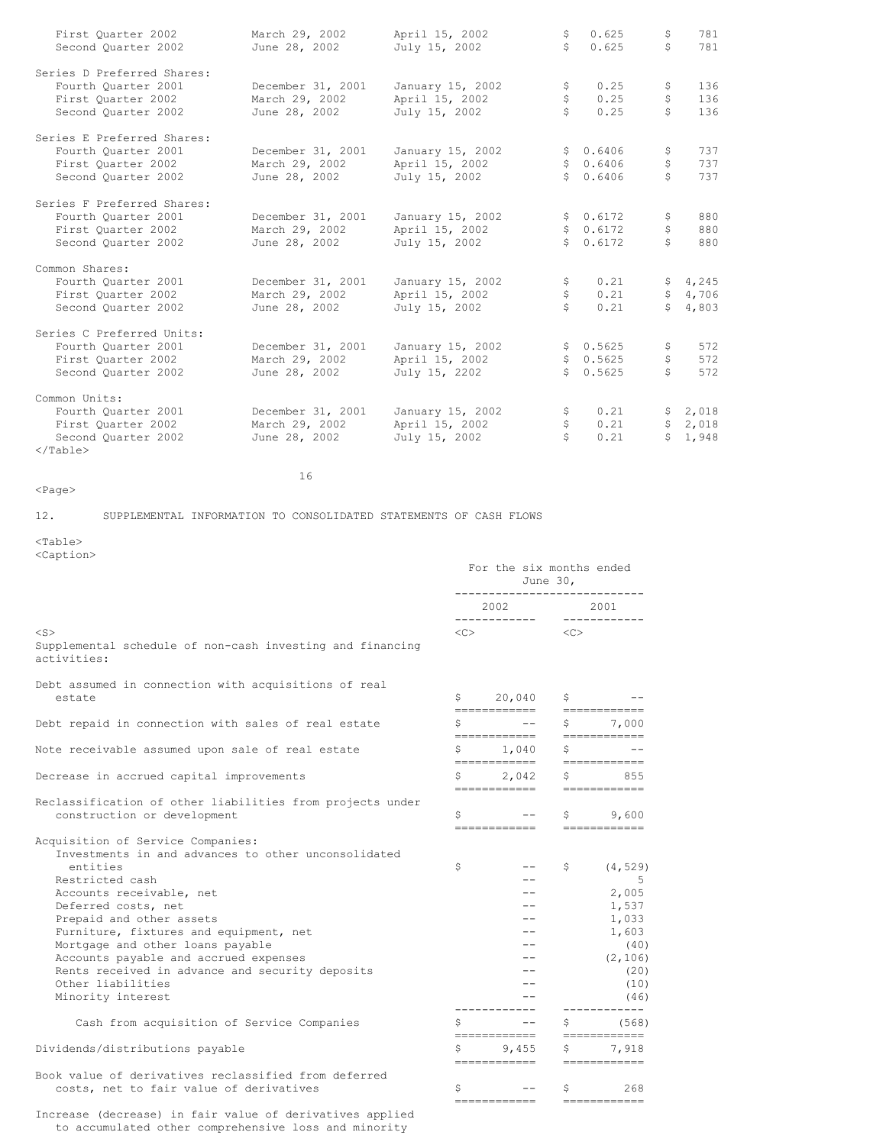| First Quarter 2002<br>Second Quarter 2002                                                              | March 29, 2002<br>June 28, 2002                      | April 15, 2002<br>July 15, 2002                     | \$.<br>Š.      | 0.625<br>0.625                   | \$<br>\$                     | 781<br>781                |
|--------------------------------------------------------------------------------------------------------|------------------------------------------------------|-----------------------------------------------------|----------------|----------------------------------|------------------------------|---------------------------|
| Series D Preferred Shares:<br>Fourth Ouarter 2001<br>First Quarter 2002<br>Second Quarter 2002         | December 31, 2001<br>March 29, 2002<br>June 28, 2002 | January 15, 2002<br>April 15, 2002<br>July 15, 2002 | \$<br>\$       | 0.25<br>0.25<br>0.25             | \$<br>\$<br>Ŝ.               | 136<br>136<br>136         |
| Series E Preferred Shares:<br>Fourth Ouarter 2001<br>First Ouarter 2002<br>Second Quarter 2002         | December 31, 2001<br>March 29, 2002<br>June 28, 2002 | January 15, 2002<br>April 15, 2002<br>July 15, 2002 | S              | \$0.6406<br>\$0.6406<br>0.6406   | \$<br>\$<br>Ŝ.               | 737<br>737<br>737         |
| Series F Preferred Shares:<br>Fourth Ouarter 2001<br>First Quarter 2002<br>Second Ouarter 2002         | December 31, 2001<br>March 29, 2002<br>June 28, 2002 | January 15, 2002<br>April 15, 2002<br>July 15, 2002 |                | \$0.6172<br>\$0.6172<br>\$0.6172 | Ş.<br>\$<br>Ŝ.               | 880<br>880<br>880         |
| Common Shares:<br>Fourth Ouarter 2001<br>First Quarter 2002<br>Second Quarter 2002                     | December 31, 2001<br>March 29, 2002<br>June 28, 2002 | January 15, 2002<br>April 15, 2002<br>July 15, 2002 | \$<br>\$<br>Ŝ. | 0.21<br>0.21<br>0.21             | $\ddot{\mathsf{S}}$<br>S     | \$4,245<br>4,706<br>4,803 |
| Series C Preferred Units:<br>Fourth Ouarter 2001<br>First Quarter 2002<br>Second Quarter 2002          | December 31, 2001<br>March 29, 2002<br>June 28, 2002 | January 15, 2002<br>April 15, 2002<br>July 15, 2202 |                | \$0.5625<br>\$0.5625<br>\$0.5625 | \$<br>\$<br>\$               | 572<br>572<br>572         |
| Common Units:<br>Fourth Ouarter 2001<br>First Ouarter 2002<br>Second Quarter 2002<br>$\langle$ /Table> | December 31, 2001<br>March 29, 2002<br>June 28, 2002 | January 15, 2002<br>April 15, 2002<br>July 15, 2002 | \$<br>\$<br>Š. | 0.21<br>0.21<br>0.21             | $\mathsf{S}$<br>$\mathsf{S}$ | \$2,018<br>2,018<br>1,948 |

<Page>

12. SUPPLEMENTAL INFORMATION TO CONSOLIDATED STATEMENTS OF CASH FLOWS

16

<Table> <Caption>

|                                                                                                                                                                                                                                                                                                                                                                                                                                                                                                             |          | June 30,                                                                                                                                                                                                                                                                                                         | For the six months ended |                                                                                                                                    |  |  |
|-------------------------------------------------------------------------------------------------------------------------------------------------------------------------------------------------------------------------------------------------------------------------------------------------------------------------------------------------------------------------------------------------------------------------------------------------------------------------------------------------------------|----------|------------------------------------------------------------------------------------------------------------------------------------------------------------------------------------------------------------------------------------------------------------------------------------------------------------------|--------------------------|------------------------------------------------------------------------------------------------------------------------------------|--|--|
|                                                                                                                                                                                                                                                                                                                                                                                                                                                                                                             |          | 2002                                                                                                                                                                                                                                                                                                             | 2001<br>------------     |                                                                                                                                    |  |  |
| $<$ S $>$<br>Supplemental schedule of non-cash investing and financing<br>activities:                                                                                                                                                                                                                                                                                                                                                                                                                       | $<<$ $>$ |                                                                                                                                                                                                                                                                                                                  | $\langle C \rangle$      |                                                                                                                                    |  |  |
| Debt assumed in connection with acquisitions of real<br>estate                                                                                                                                                                                                                                                                                                                                                                                                                                              |          | $$20,040$ \$<br>------------                                                                                                                                                                                                                                                                                     |                          | ============                                                                                                                       |  |  |
| Debt repaid in connection with sales of real estate                                                                                                                                                                                                                                                                                                                                                                                                                                                         | \$       | and the contract of the contract of                                                                                                                                                                                                                                                                              | Ş.                       | 7,000                                                                                                                              |  |  |
| Note receivable assumed upon sale of real estate                                                                                                                                                                                                                                                                                                                                                                                                                                                            | Ş.       | ============<br>1,040<br>============                                                                                                                                                                                                                                                                            | \$                       | ============                                                                                                                       |  |  |
| Decrease in accrued capital improvements                                                                                                                                                                                                                                                                                                                                                                                                                                                                    | \$       | 2,042<br>============                                                                                                                                                                                                                                                                                            | \$                       | ============<br>855<br>------------                                                                                                |  |  |
| Reclassification of other liabilities from projects under<br>construction or development                                                                                                                                                                                                                                                                                                                                                                                                                    |          | $\mathsf{S}$ and $\mathsf{S}$ and $\mathsf{S}$ are $\mathsf{S}$ and $\mathsf{S}$ are $\mathsf{S}$ and $\mathsf{S}$ are $\mathsf{S}$ and $\mathsf{S}$ are $\mathsf{S}$ and $\mathsf{S}$ are $\mathsf{S}$ and $\mathsf{S}$ are $\mathsf{S}$ and $\mathsf{S}$ are $\mathsf{S}$ and $\mathsf{S}$ are<br>============ |                          | \$9,600<br>============                                                                                                            |  |  |
| Acquisition of Service Companies:<br>Investments in and advances to other unconsolidated<br>entities<br>Restricted cash<br>Accounts receivable, net<br>Deferred costs, net<br>Prepaid and other assets<br>Furniture, fixtures and equipment, net<br>Mortgage and other loans payable<br>Accounts payable and accrued expenses<br>Rents received in advance and security deposits<br>Other liabilities<br>Minority interest<br>Cash from acquisition of Service Companies<br>Dividends/distributions payable | \$<br>\$ | ============<br>9,455                                                                                                                                                                                                                                                                                            | S.<br>S<br>Ş.            | (4, 529)<br>$-5$<br>2,005<br>1,537<br>1,033<br>1,603<br>(40)<br>(2, 106)<br>(20)<br>(10)<br>(46)<br>(568)<br>============<br>7,918 |  |  |
| Book value of derivatives reclassified from deferred                                                                                                                                                                                                                                                                                                                                                                                                                                                        |          | -------------                                                                                                                                                                                                                                                                                                    |                          | -------------                                                                                                                      |  |  |
| costs, net to fair value of derivatives                                                                                                                                                                                                                                                                                                                                                                                                                                                                     | \$       | $- -$<br>------------                                                                                                                                                                                                                                                                                            | S                        | 268<br>------------                                                                                                                |  |  |

Increase (decrease) in fair value of derivatives applied to accumulated other comprehensive loss and minority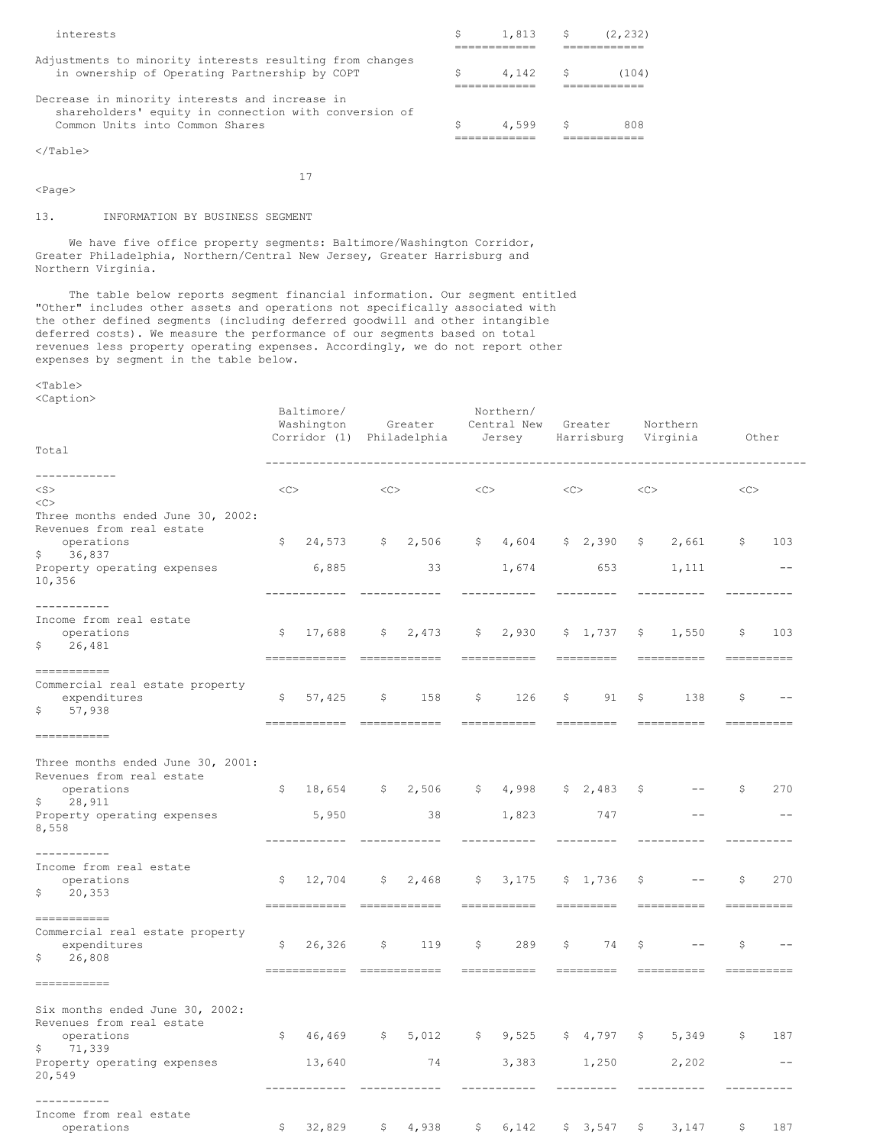| Decrease in minority interests and increase in<br>shareholders' equity in connection with conversion of<br>Common Units into Common Shares | 4.599                      | S. | 808   |
|--------------------------------------------------------------------------------------------------------------------------------------------|----------------------------|----|-------|
|                                                                                                                                            |                            |    |       |
| Adjustments to minority interests resulting from changes<br>in ownership of Operating Partnership by COPT                                  | 4.142 \$                   |    | (104) |
|                                                                                                                                            |                            |    |       |
| interests                                                                                                                                  | $\sin 1.813$ $\sin 12.232$ |    |       |

17

# <Page>

13. INFORMATION BY BUSINESS SEGMENT

We have five office property segments: Baltimore/Washington Corridor, Greater Philadelphia, Northern/Central New Jersey, Greater Harrisburg and Northern Virginia.

The table below reports segment financial information. Our segment entitled "Other" includes other assets and operations not specifically associated with the other defined segments (including deferred goodwill and other intangible deferred costs). We measure the performance of our segments based on total revenues less property operating expenses. Accordingly, we do not report other expenses by segment in the table below.

<Table> <Caption>

| Total                                                                                                                                          |                   | Baltimore/<br>Washington<br>Corridor (1) Philadelphia |              | Greater                                 |             | Northern/<br>Central New<br>Jersey |    | Greater<br>Harrisburg Virginia                                                                                                                                                                                                                                                                                                                                                                                                                                                               |              | Northern                       |              | Other             |
|------------------------------------------------------------------------------------------------------------------------------------------------|-------------------|-------------------------------------------------------|--------------|-----------------------------------------|-------------|------------------------------------|----|----------------------------------------------------------------------------------------------------------------------------------------------------------------------------------------------------------------------------------------------------------------------------------------------------------------------------------------------------------------------------------------------------------------------------------------------------------------------------------------------|--------------|--------------------------------|--------------|-------------------|
| ------------<br>$<$ S $>$                                                                                                                      | $<\!\!\rm C\!\!>$ |                                                       | <<           |                                         | <<          |                                    | << |                                                                                                                                                                                                                                                                                                                                                                                                                                                                                              | <<           |                                | <<           |                   |
| <<<br>Three months ended June 30, 2002:<br>Revenues from real estate<br>operations<br>\$36,837<br>Property operating expenses<br>10,356        | \$                | 6,885                                                 |              | $24,573$ \$ 2,506 \$ 4,604<br>33        |             | 1,674                              |    | \$2,390<br>653                                                                                                                                                                                                                                                                                                                                                                                                                                                                               | $\mathsf{S}$ | 2,661<br>1,111                 | $\mathsf{S}$ | 103<br>$- -$      |
|                                                                                                                                                |                   |                                                       |              | ------------                            |             | ---------                          |    |                                                                                                                                                                                                                                                                                                                                                                                                                                                                                              |              |                                |              |                   |
| ___________<br>Income from real estate<br>operations<br>\$<br>26,481                                                                           | \$                | 17,688                                                | $\mathsf{S}$ | 2,473                                   |             | \$2,930<br>-----------             |    | \$1,737                                                                                                                                                                                                                                                                                                                                                                                                                                                                                      | \$           | 1,550                          | \$           | 103               |
| -----------<br>Commercial real estate property<br>expenditures<br>\$57,938                                                                     | \$                | 57,425<br>===========================                 | $\mathsf{S}$ | 158                                     | \$          | 126                                | S  | 91<br>$\begin{array}{cccccccccccccc} \multicolumn{2}{c}{} & \multicolumn{2}{c}{} & \multicolumn{2}{c}{} & \multicolumn{2}{c}{} & \multicolumn{2}{c}{} & \multicolumn{2}{c}{} & \multicolumn{2}{c}{} & \multicolumn{2}{c}{} & \multicolumn{2}{c}{} & \multicolumn{2}{c}{} & \multicolumn{2}{c}{} & \multicolumn{2}{c}{} & \multicolumn{2}{c}{} & \multicolumn{2}{c}{} & \multicolumn{2}{c}{} & \multicolumn{2}{c}{} & \multicolumn{2}{c}{} & \multicolumn{2}{c}{} & \multicolumn{2}{c}{} & \$ | \$           | 138<br>$=$ = = = = = = = = = = | -\$          | -----------       |
| ===========                                                                                                                                    |                   |                                                       |              |                                         |             |                                    |    |                                                                                                                                                                                                                                                                                                                                                                                                                                                                                              |              |                                |              |                   |
| Three months ended June 30, 2001:<br>Revenues from real estate<br>operations<br>$\mathsf{S}$<br>28,911<br>Property operating expenses<br>8,558 | $\mathsf{S}$      | $18,654$ \$ 2,506<br>5,950                            |              | $\overline{\textbf{38}}$<br>----------- |             | \$4,998<br>1,823                   |    | \$2,483<br>747<br>----------                                                                                                                                                                                                                                                                                                                                                                                                                                                                 | \$           |                                | \$           | 270               |
| ---------<br>Income from real estate<br>operations<br>\$20,353                                                                                 | \$                | 12,704<br>-------------                               | \$           | 2,468<br><u> HERBERT HARBER</u>         | \$          | 3,175<br>------------              |    | \$1,736<br>=========                                                                                                                                                                                                                                                                                                                                                                                                                                                                         | \$           | -----------                    | S            | 270               |
| ===========<br>Commercial real estate property<br>expenditures<br>\$<br>26,808                                                                 | S.                | 26,326                                                | \$           | 119                                     | $\mathbb S$ | 289                                | S. | 74                                                                                                                                                                                                                                                                                                                                                                                                                                                                                           | \$           |                                | S            |                   |
| ===========                                                                                                                                    |                   |                                                       |              |                                         |             |                                    |    |                                                                                                                                                                                                                                                                                                                                                                                                                                                                                              |              |                                |              |                   |
| Six months ended June 30, 2002:<br>Revenues from real estate<br>operations<br>\$71,339<br>Property operating expenses<br>20,549                | $\mathsf{S}$      | 46,469 \$ 5,012<br>13,640<br>-------------            |              | 74<br>____________                      |             | \$9,525<br>3,383<br>-----------    |    | 1,250                                                                                                                                                                                                                                                                                                                                                                                                                                                                                        |              | \$4,797 \$5,349<br>2,202       | $\mathsf{S}$ | 187<br>$\qquad -$ |
| ---------<br>Income from real estate<br>operations                                                                                             | \$                | 32,829                                                | \$           | 4,938                                   | \$          | 6,142                              |    | \$3,547                                                                                                                                                                                                                                                                                                                                                                                                                                                                                      | \$           | 3,147                          | \$           | 187               |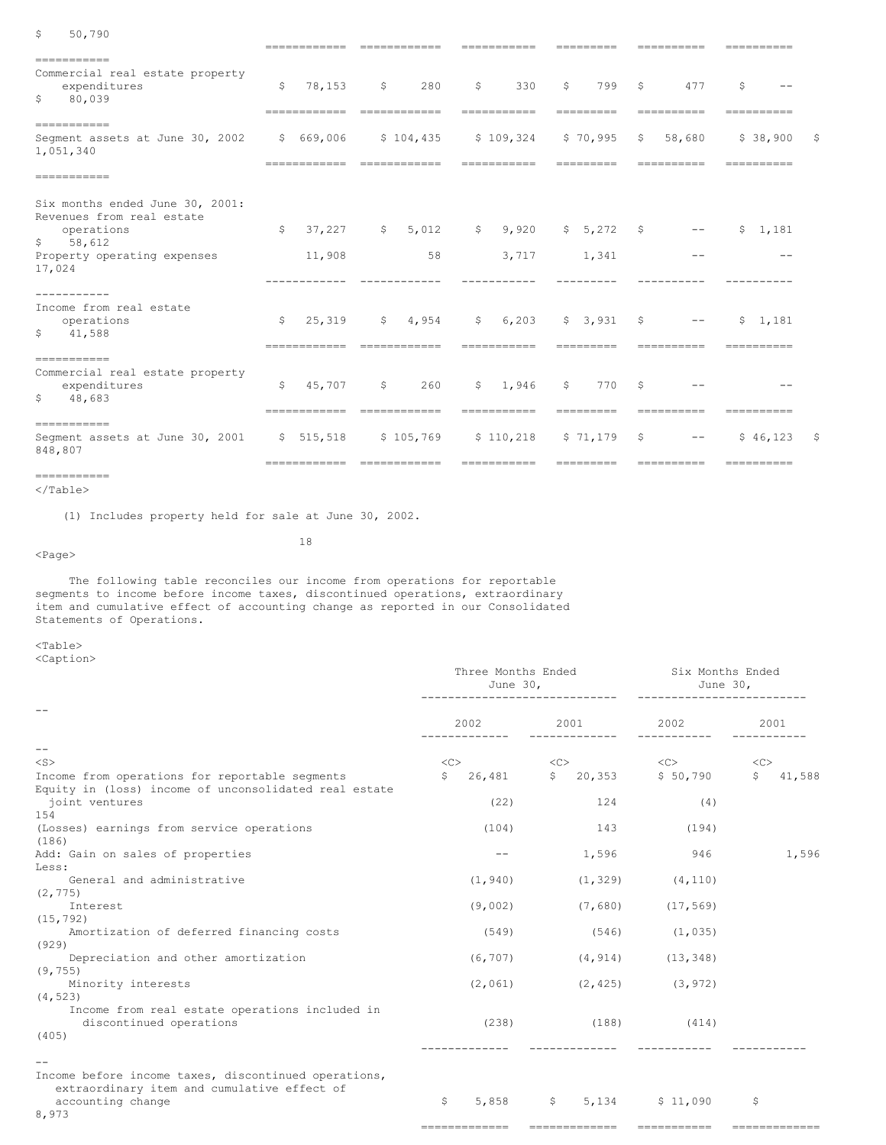| \$<br>50,790                                                                                                                                  |                                  | ------------                           |                                |                                   |                                                                                                                                                                                                                                                                                                                                                                                                                                                                     |                                |
|-----------------------------------------------------------------------------------------------------------------------------------------------|----------------------------------|----------------------------------------|--------------------------------|-----------------------------------|---------------------------------------------------------------------------------------------------------------------------------------------------------------------------------------------------------------------------------------------------------------------------------------------------------------------------------------------------------------------------------------------------------------------------------------------------------------------|--------------------------------|
| -----------<br>Commercial real estate property<br>expenditures<br>80,039<br>\$                                                                | \$<br>78,153<br>------------     | 280<br>\$<br>------------              | \$<br>330<br><b>EEEEEEEEEE</b> | \$<br>799<br>---------            | \$<br>477<br>----------                                                                                                                                                                                                                                                                                                                                                                                                                                             | \$<br>----------               |
| -----------<br>Segment assets at June 30, 2002 \$ 669,006<br>1,051,340                                                                        |                                  | \$104,435                              | \$109,324<br>-----------       | $$70,995$ \$<br>----------        | 58,680<br>----------                                                                                                                                                                                                                                                                                                                                                                                                                                                | \$38,900<br>S.<br>----------   |
| -----------                                                                                                                                   |                                  |                                        |                                |                                   |                                                                                                                                                                                                                                                                                                                                                                                                                                                                     |                                |
| Six months ended June 30, 2001:<br>Revenues from real estate<br>operations<br>$\mathsf{S}$<br>58,612<br>Property operating expenses<br>17,024 | $\mathsf{S}$<br>37.227<br>11,908 | \$5,012<br>58                          | \$9,920<br>3,717               | $$5,272$ \$<br>1,341              | $\frac{1}{2} \frac{1}{2} \left( \frac{1}{2} \right) \left( \frac{1}{2} \right) \left( \frac{1}{2} \right) \left( \frac{1}{2} \right) \left( \frac{1}{2} \right) \left( \frac{1}{2} \right) \left( \frac{1}{2} \right) \left( \frac{1}{2} \right) \left( \frac{1}{2} \right) \left( \frac{1}{2} \right) \left( \frac{1}{2} \right) \left( \frac{1}{2} \right) \left( \frac{1}{2} \right) \left( \frac{1}{2} \right) \left( \frac{1}{2} \right) \left( \frac{1}{2} \$ | \$1,181                        |
| .<br>Income from real estate<br>operations<br>\$<br>41,588                                                                                    | \$<br>------------               | $25,319$ $5$ $4,954$<br>-------------  | \$6,203<br>-----------         | $$3,931$ \$<br>---------          | $\sim$ $ -$<br>----------                                                                                                                                                                                                                                                                                                                                                                                                                                           | \$1.181<br>----------          |
| -----------<br>Commercial real estate property<br>expenditures<br>\$<br>48,683                                                                | \$<br>45,707<br>------------     | 260<br>$\mathsf{S}$<br>-------------   | \$1.946<br>===========         | 770<br>$\mathsf{S}$<br>---------- | \$<br>----------                                                                                                                                                                                                                                                                                                                                                                                                                                                    | ----------                     |
| -----------<br>Seqment assets at June 30, 2001 \$ 515,518<br>848,807                                                                          |                                  | \$105,769<br>========================= | \$110,218<br>-----------       | \$71,179<br>---------             | \$<br>$---$<br>$=$ = = = = = = = = = =                                                                                                                                                                                                                                                                                                                                                                                                                              | \$46,123<br>- \$<br>========== |

```
===========
</Table>
```
(1) Includes property held for sale at June 30, 2002.

<Page>

The following table reconciles our income from operations for reportable segments to income before income taxes, discontinued operations, extraordinary item and cumulative effect of accounting change as reported in our Consolidated Statements of Operations.

18

<Table> <Caption>

|                                                       |               | Three Months Ended<br>June 30, |                  |               | Six Months Ended<br>June 30,     |     |                      |        |  |
|-------------------------------------------------------|---------------|--------------------------------|------------------|---------------|----------------------------------|-----|----------------------|--------|--|
|                                                       | 2002          |                                | 2001             | _____________ | 2002<br>___________              |     | 2001                 |        |  |
| $\qquad \qquad -$                                     |               |                                |                  |               |                                  |     |                      |        |  |
| $<$ S $>$                                             | <<            |                                | $<<$ $<$ $<$ $>$ |               | $<<$ C $>$                       |     | <<                   |        |  |
| Income from operations for reportable segments        | $\mathsf{S}$  |                                |                  |               | 26,481 \$ 20,353 \$ 50,790       |     | S                    | 41,588 |  |
| Equity in (loss) income of unconsolidated real estate |               |                                |                  |               |                                  |     |                      |        |  |
| joint ventures                                        |               | (22)                           |                  | 124           |                                  | (4) |                      |        |  |
| 154                                                   |               |                                |                  |               |                                  |     |                      |        |  |
| (Losses) earnings from service operations             |               | (104)                          |                  | 143           | (194)                            |     |                      |        |  |
| (186)                                                 |               |                                |                  |               |                                  |     |                      |        |  |
| Add: Gain on sales of properties                      |               | $- -$                          |                  | 1,596         | 946                              |     |                      | 1,596  |  |
| Less:                                                 |               |                                |                  |               |                                  |     |                      |        |  |
| General and administrative                            |               | (1, 940)                       |                  | (1, 329)      | (4, 110)                         |     |                      |        |  |
| (2, 775)                                              |               |                                |                  |               |                                  |     |                      |        |  |
| Interest                                              |               | (9,002)                        |                  | (7,680)       | (17, 569)                        |     |                      |        |  |
| (15, 792)                                             |               |                                |                  |               |                                  |     |                      |        |  |
| Amortization of deferred financing costs              |               | (549)                          |                  | (546)         | (1, 035)                         |     |                      |        |  |
| (929)                                                 |               |                                |                  |               |                                  |     |                      |        |  |
| Depreciation and other amortization                   |               | (6, 707)                       |                  | (4, 914)      | (13, 348)                        |     |                      |        |  |
| (9, 755)                                              |               |                                |                  |               |                                  |     |                      |        |  |
| Minority interests<br>(4, 523)                        |               |                                |                  |               | $(2, 061)$ $(2, 425)$ $(3, 972)$ |     |                      |        |  |
| Income from real estate operations included in        |               |                                |                  |               |                                  |     |                      |        |  |
| discontinued operations                               |               |                                |                  |               | $(238)$ $(188)$ $(414)$          |     |                      |        |  |
| (405)                                                 |               |                                |                  |               |                                  |     |                      |        |  |
|                                                       |               |                                |                  |               |                                  |     |                      |        |  |
|                                                       |               |                                |                  |               |                                  |     |                      |        |  |
| Income before income taxes, discontinued operations,  |               |                                |                  |               |                                  |     |                      |        |  |
| extraordinary item and cumulative effect of           |               |                                |                  |               |                                  |     |                      |        |  |
| accounting change                                     | \$            |                                |                  |               | 5,858 \$ 5,134 \$ 11,090         |     | $\ddot{\mathcal{S}}$ |        |  |
| 8,973                                                 |               |                                |                  |               |                                  |     |                      |        |  |
|                                                       | ------------- |                                |                  |               | ------------- ----------         |     | -------------        |        |  |
|                                                       |               |                                |                  |               |                                  |     |                      |        |  |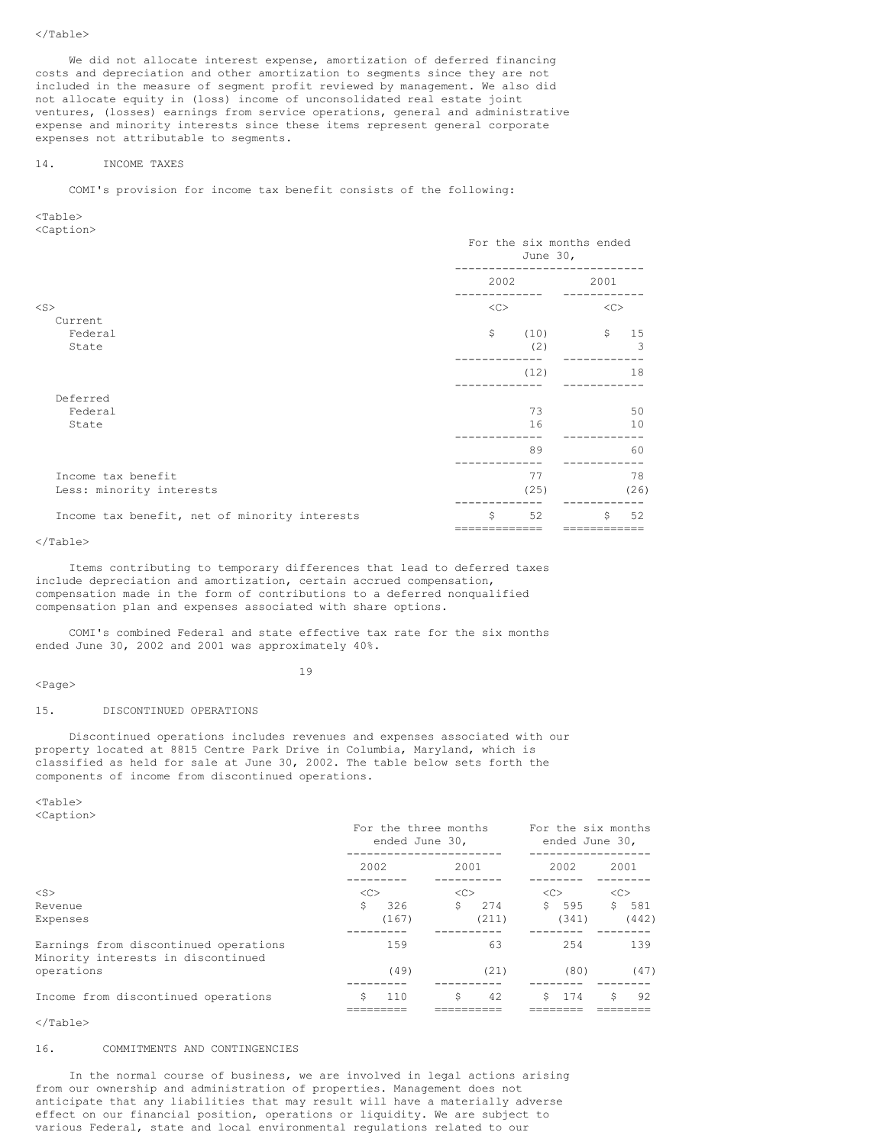We did not allocate interest expense, amortization of deferred financing costs and depreciation and other amortization to segments since they are not included in the measure of segment profit reviewed by management. We also did not allocate equity in (loss) income of unconsolidated real estate joint ventures, (losses) earnings from service operations, general and administrative expense and minority interests since these items represent general corporate expenses not attributable to segments.

### 14. INCOME TAXES

COMI's provision for income tax benefit consists of the following:

<Table> <Caption>

|                                               | For the six months ended<br>June $30l$ |      |              |      |  |
|-----------------------------------------------|----------------------------------------|------|--------------|------|--|
|                                               |                                        | 2002 | 2001         |      |  |
| $<$ S $>$                                     | <<                                     |      | <<           |      |  |
| Current                                       |                                        |      |              |      |  |
| Federal                                       | \$                                     | (10) | $\mathsf{S}$ | 15   |  |
| State                                         |                                        | (2)  |              | 3    |  |
|                                               |                                        | (12) |              | 18   |  |
|                                               |                                        |      |              |      |  |
| Deferred                                      |                                        |      |              |      |  |
| Federal                                       |                                        | 73   |              | 50   |  |
| State                                         |                                        | 16   |              | 10   |  |
|                                               |                                        | 89   |              | 60   |  |
| Income tax benefit                            |                                        | 77   |              | 78   |  |
| Less: minority interests                      |                                        | (25) |              | (26) |  |
| Income tax benefit, net of minority interests | Ŝ.                                     | 52   | S.           | 52   |  |
|                                               |                                        |      |              |      |  |

### </Table>

Items contributing to temporary differences that lead to deferred taxes include depreciation and amortization, certain accrued compensation, compensation made in the form of contributions to a deferred nonqualified compensation plan and expenses associated with share options.

COMI's combined Federal and state effective tax rate for the six months ended June 30, 2002 and 2001 was approximately 40%.

# $<$ Page $>$

19

# 15. DISCONTINUED OPERATIONS

Discontinued operations includes revenues and expenses associated with our property located at 8815 Centre Park Drive in Columbia, Maryland, which is classified as held for sale at June 30, 2002. The table below sets forth the components of income from discontinued operations.

<Table> <Caption>

|                                                                             | For the three months<br>ended June 30, |               | For the six months<br>ended June 30, |           |  |  |
|-----------------------------------------------------------------------------|----------------------------------------|---------------|--------------------------------------|-----------|--|--|
|                                                                             | 2002                                   | 2001          | 2002                                 | 2001      |  |  |
| $<$ S $>$                                                                   | <<                                     | < <sub></sub> | < <sub></sub>                        | <<        |  |  |
| Revenue                                                                     | Ŝ.<br>326                              | Ŝ<br>274      | 595<br>Ŝ.                            | Ŝ.<br>581 |  |  |
| Expenses                                                                    | (167)                                  | (211)         | (341)                                | (442)     |  |  |
| Earnings from discontinued operations<br>Minority interests in discontinued | 159                                    | 63            | 2.54                                 | 139       |  |  |
| operations                                                                  | (49)                                   | (21)          | (80)                                 | (47)      |  |  |
| Income from discontinued operations                                         | 110                                    | \$<br>42      | 174<br>S.                            | Ŝ<br>92   |  |  |

</Table>

### 16. COMMITMENTS AND CONTINGENCIES

In the normal course of business, we are involved in legal actions arising from our ownership and administration of properties. Management does not anticipate that any liabilities that may result will have a materially adverse effect on our financial position, operations or liquidity. We are subject to various Federal, state and local environmental regulations related to our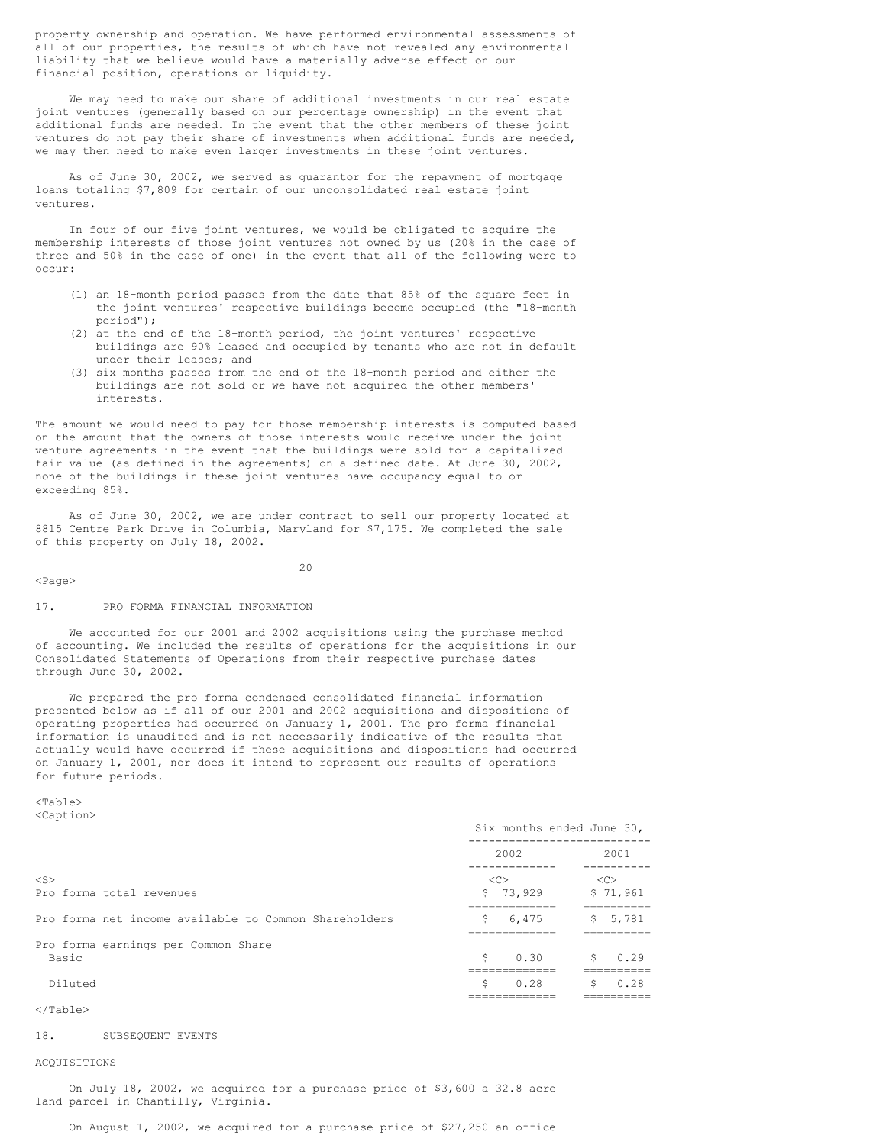property ownership and operation. We have performed environmental assessments of all of our properties, the results of which have not revealed any environmental liability that we believe would have a materially adverse effect on our financial position, operations or liquidity.

We may need to make our share of additional investments in our real estate joint ventures (generally based on our percentage ownership) in the event that additional funds are needed. In the event that the other members of these joint ventures do not pay their share of investments when additional funds are needed, we may then need to make even larger investments in these joint ventures.

As of June 30, 2002, we served as guarantor for the repayment of mortgage loans totaling \$7,809 for certain of our unconsolidated real estate joint ventures.

In four of our five joint ventures, we would be obligated to acquire the membership interests of those joint ventures not owned by us (20% in the case of three and 50% in the case of one) in the event that all of the following were to occur:

- (1) an 18-month period passes from the date that 85% of the square feet in the joint ventures' respective buildings become occupied (the "18-month period");
- (2) at the end of the 18-month period, the joint ventures' respective buildings are 90% leased and occupied by tenants who are not in default under their leases; and
- (3) six months passes from the end of the 18-month period and either the buildings are not sold or we have not acquired the other members' interests.

The amount we would need to pay for those membership interests is computed based on the amount that the owners of those interests would receive under the joint venture agreements in the event that the buildings were sold for a capitalized fair value (as defined in the agreements) on a defined date. At June 30, 2002, none of the buildings in these joint ventures have occupancy equal to or exceeding 85%.

As of June 30, 2002, we are under contract to sell our property located at 8815 Centre Park Drive in Columbia, Maryland for \$7,175. We completed the sale of this property on July 18, 2002.

<Page>

 $20$ 

#### 17. PRO FORMA FINANCIAL INFORMATION

We accounted for our 2001 and 2002 acquisitions using the purchase method of accounting. We included the results of operations for the acquisitions in our Consolidated Statements of Operations from their respective purchase dates through June 30, 2002.

We prepared the pro forma condensed consolidated financial information presented below as if all of our 2001 and 2002 acquisitions and dispositions of operating properties had occurred on January 1, 2001. The pro forma financial information is unaudited and is not necessarily indicative of the results that actually would have occurred if these acquisitions and dispositions had occurred on January 1, 2001, nor does it intend to represent our results of operations for future periods.

<Table> <Caption>

|                                                       |                | Six months ended June 30, |
|-------------------------------------------------------|----------------|---------------------------|
|                                                       | 2002           | 2001                      |
| $<$ S $>$<br>Pro forma total revenues                 | <<<br>\$73,929 | < <c><br/>\$71,961</c>    |
| Pro forma net income available to Common Shareholders | Ŝ<br>6,475     | 5, 5, 781                 |
| Pro forma earnings per Common Share<br>Basic          | Ŝ.<br>0.30     | Ŝ.<br>0.29                |
| Diluted                                               | Ŝ<br>0.28      | Ŝ.<br>0.28                |
|                                                       |                |                           |

  |  |#### 18. SUBSEQUENT EVENTS

### ACQUISITIONS

On July 18, 2002, we acquired for a purchase price of \$3,600 a 32.8 acre land parcel in Chantilly, Virginia.

On August 1, 2002, we acquired for a purchase price of \$27,250 an office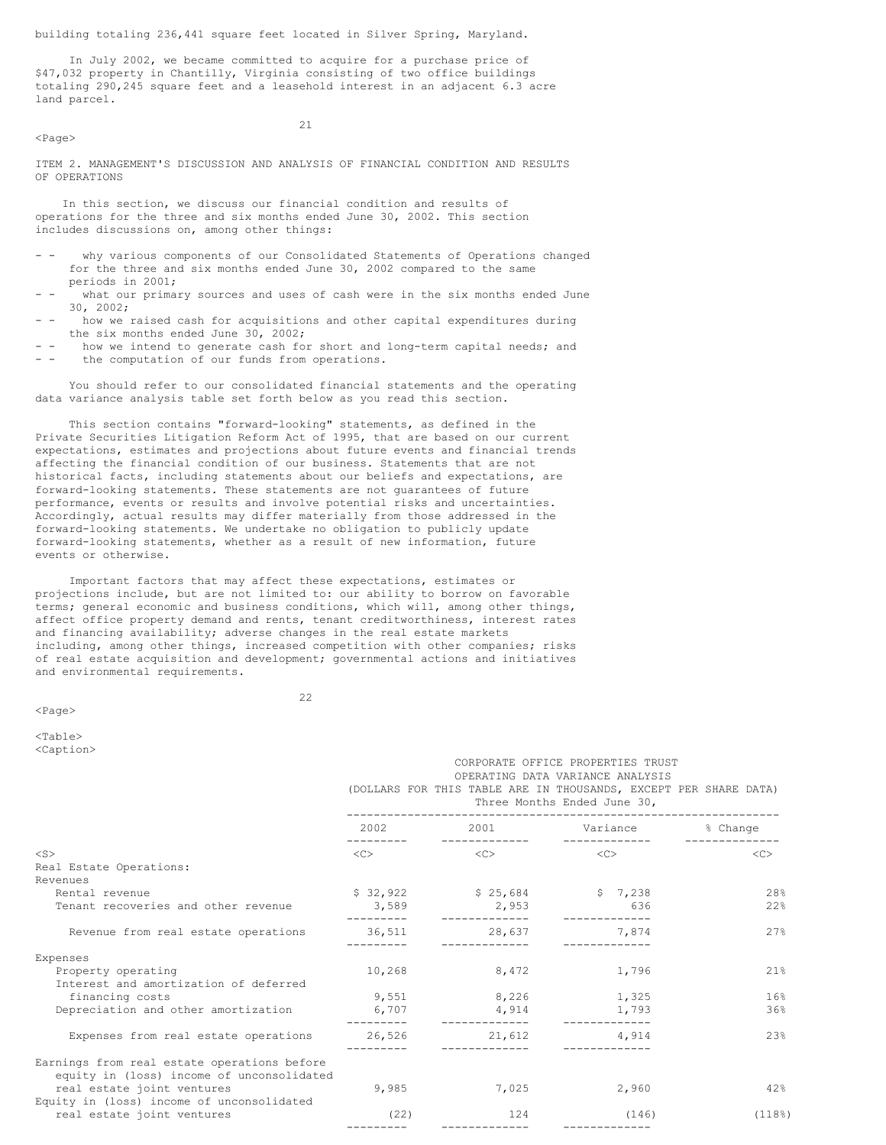building totaling 236,441 square feet located in Silver Spring, Maryland.

In July 2002, we became committed to acquire for a purchase price of \$47,032 property in Chantilly, Virginia consisting of two office buildings totaling 290,245 square feet and a leasehold interest in an adjacent 6.3 acre land parcel.

<Page>

21

ITEM 2. MANAGEMENT'S DISCUSSION AND ANALYSIS OF FINANCIAL CONDITION AND RESULTS OF OPERATIONS

In this section, we discuss our financial condition and results of operations for the three and six months ended June 30, 2002. This section includes discussions on, among other things:

- why various components of our Consolidated Statements of Operations changed for the three and six months ended June 30, 2002 compared to the same periods in 2001;
- what our primary sources and uses of cash were in the six months ended June 30, 2002;
- how we raised cash for acquisitions and other capital expenditures during the six months ended June 30, 2002;
- - how we intend to generate cash for short and long-term capital needs; and the computation of our funds from operations.

You should refer to our consolidated financial statements and the operating data variance analysis table set forth below as you read this section.

This section contains "forward-looking" statements, as defined in the Private Securities Litigation Reform Act of 1995, that are based on our current expectations, estimates and projections about future events and financial trends affecting the financial condition of our business. Statements that are not historical facts, including statements about our beliefs and expectations, are forward-looking statements. These statements are not guarantees of future performance, events or results and involve potential risks and uncertainties. Accordingly, actual results may differ materially from those addressed in the forward-looking statements. We undertake no obligation to publicly update forward-looking statements, whether as a result of new information, future events or otherwise.

Important factors that may affect these expectations, estimates or projections include, but are not limited to: our ability to borrow on favorable terms; general economic and business conditions, which will, among other things, affect office property demand and rents, tenant creditworthiness, interest rates and financing availability; adverse changes in the real estate markets including, among other things, increased competition with other companies; risks of real estate acquisition and development; governmental actions and initiatives and environmental requirements.

22

 $<sub>Th</sub>$ </sub>

 $<$ Page $>$ 

<Caption>

|                                                                                          | CORPORATE OFFICE PROPERTIES TRUST<br>OPERATING DATA VARIANCE ANALYSIS<br>(DOLLARS FOR THIS TABLE ARE IN THOUSANDS, EXCEPT PER SHARE DATA)<br>Three Months Ended June 30, |                                                                                                                                                                                                                                 |                            |                     |  |  |  |  |
|------------------------------------------------------------------------------------------|--------------------------------------------------------------------------------------------------------------------------------------------------------------------------|---------------------------------------------------------------------------------------------------------------------------------------------------------------------------------------------------------------------------------|----------------------------|---------------------|--|--|--|--|
|                                                                                          | 2002                                                                                                                                                                     | 2001 - 2001 - 2002 - 2003 - 2004 - 2004 - 2004 - 2005 - 2006 - 2007 - 2008 - 2008 - 2008 - 2008 - 2008 - 2008 - 2008 - 2008 - 2008 - 2008 - 2008 - 2008 - 2008 - 2008 - 2008 - 2008 - 2008 - 2008 - 2008 - 2008 - 2008 - 2008 - | Variance<br>-------------- | % Change            |  |  |  |  |
| $<$ S>                                                                                   | $<<$ $>$                                                                                                                                                                 | $<<$ $>>$                                                                                                                                                                                                                       | $\langle C \rangle$        | $\langle C \rangle$ |  |  |  |  |
| Real Estate Operations:<br>Revenues                                                      |                                                                                                                                                                          |                                                                                                                                                                                                                                 |                            |                     |  |  |  |  |
| Rental revenue                                                                           | \$32,922                                                                                                                                                                 | \$25,684                                                                                                                                                                                                                        | \$7,238                    | 28%                 |  |  |  |  |
| Tenant recoveries and other revenue                                                      | 3,589<br>. <u>.</u> .                                                                                                                                                    | 2,953                                                                                                                                                                                                                           | 636                        | 22%                 |  |  |  |  |
| Revenue from real estate operations                                                      | ---------                                                                                                                                                                | 36,511 28,637<br>_____________                                                                                                                                                                                                  | 7,874                      | 27%                 |  |  |  |  |
| Expenses                                                                                 |                                                                                                                                                                          |                                                                                                                                                                                                                                 |                            |                     |  |  |  |  |
| Property operating<br>Interest and amortization of deferred                              | 10,268                                                                                                                                                                   | 8,472                                                                                                                                                                                                                           | 1,796                      | 21%                 |  |  |  |  |
| financing costs                                                                          | 9,551                                                                                                                                                                    | 8,226                                                                                                                                                                                                                           | 1,325                      | 16%                 |  |  |  |  |
| Depreciation and other amortization                                                      | 6,707<br>---------                                                                                                                                                       | 4,914                                                                                                                                                                                                                           | 1,793                      | 36%                 |  |  |  |  |
| Expenses from real estate operations                                                     | 26,526                                                                                                                                                                   | 21,612                                                                                                                                                                                                                          | 4,914                      | 2.3%                |  |  |  |  |
| Earnings from real estate operations before<br>equity in (loss) income of unconsolidated |                                                                                                                                                                          |                                                                                                                                                                                                                                 |                            |                     |  |  |  |  |
| real estate joint ventures<br>Equity in (loss) income of unconsolidated                  | 9,985                                                                                                                                                                    | 7,025                                                                                                                                                                                                                           | 2,960                      | 42%                 |  |  |  |  |
| real estate joint ventures                                                               | (22)                                                                                                                                                                     | 124                                                                                                                                                                                                                             | (146)                      | (118)               |  |  |  |  |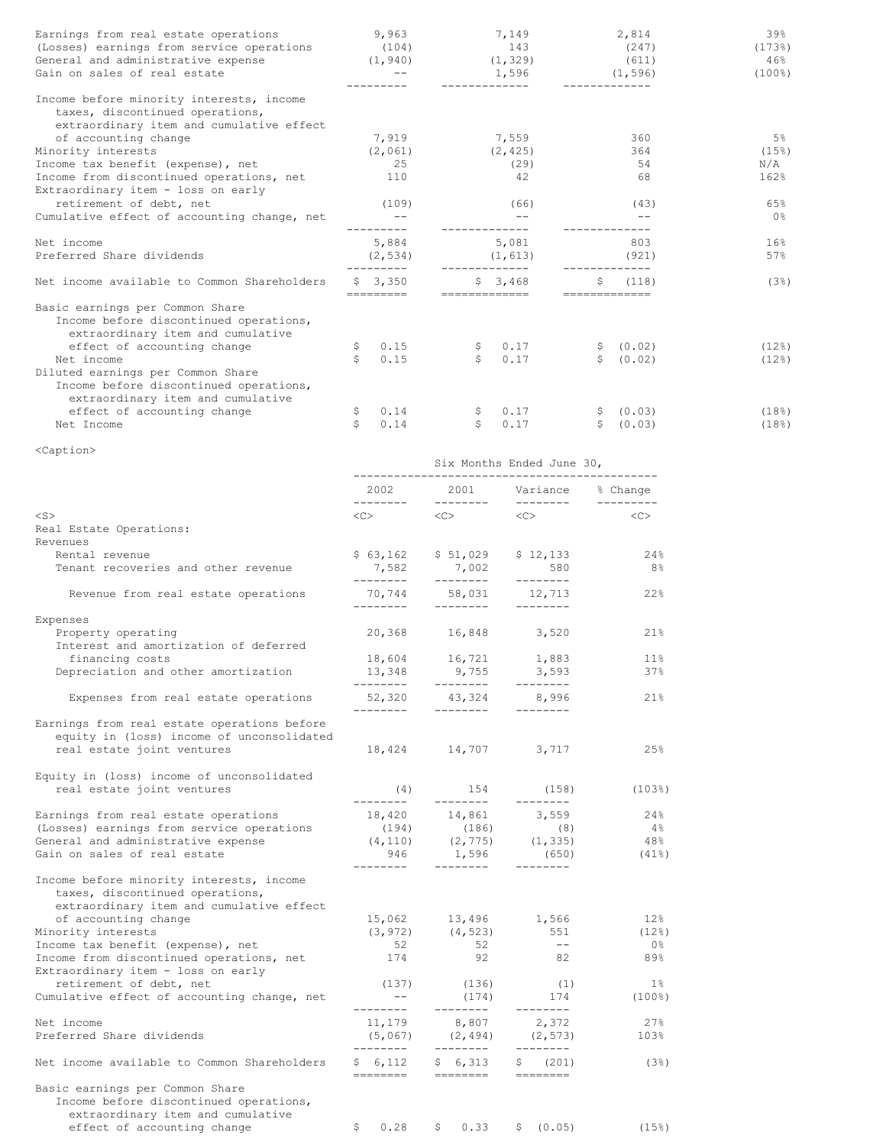| Earnings from real estate operations<br>(Losses) earnings from service operations<br>General and administrative expense $(1, 940)$ $(1, 329)$<br>Gain on sales of real estate | 9,963<br>(104)        | 7,149<br>143<br>1,596     | 2,814<br>(247)<br>(611)<br>(1, 596) | 39%<br>$(173$ <sup>8</sup> )<br>46%<br>$(100$ <sup>8</sup> ) |
|-------------------------------------------------------------------------------------------------------------------------------------------------------------------------------|-----------------------|---------------------------|-------------------------------------|--------------------------------------------------------------|
| Income before minority interests, income<br>taxes, discontinued operations,<br>extraordinary item and cumulative effect                                                       |                       |                           |                                     |                                                              |
| of accounting change                                                                                                                                                          | 7,919                 | 7,559                     | 360                                 | 5%                                                           |
| Minority interests                                                                                                                                                            | (2,061)               | (2, 425)                  | 364                                 | (15)                                                         |
| Income tax benefit (expense), net                                                                                                                                             | 25                    | (29)                      | 54                                  | N/A                                                          |
| Income from discontinued operations, net<br>Extraordinary item - loss on early                                                                                                | 110                   | 42                        | 68                                  | 162%                                                         |
| retirement of debt, net                                                                                                                                                       | (109)                 | (66)                      | (43)                                | 65%                                                          |
| Cumulative effect of accounting change, net                                                                                                                                   |                       |                           |                                     | 0 <sup>8</sup>                                               |
| Net income                                                                                                                                                                    | 5,884                 | 5,081                     | 803                                 | 16%                                                          |
| Preferred Share dividends                                                                                                                                                     | (2, 534)              | (1, 613)                  | (921)                               | 57%                                                          |
| Net income available to Common Shareholders                                                                                                                                   | \$3,350<br>---------- | \$3,468<br>============== | (118)<br>Ŝ.<br>==============       | (3)                                                          |
| Basic earnings per Common Share<br>Income before discontinued operations,<br>extraordinary item and cumulative                                                                |                       |                           |                                     |                                                              |
| effect of accounting change                                                                                                                                                   | 0.15<br>S.            | \$0.17                    | \$ (0.02)                           | (12)                                                         |
| Net income                                                                                                                                                                    | Ŝ.<br>0.15            | \$0.17                    | \$ (0.02)                           | (12)                                                         |
| Diluted earnings per Common Share<br>Income before discontinued operations,<br>extraordinary item and cumulative                                                              |                       |                           |                                     |                                                              |
| effect of accounting change                                                                                                                                                   | 0.14<br>Ş.            | 0.17<br>Ş.                | \$ (0.03)                           | (18)                                                         |
| Net Income                                                                                                                                                                    | \$<br>0.14            | \$<br>0.17                | \$ (0.03)                           | (18 <sup>°</sup> )                                           |

| $\sim$ $\sim$ $\sim$ $\sim$ $\sim$ $\sim$ $\sim$                                                                        | Six Months Ended June 30,<br>---------------------------------- |                         |                                                                                                                                                                                                                                                                                                                                                                                                                                                                                                        |                           |  |  |  |  |
|-------------------------------------------------------------------------------------------------------------------------|-----------------------------------------------------------------|-------------------------|--------------------------------------------------------------------------------------------------------------------------------------------------------------------------------------------------------------------------------------------------------------------------------------------------------------------------------------------------------------------------------------------------------------------------------------------------------------------------------------------------------|---------------------------|--|--|--|--|
|                                                                                                                         | 2002                                                            | 2001                    | Variance                                                                                                                                                                                                                                                                                                                                                                                                                                                                                               | % Change                  |  |  |  |  |
| $<$ S $>$                                                                                                               | --------<br>$<<$ $>$                                            | ---------<br>$<<$ $>$   | ---------<br>$<<$ $>$                                                                                                                                                                                                                                                                                                                                                                                                                                                                                  | $- - - - - - - - -$<br><< |  |  |  |  |
| Real Estate Operations:<br>Revenues                                                                                     |                                                                 |                         |                                                                                                                                                                                                                                                                                                                                                                                                                                                                                                        |                           |  |  |  |  |
| Rental revenue                                                                                                          | \$63,162                                                        | \$51,029                | \$12,133                                                                                                                                                                                                                                                                                                                                                                                                                                                                                               | 24%                       |  |  |  |  |
| Tenant recoveries and other revenue                                                                                     | 7,582<br>---------                                              | 7,002<br>--------       | 580<br>--------                                                                                                                                                                                                                                                                                                                                                                                                                                                                                        | 8 <sup>°</sup>            |  |  |  |  |
| Revenue from real estate operations                                                                                     | 70,744<br>--------                                              | 58,031<br>--------      | 12,713<br>$- - - - - - - -$                                                                                                                                                                                                                                                                                                                                                                                                                                                                            | 22%                       |  |  |  |  |
| Expenses                                                                                                                |                                                                 |                         |                                                                                                                                                                                                                                                                                                                                                                                                                                                                                                        |                           |  |  |  |  |
| Property operating<br>Interest and amortization of deferred                                                             | 20,368                                                          | 16,848                  | 3,520                                                                                                                                                                                                                                                                                                                                                                                                                                                                                                  | 21%                       |  |  |  |  |
| financing costs                                                                                                         | 18,604                                                          | 16,721                  | 1,883                                                                                                                                                                                                                                                                                                                                                                                                                                                                                                  | $11\%$                    |  |  |  |  |
| Depreciation and other amortization                                                                                     | 13,348<br>---------                                             | 9,755<br>--------       | 3,593<br>--------                                                                                                                                                                                                                                                                                                                                                                                                                                                                                      | 37%                       |  |  |  |  |
| Expenses from real estate operations                                                                                    | 52,320<br>--------                                              | 43,324<br>--------      | 8,996<br>--------                                                                                                                                                                                                                                                                                                                                                                                                                                                                                      | 21%                       |  |  |  |  |
| Earnings from real estate operations before                                                                             |                                                                 |                         |                                                                                                                                                                                                                                                                                                                                                                                                                                                                                                        |                           |  |  |  |  |
| equity in (loss) income of unconsolidated<br>real estate joint ventures                                                 |                                                                 | 18,424 14,707           | 3,717                                                                                                                                                                                                                                                                                                                                                                                                                                                                                                  | 25%                       |  |  |  |  |
| Equity in (loss) income of unconsolidated                                                                               |                                                                 |                         |                                                                                                                                                                                                                                                                                                                                                                                                                                                                                                        |                           |  |  |  |  |
| real estate joint ventures                                                                                              | (4)<br>---------                                                | 154<br>---------        | (158)<br>--------                                                                                                                                                                                                                                                                                                                                                                                                                                                                                      | (1038)                    |  |  |  |  |
| Earnings from real estate operations                                                                                    | 18,420                                                          | 14,861                  | 3,559                                                                                                                                                                                                                                                                                                                                                                                                                                                                                                  | 24%                       |  |  |  |  |
| (Losses) earnings from service operations                                                                               | (194)                                                           | (186)                   | (8)                                                                                                                                                                                                                                                                                                                                                                                                                                                                                                    | $4\%$                     |  |  |  |  |
| General and administrative expense                                                                                      | (4, 110)                                                        | (2, 775)                | (1, 335)                                                                                                                                                                                                                                                                                                                                                                                                                                                                                               | 48%                       |  |  |  |  |
| Gain on sales of real estate                                                                                            | 946<br>---------                                                | 1,596<br>---------      | (650)<br>--------                                                                                                                                                                                                                                                                                                                                                                                                                                                                                      | $(41\%)$                  |  |  |  |  |
| Income before minority interests, income<br>taxes, discontinued operations,<br>extraordinary item and cumulative effect |                                                                 |                         |                                                                                                                                                                                                                                                                                                                                                                                                                                                                                                        |                           |  |  |  |  |
| of accounting change                                                                                                    | 15,062                                                          | 13,496                  | 1,566                                                                                                                                                                                                                                                                                                                                                                                                                                                                                                  | $12\%$                    |  |  |  |  |
| Minority interests                                                                                                      | (3, 972)                                                        | (4, 523)                | 551                                                                                                                                                                                                                                                                                                                                                                                                                                                                                                    | (12)                      |  |  |  |  |
| Income tax benefit (expense), net                                                                                       | 52                                                              | 52                      | $--$                                                                                                                                                                                                                                                                                                                                                                                                                                                                                                   | 0%                        |  |  |  |  |
| Income from discontinued operations, net<br>Extraordinary item - loss on early                                          | 174                                                             | 92                      | 82                                                                                                                                                                                                                                                                                                                                                                                                                                                                                                     | 89%                       |  |  |  |  |
| retirement of debt, net                                                                                                 | (137)                                                           | (136)                   | (1)                                                                                                                                                                                                                                                                                                                                                                                                                                                                                                    | $1\%$                     |  |  |  |  |
| Cumulative effect of accounting change, net                                                                             | $- -$<br>---------                                              | (174)<br>---------      | 174<br>--------                                                                                                                                                                                                                                                                                                                                                                                                                                                                                        | $(100$ <sup>8</sup> )     |  |  |  |  |
| Net income                                                                                                              | 11,179                                                          | 8,807                   | 2,372                                                                                                                                                                                                                                                                                                                                                                                                                                                                                                  | 27%                       |  |  |  |  |
| Preferred Share dividends                                                                                               | (5,067)<br>---------                                            | (2, 494)<br>---------   | (2, 573)<br>--------                                                                                                                                                                                                                                                                                                                                                                                                                                                                                   | 103%                      |  |  |  |  |
| Net income available to Common Shareholders                                                                             | \$6,112<br>========                                             | \$6,313<br>$=$ ======== | \$ (201)<br>$\begin{minipage}{0.9\linewidth} \begin{tabular}{l} \multicolumn{2}{l}{} & \multicolumn{2}{l}{} & \multicolumn{2}{l}{} \\ \multicolumn{2}{l}{} & \multicolumn{2}{l}{} & \multicolumn{2}{l}{} \\ \multicolumn{2}{l}{} & \multicolumn{2}{l}{} & \multicolumn{2}{l}{} \\ \multicolumn{2}{l}{} & \multicolumn{2}{l}{} & \multicolumn{2}{l}{} \\ \multicolumn{2}{l}{} & \multicolumn{2}{l}{} & \multicolumn{2}{l}{} \\ \multicolumn{2}{l}{} & \multicolumn{2}{l}{} & \multicolumn{2}{l}{} \\ \$ | (3)                       |  |  |  |  |
| Basic earnings per Common Share<br>Income before discontinued operations,<br>extraordinary item and cumulative          |                                                                 |                         |                                                                                                                                                                                                                                                                                                                                                                                                                                                                                                        |                           |  |  |  |  |
| effect of accounting change                                                                                             | \$<br>0.28                                                      | \$<br>0.33              | \$ (0.05)                                                                                                                                                                                                                                                                                                                                                                                                                                                                                              | $(15$ %)                  |  |  |  |  |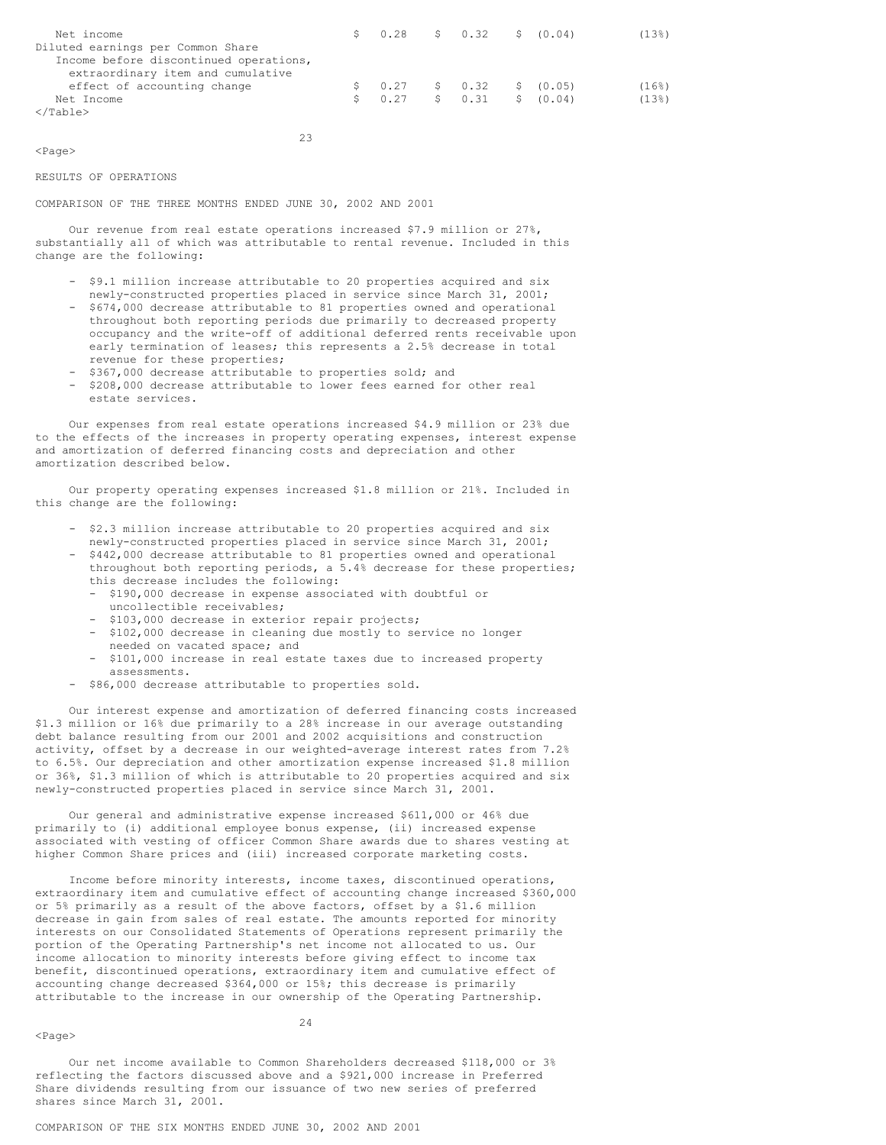| Net income                             | $$0.28$ $$0.32$ $$0.04)$                                                                     |  |  | (138) |
|----------------------------------------|----------------------------------------------------------------------------------------------|--|--|-------|
| Diluted earnings per Common Share      |                                                                                              |  |  |       |
| Income before discontinued operations, |                                                                                              |  |  |       |
| extraordinary item and cumulative      |                                                                                              |  |  |       |
| effect of accounting change            | $\begin{array}{ccccccccc} \text{S} & 0.27 & \text{S} & 0.32 & \text{S} & (0.05) \end{array}$ |  |  | (168) |
| Net Income                             | $\begin{array}{ccccccccc} 5 & 0.27 & 5 & 0.31 & 5 & 0.04 \end{array}$                        |  |  | (13)  |
| $\langle$ /Table>                      |                                                                                              |  |  |       |

<Page>

### RESULTS OF OPERATIONS

COMPARISON OF THE THREE MONTHS ENDED JUNE 30, 2002 AND 2001

Our revenue from real estate operations increased \$7.9 million or 27%, substantially all of which was attributable to rental revenue. Included in this change are the following:

23

- \$9.1 million increase attributable to 20 properties acquired and six newly-constructed properties placed in service since March 31, 2001;
- \$674,000 decrease attributable to 81 properties owned and operational throughout both reporting periods due primarily to decreased property occupancy and the write-off of additional deferred rents receivable upon early termination of leases; this represents a 2.5% decrease in total revenue for these properties;
- \$367,000 decrease attributable to properties sold; and
- \$208,000 decrease attributable to lower fees earned for other real estate services.

Our expenses from real estate operations increased \$4.9 million or 23% due to the effects of the increases in property operating expenses, interest expense and amortization of deferred financing costs and depreciation and other amortization described below.

Our property operating expenses increased \$1.8 million or 21%. Included in this change are the following:

- \$2.3 million increase attributable to 20 properties acquired and six newly-constructed properties placed in service since March 31, 2001;
- \$442,000 decrease attributable to 81 properties owned and operational throughout both reporting periods, a 5.4% decrease for these properties; this decrease includes the following:
	- \$190,000 decrease in expense associated with doubtful or uncollectible receivables;
	- \$103,000 decrease in exterior repair projects;
	- \$102,000 decrease in cleaning due mostly to service no longer
	- needed on vacated space; and
	- \$101,000 increase in real estate taxes due to increased property assessments.
- \$86,000 decrease attributable to properties sold.

Our interest expense and amortization of deferred financing costs increased \$1.3 million or 16% due primarily to a 28% increase in our average outstanding debt balance resulting from our 2001 and 2002 acquisitions and construction activity, offset by a decrease in our weighted-average interest rates from 7.2% to 6.5%. Our depreciation and other amortization expense increased \$1.8 million or 36%, \$1.3 million of which is attributable to 20 properties acquired and six newly-constructed properties placed in service since March 31, 2001.

Our general and administrative expense increased \$611,000 or 46% due primarily to (i) additional employee bonus expense, (ii) increased expense associated with vesting of officer Common Share awards due to shares vesting at higher Common Share prices and (iii) increased corporate marketing costs.

Income before minority interests, income taxes, discontinued operations, extraordinary item and cumulative effect of accounting change increased \$360,000 or 5% primarily as a result of the above factors, offset by a \$1.6 million decrease in gain from sales of real estate. The amounts reported for minority interests on our Consolidated Statements of Operations represent primarily the portion of the Operating Partnership's net income not allocated to us. Our income allocation to minority interests before giving effect to income tax benefit, discontinued operations, extraordinary item and cumulative effect of accounting change decreased \$364,000 or 15%; this decrease is primarily attributable to the increase in our ownership of the Operating Partnership.

#### <Page>

24

Our net income available to Common Shareholders decreased \$118,000 or 3% reflecting the factors discussed above and a \$921,000 increase in Preferred Share dividends resulting from our issuance of two new series of preferred shares since March 31, 2001.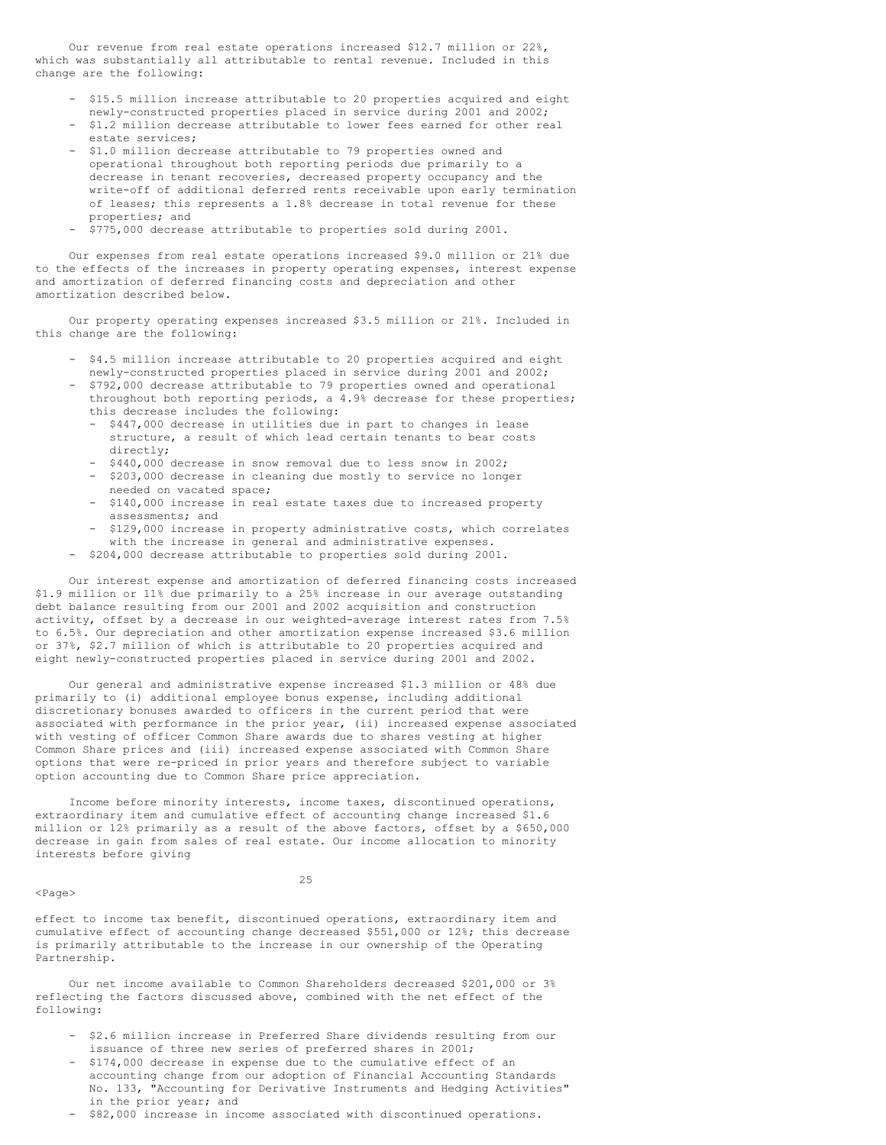Our revenue from real estate operations increased \$12.7 million or 22%, which was substantially all attributable to rental revenue. Included in this change are the following:

- \$15.5 million increase attributable to 20 properties acquired and eight newly-constructed properties placed in service during 2001 and 2002;
- \$1.2 million decrease attributable to lower fees earned for other real estate services;
- \$1.0 million decrease attributable to 79 properties owned and operational throughout both reporting periods due primarily to a decrease in tenant recoveries, decreased property occupancy and the write-off of additional deferred rents receivable upon early termination of leases; this represents a 1.8% decrease in total revenue for these properties; and
- \$775,000 decrease attributable to properties sold during 2001.

Our expenses from real estate operations increased \$9.0 million or 21% due to the effects of the increases in property operating expenses, interest expense and amortization of deferred financing costs and depreciation and other amortization described below.

Our property operating expenses increased \$3.5 million or 21%. Included in this change are the following:

- \$4.5 million increase attributable to 20 properties acquired and eight newly-constructed properties placed in service during 2001 and 2002;
- \$792,000 decrease attributable to 79 properties owned and operational throughout both reporting periods, a 4.9% decrease for these properties; this decrease includes the following:
	- \$447,000 decrease in utilities due in part to changes in lease structure, a result of which lead certain tenants to bear costs directly;
	- \$440,000 decrease in snow removal due to less snow in 2002;
	- \$203,000 decrease in cleaning due mostly to service no longer needed on vacated space;
	- \$140,000 increase in real estate taxes due to increased property assessments; and
	- \$129,000 increase in property administrative costs, which correlates with the increase in general and administrative expenses.
- \$204,000 decrease attributable to properties sold during 2001.

Our interest expense and amortization of deferred financing costs increased \$1.9 million or 11% due primarily to a 25% increase in our average outstanding debt balance resulting from our 2001 and 2002 acquisition and construction activity, offset by a decrease in our weighted-average interest rates from 7.5% to 6.5%. Our depreciation and other amortization expense increased \$3.6 million or 37%, \$2.7 million of which is attributable to 20 properties acquired and eight newly-constructed properties placed in service during 2001 and 2002.

Our general and administrative expense increased \$1.3 million or 48% due primarily to (i) additional employee bonus expense, including additional discretionary bonuses awarded to officers in the current period that were associated with performance in the prior year, (ii) increased expense associated with vesting of officer Common Share awards due to shares vesting at higher Common Share prices and (iii) increased expense associated with Common Share options that were re-priced in prior years and therefore subject to variable option accounting due to Common Share price appreciation.

Income before minority interests, income taxes, discontinued operations, extraordinary item and cumulative effect of accounting change increased \$1.6 million or 12% primarily as a result of the above factors, offset by a \$650,000 decrease in gain from sales of real estate. Our income allocation to minority interests before giving

#### 25

<Page>

effect to income tax benefit, discontinued operations, extraordinary item and cumulative effect of accounting change decreased \$551,000 or 12%; this decrease is primarily attributable to the increase in our ownership of the Operating Partnership.

Our net income available to Common Shareholders decreased \$201,000 or 3% reflecting the factors discussed above, combined with the net effect of the following:

- \$2.6 million increase in Preferred Share dividends resulting from our issuance of three new series of preferred shares in 2001;
- \$174,000 decrease in expense due to the cumulative effect of an accounting change from our adoption of Financial Accounting Standards No. 133, "Accounting for Derivative Instruments and Hedging Activities" in the prior year; and
- \$82,000 increase in income associated with discontinued operations.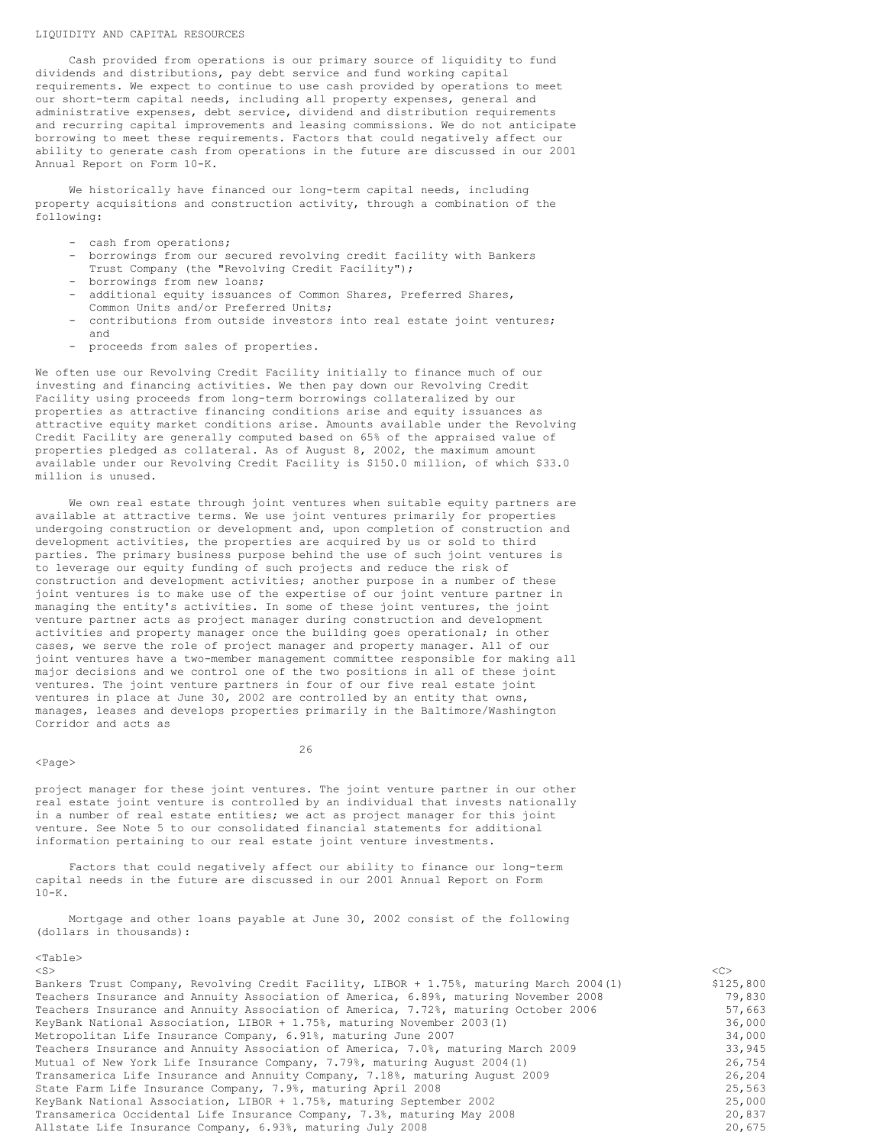#### LIQUIDITY AND CAPITAL RESOURCES

Cash provided from operations is our primary source of liquidity to fund dividends and distributions, pay debt service and fund working capital requirements. We expect to continue to use cash provided by operations to meet our short-term capital needs, including all property expenses, general and administrative expenses, debt service, dividend and distribution requirements and recurring capital improvements and leasing commissions. We do not anticipate borrowing to meet these requirements. Factors that could negatively affect our ability to generate cash from operations in the future are discussed in our 2001 Annual Report on Form 10-K.

We historically have financed our long-term capital needs, including property acquisitions and construction activity, through a combination of the following:

- cash from operations;
- borrowings from our secured revolving credit facility with Bankers Trust Company (the "Revolving Credit Facility");
- borrowings from new loans; - additional equity issuances of Common Shares, Preferred Shares,
- Common Units and/or Preferred Units;
- contributions from outside investors into real estate joint ventures; and
- proceeds from sales of properties.

We often use our Revolving Credit Facility initially to finance much of our investing and financing activities. We then pay down our Revolving Credit Facility using proceeds from long-term borrowings collateralized by our properties as attractive financing conditions arise and equity issuances as attractive equity market conditions arise. Amounts available under the Revolving Credit Facility are generally computed based on 65% of the appraised value of properties pledged as collateral. As of August 8, 2002, the maximum amount available under our Revolving Credit Facility is \$150.0 million, of which \$33.0 million is unused.

We own real estate through joint ventures when suitable equity partners are available at attractive terms. We use joint ventures primarily for properties undergoing construction or development and, upon completion of construction and development activities, the properties are acquired by us or sold to third parties. The primary business purpose behind the use of such joint ventures is to leverage our equity funding of such projects and reduce the risk of construction and development activities; another purpose in a number of these joint ventures is to make use of the expertise of our joint venture partner in managing the entity's activities. In some of these joint ventures, the joint venture partner acts as project manager during construction and development activities and property manager once the building goes operational; in other cases, we serve the role of project manager and property manager. All of our joint ventures have a two-member management committee responsible for making all major decisions and we control one of the two positions in all of these joint ventures. The joint venture partners in four of our five real estate joint ventures in place at June 30, 2002 are controlled by an entity that owns, manages, leases and develops properties primarily in the Baltimore/Washington Corridor and acts as

### <Page>

26

project manager for these joint ventures. The joint venture partner in our other real estate joint venture is controlled by an individual that invests nationally in a number of real estate entities; we act as project manager for this joint venture. See Note 5 to our consolidated financial statements for additional information pertaining to our real estate joint venture investments.

Factors that could negatively affect our ability to finance our long-term capital needs in the future are discussed in our 2001 Annual Report on Form  $10 - K$ .

Mortgage and other loans payable at June 30, 2002 consist of the following (dollars in thousands):

<Table>

| $<$ S $>$                                                                               | <<        |
|-----------------------------------------------------------------------------------------|-----------|
| Bankers Trust Company, Revolving Credit Facility, LIBOR + 1.75%, maturing March 2004(1) | \$125,800 |
| Teachers Insurance and Annuity Association of America, 6.89%, maturing November 2008    | 79,830    |
| Teachers Insurance and Annuity Association of America, 7.72%, maturing October 2006     | 57,663    |
| KeyBank National Association, LIBOR + 1.75%, maturing November 2003(1)                  | 36,000    |
| Metropolitan Life Insurance Company, 6.91%, maturing June 2007                          | 34,000    |
| Teachers Insurance and Annuity Association of America, 7.0%, maturing March 2009        | 33,945    |
| Mutual of New York Life Insurance Company, 7.79%, maturing August 2004(1)               | 26,754    |
| Transamerica Life Insurance and Annuity Company, 7.18%, maturing August 2009            | 26,204    |
| State Farm Life Insurance Company, 7.9%, maturing April 2008                            | 25,563    |
| KeyBank National Association, LIBOR + 1.75%, maturing September 2002                    | 25,000    |
| Transamerica Occidental Life Insurance Company, 7.3%, maturing May 2008                 | 20,837    |
| Allstate Life Insurance Company, 6.93%, maturing July 2008                              | 20,675    |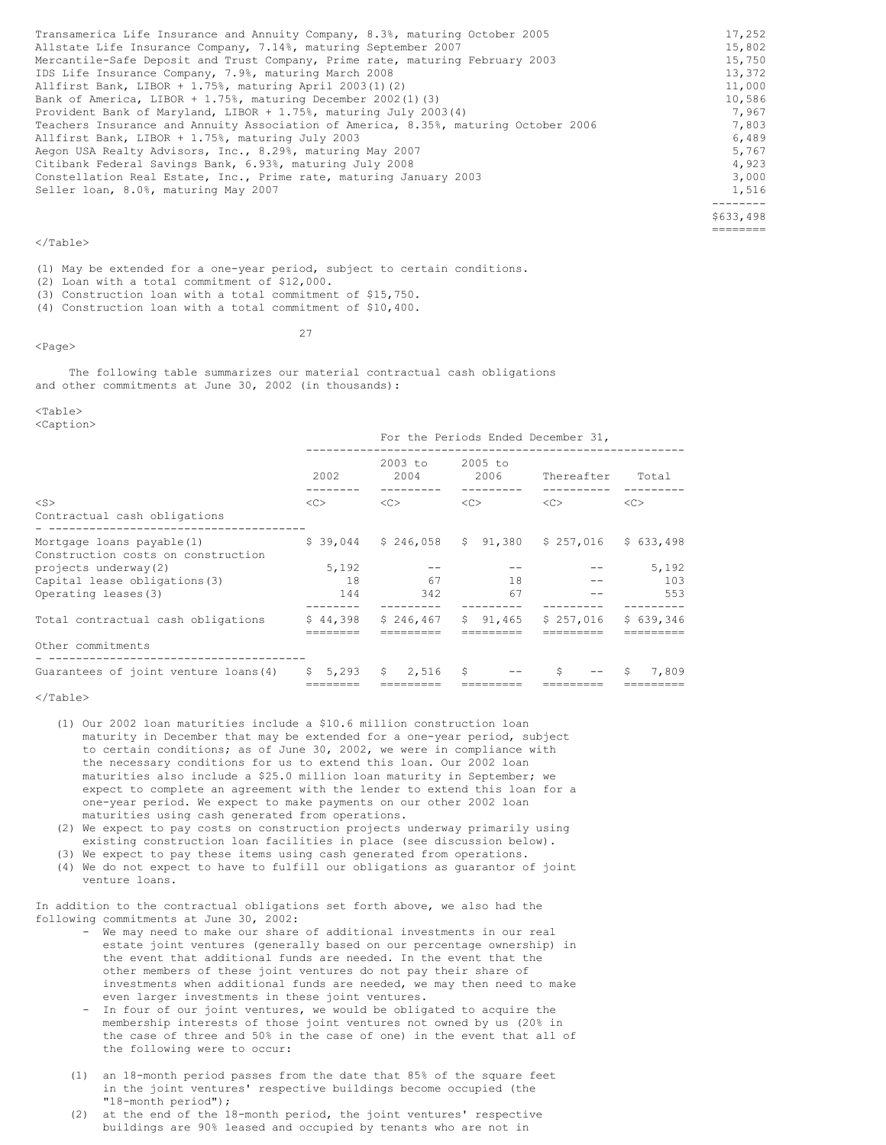| Transamerica Life Insurance and Annuity Company, 8.3%, maturing October 2005        | 17,252    |
|-------------------------------------------------------------------------------------|-----------|
| Allstate Life Insurance Company, 7.14%, maturing September 2007                     | 15,802    |
| Mercantile-Safe Deposit and Trust Company, Prime rate, maturing February 2003       | 15,750    |
| IDS Life Insurance Company, 7.9%, maturing March 2008                               | 13,372    |
| Allfirst Bank, LIBOR + $1.75$ %, maturing April 2003(1)(2)                          | 11,000    |
| Bank of America, LIBOR + $1.75$ %, maturing December 2002(1)(3)                     | 10,586    |
| Provident Bank of Maryland, LIBOR + 1.75%, maturing July 2003(4)                    | 7,967     |
| Teachers Insurance and Annuity Association of America, 8.35%, maturing October 2006 | 7,803     |
| Allfirst Bank, LIBOR + 1.75%, maturing July 2003                                    | 6,489     |
| Aegon USA Realty Advisors, Inc., 8.29%, maturing May 2007                           | 5,767     |
| Citibank Federal Savings Bank, 6.93%, maturing July 2008                            | 4,923     |
| Constellation Real Estate, Inc., Prime rate, maturing January 2003                  | 3,000     |
| Seller loan, 8.0%, maturing May 2007                                                | 1,516     |
|                                                                                     | -------   |
|                                                                                     | \$633,498 |
|                                                                                     | --------  |

(1) May be extended for a one-year period, subject to certain conditions. (2) Loan with a total commitment of \$12,000. (3) Construction loan with a total commitment of \$15,750.

(4) Construction loan with a total commitment of \$10,400.

### <Page>

27

The following table summarizes our material contractual cash obligations and other commitments at June 30, 2002 (in thousands):

### $<sub>Th</sub>$ </sub>

<Caption>

| 2002                                 | 2003 to<br>2004 | 2005 to<br>2006     | Thereafter            | Total                                                                |  |
|--------------------------------------|-----------------|---------------------|-----------------------|----------------------------------------------------------------------|--|
| <<                                   | <<              | <<                  | <<                    | <<                                                                   |  |
|                                      |                 |                     | $$257,016$ $$633,498$ |                                                                      |  |
| 5,192                                |                 |                     |                       | 5,192                                                                |  |
| 18                                   | 67              | 18                  |                       | 103                                                                  |  |
| 144                                  | 342             | 67                  |                       | 553                                                                  |  |
|                                      |                 | \$91.465            | \$257.016             | \$639.346                                                            |  |
|                                      |                 |                     |                       |                                                                      |  |
| Guarantees of joint venture loans(4) | $5 \quad 2.516$ | - \$                | Ŝ.                    | 7,809<br>S.                                                          |  |
|                                      |                 | \$44.398<br>\$5,293 | \$246.467             | For the Periods Ended December 31,<br>$$39,044$ $$246,058$ $$91,380$ |  |

### </Table>

- (1) Our 2002 loan maturities include a \$10.6 million construction loan maturity in December that may be extended for a one-year period, subject to certain conditions; as of June 30, 2002, we were in compliance with the necessary conditions for us to extend this loan. Our 2002 loan maturities also include a \$25.0 million loan maturity in September; we expect to complete an agreement with the lender to extend this loan for a one-year period. We expect to make payments on our other 2002 loan maturities using cash generated from operations.
- (2) We expect to pay costs on construction projects underway primarily using existing construction loan facilities in place (see discussion below).
- (3) We expect to pay these items using cash generated from operations. (4) We do not expect to have to fulfill our obligations as guarantor of joint
- venture loans.

In addition to the contractual obligations set forth above, we also had the following commitments at June 30, 2002:

- We may need to make our share of additional investments in our real estate joint ventures (generally based on our percentage ownership) in the event that additional funds are needed. In the event that the other members of these joint ventures do not pay their share of investments when additional funds are needed, we may then need to make even larger investments in these joint ventures.
- In four of our joint ventures, we would be obligated to acquire the membership interests of those joint ventures not owned by us (20% in the case of three and 50% in the case of one) in the event that all of the following were to occur:
- (1) an 18-month period passes from the date that 85% of the square feet in the joint ventures' respective buildings become occupied (the "18-month period");
- (2) at the end of the 18-month period, the joint ventures' respective buildings are 90% leased and occupied by tenants who are not in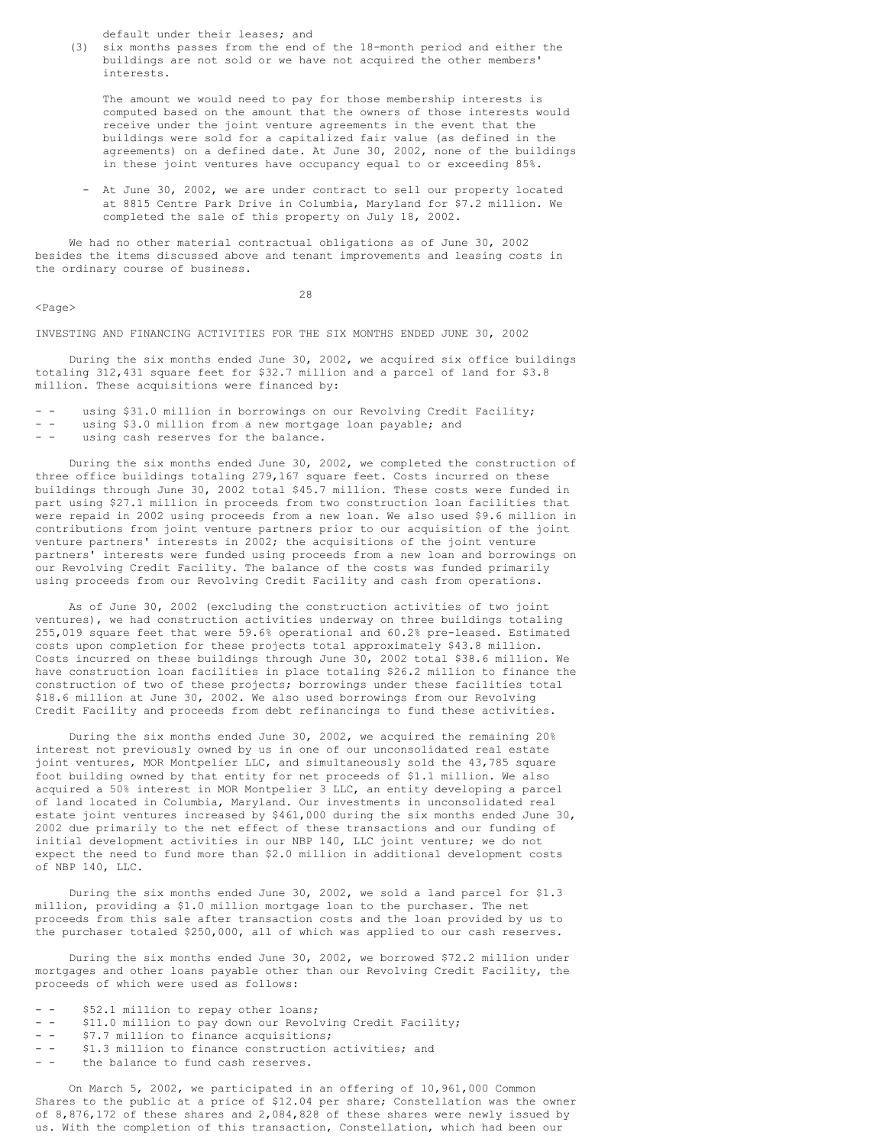default under their leases; and

(3) six months passes from the end of the 18-month period and either the buildings are not sold or we have not acquired the other members' interests.

The amount we would need to pay for those membership interests is computed based on the amount that the owners of those interests would receive under the joint venture agreements in the event that the buildings were sold for a capitalized fair value (as defined in the agreements) on a defined date. At June 30, 2002, none of the buildings in these joint ventures have occupancy equal to or exceeding 85%.

- At June 30, 2002, we are under contract to sell our property located at 8815 Centre Park Drive in Columbia, Maryland for \$7.2 million. We completed the sale of this property on July 18, 2002.

We had no other material contractual obligations as of June 30, 2002 besides the items discussed above and tenant improvements and leasing costs in the ordinary course of business.

 $<$ Page $>$ 

28

INVESTING AND FINANCING ACTIVITIES FOR THE SIX MONTHS ENDED JUNE 30, 2002

During the six months ended June 30, 2002, we acquired six office buildings totaling 312,431 square feet for \$32.7 million and a parcel of land for \$3.8 million. These acquisitions were financed by:

- using \$31.0 million in borrowings on our Revolving Credit Facility;
- - using \$3.0 million from a new mortgage loan payable; and
- - using cash reserves for the balance.

During the six months ended June 30, 2002, we completed the construction of three office buildings totaling 279,167 square feet. Costs incurred on these buildings through June 30, 2002 total \$45.7 million. These costs were funded in part using \$27.1 million in proceeds from two construction loan facilities that were repaid in 2002 using proceeds from a new loan. We also used \$9.6 million in contributions from joint venture partners prior to our acquisition of the joint venture partners' interests in 2002; the acquisitions of the joint venture partners' interests were funded using proceeds from a new loan and borrowings on our Revolving Credit Facility. The balance of the costs was funded primarily using proceeds from our Revolving Credit Facility and cash from operations.

As of June 30, 2002 (excluding the construction activities of two joint ventures), we had construction activities underway on three buildings totaling 255,019 square feet that were 59.6% operational and 60.2% pre-leased. Estimated costs upon completion for these projects total approximately \$43.8 million. Costs incurred on these buildings through June 30, 2002 total \$38.6 million. We have construction loan facilities in place totaling \$26.2 million to finance the construction of two of these projects; borrowings under these facilities total \$18.6 million at June 30, 2002. We also used borrowings from our Revolving Credit Facility and proceeds from debt refinancings to fund these activities.

During the six months ended June 30, 2002, we acquired the remaining 20% interest not previously owned by us in one of our unconsolidated real estate joint ventures, MOR Montpelier LLC, and simultaneously sold the 43,785 square foot building owned by that entity for net proceeds of \$1.1 million. We also acquired a 50% interest in MOR Montpelier 3 LLC, an entity developing a parcel of land located in Columbia, Maryland. Our investments in unconsolidated real estate joint ventures increased by \$461,000 during the six months ended June 30, 2002 due primarily to the net effect of these transactions and our funding of initial development activities in our NBP 140, LLC joint venture; we do not expect the need to fund more than \$2.0 million in additional development costs of NBP 140, LLC.

During the six months ended June 30, 2002, we sold a land parcel for \$1.3 million, providing a \$1.0 million mortgage loan to the purchaser. The net proceeds from this sale after transaction costs and the loan provided by us to the purchaser totaled \$250,000, all of which was applied to our cash reserves.

During the six months ended June 30, 2002, we borrowed \$72.2 million under mortgages and other loans payable other than our Revolving Credit Facility, the proceeds of which were used as follows:

- - \$52.1 million to repay other loans;
- - \$11.0 million to pay down our Revolving Credit Facility;<br>- \$7.7 million to finance acquisitions;
- \$7.7 million to finance acquisitions;
- - \$1.3 million to finance construction activities; and
- the balance to fund cash reserves.

On March 5, 2002, we participated in an offering of 10,961,000 Common Shares to the public at a price of \$12.04 per share; Constellation was the owner of 8,876,172 of these shares and 2,084,828 of these shares were newly issued by us. With the completion of this transaction, Constellation, which had been our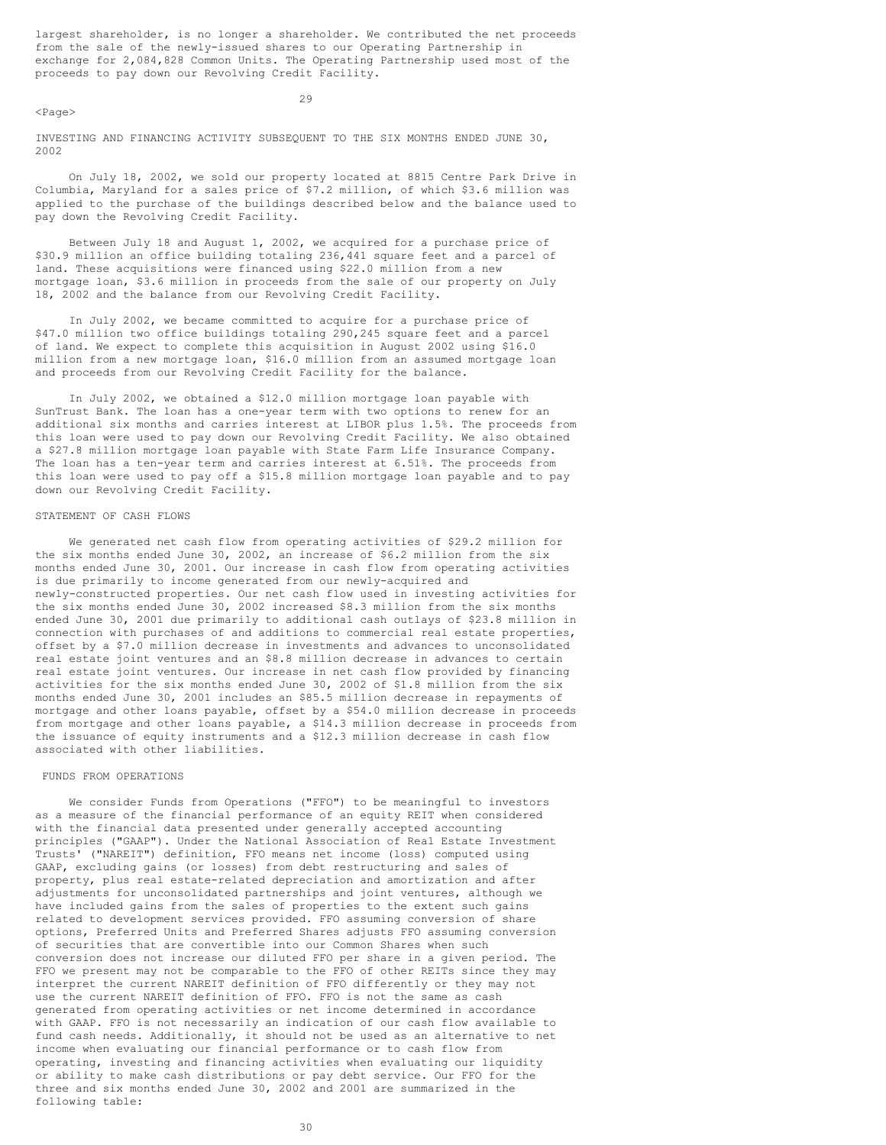largest shareholder, is no longer a shareholder. We contributed the net proceeds from the sale of the newly-issued shares to our Operating Partnership in exchange for 2,084,828 Common Units. The Operating Partnership used most of the proceeds to pay down our Revolving Credit Facility.

 $<$ Page $>$ 

29

INVESTING AND FINANCING ACTIVITY SUBSEQUENT TO THE SIX MONTHS ENDED JUNE 30, 2002

On July 18, 2002, we sold our property located at 8815 Centre Park Drive in Columbia, Maryland for a sales price of \$7.2 million, of which \$3.6 million was applied to the purchase of the buildings described below and the balance used to pay down the Revolving Credit Facility.

Between July 18 and August 1, 2002, we acquired for a purchase price of \$30.9 million an office building totaling 236,441 square feet and a parcel of land. These acquisitions were financed using \$22.0 million from a new mortgage loan, \$3.6 million in proceeds from the sale of our property on July 18, 2002 and the balance from our Revolving Credit Facility.

In July 2002, we became committed to acquire for a purchase price of \$47.0 million two office buildings totaling 290,245 square feet and a parcel of land. We expect to complete this acquisition in August 2002 using \$16.0 million from a new mortgage loan, \$16.0 million from an assumed mortgage loan and proceeds from our Revolving Credit Facility for the balance.

In July 2002, we obtained a \$12.0 million mortgage loan payable with SunTrust Bank. The loan has a one-year term with two options to renew for an additional six months and carries interest at LIBOR plus 1.5%. The proceeds from this loan were used to pay down our Revolving Credit Facility. We also obtained a \$27.8 million mortgage loan payable with State Farm Life Insurance Company. The loan has a ten-year term and carries interest at 6.51%. The proceeds from this loan were used to pay off a \$15.8 million mortgage loan payable and to pay down our Revolving Credit Facility.

### STATEMENT OF CASH FLOWS

We generated net cash flow from operating activities of \$29.2 million for the six months ended June 30, 2002, an increase of \$6.2 million from the six months ended June 30, 2001. Our increase in cash flow from operating activities is due primarily to income generated from our newly-acquired and newly-constructed properties. Our net cash flow used in investing activities for the six months ended June 30, 2002 increased \$8.3 million from the six months ended June 30, 2001 due primarily to additional cash outlays of \$23.8 million in connection with purchases of and additions to commercial real estate properties, offset by a \$7.0 million decrease in investments and advances to unconsolidated real estate joint ventures and an \$8.8 million decrease in advances to certain real estate joint ventures. Our increase in net cash flow provided by financing activities for the six months ended June 30, 2002 of \$1.8 million from the six months ended June 30, 2001 includes an \$85.5 million decrease in repayments of mortgage and other loans payable, offset by a \$54.0 million decrease in proceeds from mortgage and other loans payable, a \$14.3 million decrease in proceeds from the issuance of equity instruments and a \$12.3 million decrease in cash flow associated with other liabilities.

### FUNDS FROM OPERATIONS

We consider Funds from Operations ("FFO") to be meaningful to investors as a measure of the financial performance of an equity REIT when considered with the financial data presented under generally accepted accounting principles ("GAAP"). Under the National Association of Real Estate Investment Trusts' ("NAREIT") definition, FFO means net income (loss) computed using GAAP, excluding gains (or losses) from debt restructuring and sales of property, plus real estate-related depreciation and amortization and after adjustments for unconsolidated partnerships and joint ventures, although we have included gains from the sales of properties to the extent such gains related to development services provided. FFO assuming conversion of share options, Preferred Units and Preferred Shares adjusts FFO assuming conversion of securities that are convertible into our Common Shares when such conversion does not increase our diluted FFO per share in a given period. The FFO we present may not be comparable to the FFO of other REITs since they may interpret the current NAREIT definition of FFO differently or they may not use the current NAREIT definition of FFO. FFO is not the same as cash generated from operating activities or net income determined in accordance with GAAP. FFO is not necessarily an indication of our cash flow available to fund cash needs. Additionally, it should not be used as an alternative to net income when evaluating our financial performance or to cash flow from operating, investing and financing activities when evaluating our liquidity or ability to make cash distributions or pay debt service. Our FFO for the three and six months ended June 30, 2002 and 2001 are summarized in the following table: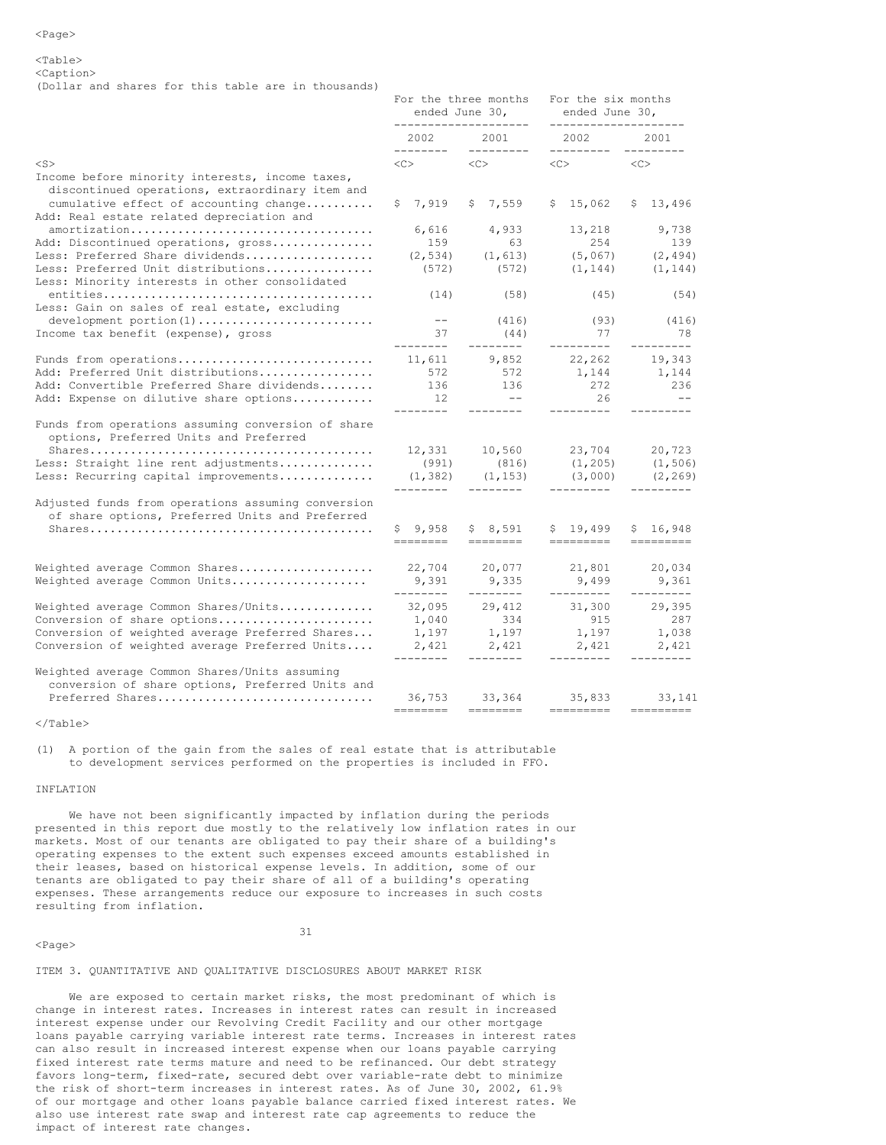<Caption>

(Dollar and shares for this table are in thousands)

|                                                                                                                                              |                                                                                                                                                                                                                                                                                                                                                                                                                                                                                                                               | For the three months<br>ended June 30,                                                                                                                                                                                                                                                                                                                                                                                                                                                                                                                                        | For the six months<br>ended June 30,<br>-------------------- |                          |
|----------------------------------------------------------------------------------------------------------------------------------------------|-------------------------------------------------------------------------------------------------------------------------------------------------------------------------------------------------------------------------------------------------------------------------------------------------------------------------------------------------------------------------------------------------------------------------------------------------------------------------------------------------------------------------------|-------------------------------------------------------------------------------------------------------------------------------------------------------------------------------------------------------------------------------------------------------------------------------------------------------------------------------------------------------------------------------------------------------------------------------------------------------------------------------------------------------------------------------------------------------------------------------|--------------------------------------------------------------|--------------------------|
|                                                                                                                                              | --------------------<br>2002 2001<br>----------                                                                                                                                                                                                                                                                                                                                                                                                                                                                               |                                                                                                                                                                                                                                                                                                                                                                                                                                                                                                                                                                               | 2002 00                                                      | 2001                     |
| $<$ S $>$                                                                                                                                    |                                                                                                                                                                                                                                                                                                                                                                                                                                                                                                                               | $\langle C \rangle$ $\langle C \rangle$                                                                                                                                                                                                                                                                                                                                                                                                                                                                                                                                       | $\langle C \rangle$ $\langle C \rangle$                      |                          |
| Income before minority interests, income taxes,<br>discontinued operations, extraordinary item and<br>cumulative effect of accounting change | \$7,919                                                                                                                                                                                                                                                                                                                                                                                                                                                                                                                       | \$7,559                                                                                                                                                                                                                                                                                                                                                                                                                                                                                                                                                                       | \$15,062                                                     | \$13,496                 |
| Add: Real estate related depreciation and                                                                                                    |                                                                                                                                                                                                                                                                                                                                                                                                                                                                                                                               |                                                                                                                                                                                                                                                                                                                                                                                                                                                                                                                                                                               |                                                              |                          |
| amortization                                                                                                                                 | 6,616                                                                                                                                                                                                                                                                                                                                                                                                                                                                                                                         | 4,933                                                                                                                                                                                                                                                                                                                                                                                                                                                                                                                                                                         | 13,218                                                       | 9,738                    |
| Add: Discontinued operations, gross                                                                                                          | 159                                                                                                                                                                                                                                                                                                                                                                                                                                                                                                                           | 63                                                                                                                                                                                                                                                                                                                                                                                                                                                                                                                                                                            | 254                                                          | 139                      |
| Less: Preferred Share dividends                                                                                                              |                                                                                                                                                                                                                                                                                                                                                                                                                                                                                                                               | $(2, 534)$ $(1, 613)$                                                                                                                                                                                                                                                                                                                                                                                                                                                                                                                                                         |                                                              | $(5, 067)$ $(2, 494)$    |
| Less: Preferred Unit distributions<br>Less: Minority interests in other consolidated                                                         | (572)                                                                                                                                                                                                                                                                                                                                                                                                                                                                                                                         | (572)                                                                                                                                                                                                                                                                                                                                                                                                                                                                                                                                                                         | (1, 144)                                                     | (1, 144)                 |
| Less: Gain on sales of real estate, excluding                                                                                                | (14)                                                                                                                                                                                                                                                                                                                                                                                                                                                                                                                          | (58)                                                                                                                                                                                                                                                                                                                                                                                                                                                                                                                                                                          | (45)                                                         | (54)                     |
| development portion(1)                                                                                                                       | $\sim$ $ -$                                                                                                                                                                                                                                                                                                                                                                                                                                                                                                                   | (416)                                                                                                                                                                                                                                                                                                                                                                                                                                                                                                                                                                         | $(93)$<br>77                                                 | (416)                    |
| Income tax benefit (expense), gross                                                                                                          | 37<br>---------                                                                                                                                                                                                                                                                                                                                                                                                                                                                                                               | (44)<br>---------                                                                                                                                                                                                                                                                                                                                                                                                                                                                                                                                                             | ---------                                                    | 78<br>---------          |
| Funds from operations                                                                                                                        | 11,611                                                                                                                                                                                                                                                                                                                                                                                                                                                                                                                        | 9,852                                                                                                                                                                                                                                                                                                                                                                                                                                                                                                                                                                         | 22,262                                                       | 19,343                   |
| Add: Preferred Unit distributions                                                                                                            | 572                                                                                                                                                                                                                                                                                                                                                                                                                                                                                                                           | 572                                                                                                                                                                                                                                                                                                                                                                                                                                                                                                                                                                           | 1, 144                                                       | 1,144                    |
| Add: Convertible Preferred Share dividends                                                                                                   | 136                                                                                                                                                                                                                                                                                                                                                                                                                                                                                                                           | 136                                                                                                                                                                                                                                                                                                                                                                                                                                                                                                                                                                           | 272                                                          | 236                      |
| Add: Expense on dilutive share options                                                                                                       | 12                                                                                                                                                                                                                                                                                                                                                                                                                                                                                                                            | $\sim$ $ -$                                                                                                                                                                                                                                                                                                                                                                                                                                                                                                                                                                   | 26                                                           | $- -$                    |
| Funds from operations assuming conversion of share<br>options, Preferred Units and Preferred                                                 | ---------                                                                                                                                                                                                                                                                                                                                                                                                                                                                                                                     |                                                                                                                                                                                                                                                                                                                                                                                                                                                                                                                                                                               | ----------<br>12,331 10,560 23,704 20,723                    |                          |
| Less: Straight line rent adjustments                                                                                                         |                                                                                                                                                                                                                                                                                                                                                                                                                                                                                                                               | $(991)$ $(816)$                                                                                                                                                                                                                                                                                                                                                                                                                                                                                                                                                               | $(1, 205)$ $(1, 506)$                                        |                          |
| Less: Recurring capital improvements                                                                                                         | ---------                                                                                                                                                                                                                                                                                                                                                                                                                                                                                                                     | $(1, 382)$ $(1, 153)$<br>________                                                                                                                                                                                                                                                                                                                                                                                                                                                                                                                                             | ----------                                                   | $(3,000)$ $(2,269)$      |
| Adjusted funds from operations assuming conversion<br>of share options, Preferred Units and Preferred                                        |                                                                                                                                                                                                                                                                                                                                                                                                                                                                                                                               |                                                                                                                                                                                                                                                                                                                                                                                                                                                                                                                                                                               |                                                              |                          |
|                                                                                                                                              | \$9,958                                                                                                                                                                                                                                                                                                                                                                                                                                                                                                                       | \$8,591                                                                                                                                                                                                                                                                                                                                                                                                                                                                                                                                                                       | \$19,499<br>=========                                        | \$16,948                 |
| Weighted average Common Shares                                                                                                               | 22,704                                                                                                                                                                                                                                                                                                                                                                                                                                                                                                                        | 20,077                                                                                                                                                                                                                                                                                                                                                                                                                                                                                                                                                                        | 21,801                                                       | 20,034                   |
| Weighted average Common Units                                                                                                                | 9,391<br>---------                                                                                                                                                                                                                                                                                                                                                                                                                                                                                                            | 9,335<br>---------                                                                                                                                                                                                                                                                                                                                                                                                                                                                                                                                                            | 9,499<br>----------                                          | 9,361<br>---------       |
| Weighted average Common Shares/Units                                                                                                         | 32,095                                                                                                                                                                                                                                                                                                                                                                                                                                                                                                                        | 29,412                                                                                                                                                                                                                                                                                                                                                                                                                                                                                                                                                                        | 31,300                                                       | 29,395                   |
| Conversion of share options                                                                                                                  | $1,040$                                                                                                                                                                                                                                                                                                                                                                                                                                                                                                                       | $334$<br>1,197                                                                                                                                                                                                                                                                                                                                                                                                                                                                                                                                                                | $915$<br>1,197                                               | 287                      |
| Conversion of weighted average Preferred Shares                                                                                              | 1,197                                                                                                                                                                                                                                                                                                                                                                                                                                                                                                                         |                                                                                                                                                                                                                                                                                                                                                                                                                                                                                                                                                                               |                                                              | 1,038                    |
| Conversion of weighted average Preferred Units                                                                                               | 2,421<br>---------                                                                                                                                                                                                                                                                                                                                                                                                                                                                                                            | 2,421<br>--------                                                                                                                                                                                                                                                                                                                                                                                                                                                                                                                                                             | 2,421                                                        | 2,421                    |
| Weighted average Common Shares/Units assuming<br>conversion of share options, Preferred Units and                                            |                                                                                                                                                                                                                                                                                                                                                                                                                                                                                                                               |                                                                                                                                                                                                                                                                                                                                                                                                                                                                                                                                                                               |                                                              |                          |
| Preferred Shares                                                                                                                             | 36,753<br>$\begin{tabular}{ll} \multicolumn{3}{l}{{\color{blue}\textbf{1}}}\\ \multicolumn{3}{l}{\color{blue}\textbf{2}}\\ \multicolumn{3}{l}{\color{blue}\textbf{2}}\\ \multicolumn{3}{l}{\color{blue}\textbf{3}}\\ \multicolumn{3}{l}{\color{blue}\textbf{4}}\\ \multicolumn{3}{l}{\color{blue}\textbf{4}}\\ \multicolumn{3}{l}{\color{blue}\textbf{5}}\\ \multicolumn{3}{l}{\color{blue}\textbf{5}}\\ \multicolumn{3}{l}{\color{blue}\textbf{5}}\\ \multicolumn{3}{l}{\color{blue}\textbf{6}}\\ \multicolumn{3}{l}{\color$ | 33, 364 35, 833<br>$\begin{tabular}{ll} \multicolumn{2}{l}{{\color{red}\boldsymbol{=}}} & \multicolumn{2}{l}{\color{blue}\boldsymbol{=}} & \multicolumn{2}{l}{\color{blue}\boldsymbol{=}} & \multicolumn{2}{l}{\color{blue}\boldsymbol{=}} & \multicolumn{2}{l}{\color{blue}\boldsymbol{=}} & \multicolumn{2}{l}{\color{blue}\boldsymbol{=}} & \multicolumn{2}{l}{\color{blue}\boldsymbol{=}} & \multicolumn{2}{l}{\color{blue}\boldsymbol{=}} & \multicolumn{2}{l}{\color{blue}\boldsymbol{=}} & \multicolumn{2}{l}{\color{blue}\boldsymbol{=}} & \multicolumn{2}{l}{\color$ | =========                                                    | 33, 141<br>$=$ ========= |
|                                                                                                                                              |                                                                                                                                                                                                                                                                                                                                                                                                                                                                                                                               |                                                                                                                                                                                                                                                                                                                                                                                                                                                                                                                                                                               |                                                              |                          |

</Table>

(1) A portion of the gain from the sales of real estate that is attributable to development services performed on the properties is included in FFO.

### INFLATION

We have not been significantly impacted by inflation during the periods presented in this report due mostly to the relatively low inflation rates in our markets. Most of our tenants are obligated to pay their share of a building's operating expenses to the extent such expenses exceed amounts established in their leases, based on historical expense levels. In addition, some of our tenants are obligated to pay their share of all of a building's operating expenses. These arrangements reduce our exposure to increases in such costs resulting from inflation.

### <Page>

31

### ITEM 3. QUANTITATIVE AND QUALITATIVE DISCLOSURES ABOUT MARKET RISK

We are exposed to certain market risks, the most predominant of which is change in interest rates. Increases in interest rates can result in increased interest expense under our Revolving Credit Facility and our other mortgage loans payable carrying variable interest rate terms. Increases in interest rates can also result in increased interest expense when our loans payable carrying fixed interest rate terms mature and need to be refinanced. Our debt strategy favors long-term, fixed-rate, secured debt over variable-rate debt to minimize the risk of short-term increases in interest rates. As of June 30, 2002, 61.9% of our mortgage and other loans payable balance carried fixed interest rates. We also use interest rate swap and interest rate cap agreements to reduce the impact of interest rate changes.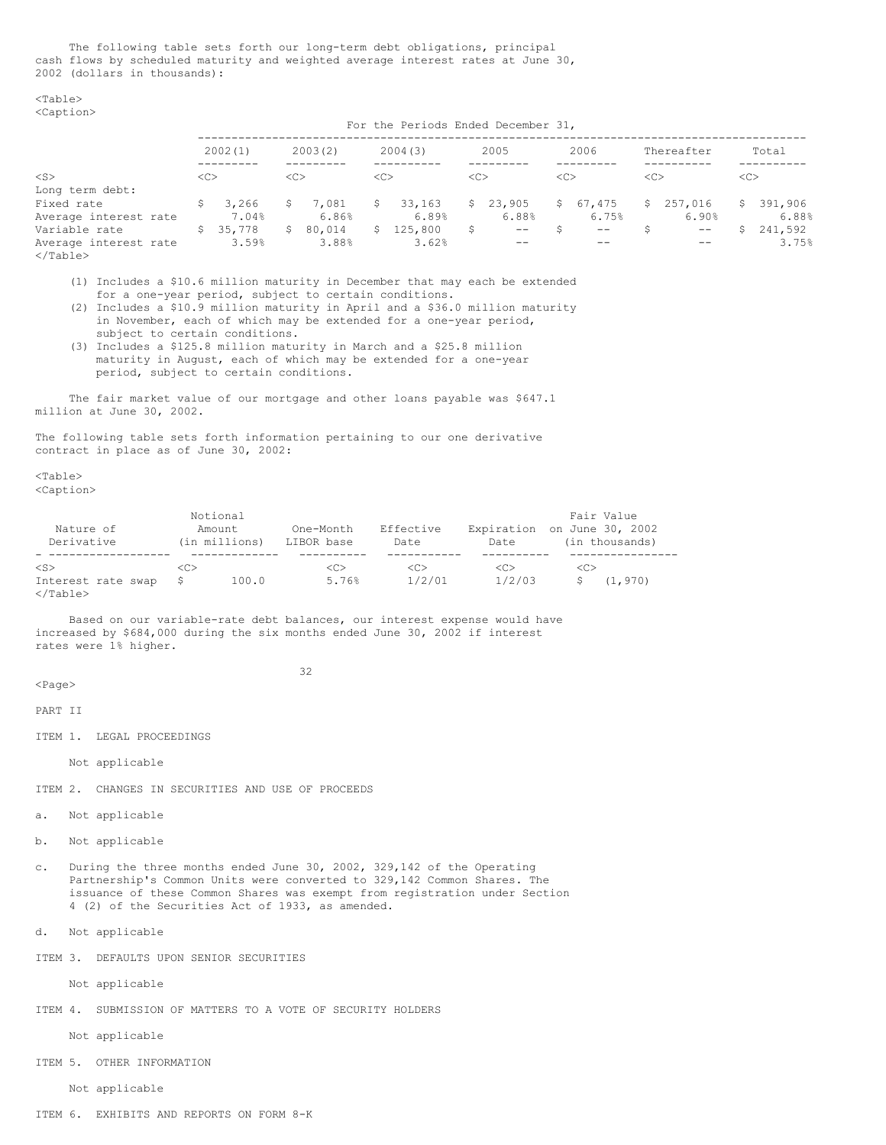The following table sets forth our long-term debt obligations, principal cash flows by scheduled maturity and weighted average interest rates at June 30, 2002 (dollars in thousands):

<Table> <Caption>

For the Periods Ended December 31,

|                       |               | 2002(1)  |               | 2003(2) |               | 2004(3)   |               | 2005     |               | 2006     |         | Thereafter        |               | Total   |
|-----------------------|---------------|----------|---------------|---------|---------------|-----------|---------------|----------|---------------|----------|---------|-------------------|---------------|---------|
| $<$ S $>$             | < <sub></sub> |          | < <sub></sub> |         | < <sub></sub> |           | < <sub></sub> |          | < <sub></sub> |          | <c></c> |                   | < <sub></sub> |         |
| Long term debt:       |               |          |               |         |               |           |               |          |               |          |         |                   |               |         |
| Fixed rate            | S             | 3,266    | S.            | 7,081   | S.            | 33,163    |               | \$23,905 |               | \$67,475 |         | \$257,016         | S.            | 391,906 |
| Average interest rate |               | 7.04%    |               | 6.86%   |               | 6.89%     |               | 6.88%    |               | 6.75%    |         | 6.90%             |               | 6.88%   |
| Variable rate         |               | \$35,778 | S.            | 80,014  |               | \$125,800 | S.            | $ -$     |               | $- -$    |         | $\qquad \qquad -$ |               | 241,592 |
| Average interest rate |               | 3.59%    |               | 3.88%   |               | 3.62%     |               | --       |               | --       |         | $- -$             |               | 3.75%   |

</Table>

- (1) Includes a \$10.6 million maturity in December that may each be extended for a one-year period, subject to certain conditions.
- (2) Includes a \$10.9 million maturity in April and a \$36.0 million maturity in November, each of which may be extended for a one-year period, subject to certain conditions.
- (3) Includes a \$125.8 million maturity in March and a \$25.8 million maturity in August, each of which may be extended for a one-year period, subject to certain conditions.

The fair market value of our mortgage and other loans payable was \$647.1 million at June 30, 2002.

The following table sets forth information pertaining to our one derivative contract in place as of June 30, 2002:

<Table>

<Caption>

| Nature of<br>Derivative                              | Notional<br>Amount | (in millions) | One-Month<br>LIBOR base | Effective<br>Date  | Expiration on June 30, 2002<br>Date |     | Fair Value<br>(in thousands) |
|------------------------------------------------------|--------------------|---------------|-------------------------|--------------------|-------------------------------------|-----|------------------------------|
| $<$ S $>$<br>Interest rate swap<br>$\langle$ /Table> | <c></c>            | 100.0         | < <sub><br/>5.76%</sub> | <c><br/>1/2/01</c> | < <sub><br/>1/2/03</sub>            | <<> | (1, 970)                     |

Based on our variable-rate debt balances, our interest expense would have increased by \$684,000 during the six months ended June 30, 2002 if interest rates were 1% higher.

32

<Page>

PART II

ITEM 1. LEGAL PROCEEDINGS

Not applicable

ITEM 2. CHANGES IN SECURITIES AND USE OF PROCEEDS

a. Not applicable

- b. Not applicable
- c. During the three months ended June 30, 2002, 329,142 of the Operating Partnership's Common Units were converted to 329,142 Common Shares. The issuance of these Common Shares was exempt from registration under Section 4 (2) of the Securities Act of 1933, as amended.

d. Not applicable

ITEM 3. DEFAULTS UPON SENIOR SECURITIES

Not applicable

ITEM 4. SUBMISSION OF MATTERS TO A VOTE OF SECURITY HOLDERS

Not applicable

ITEM 5. OTHER INFORMATION

Not applicable

ITEM 6. EXHIBITS AND REPORTS ON FORM 8-K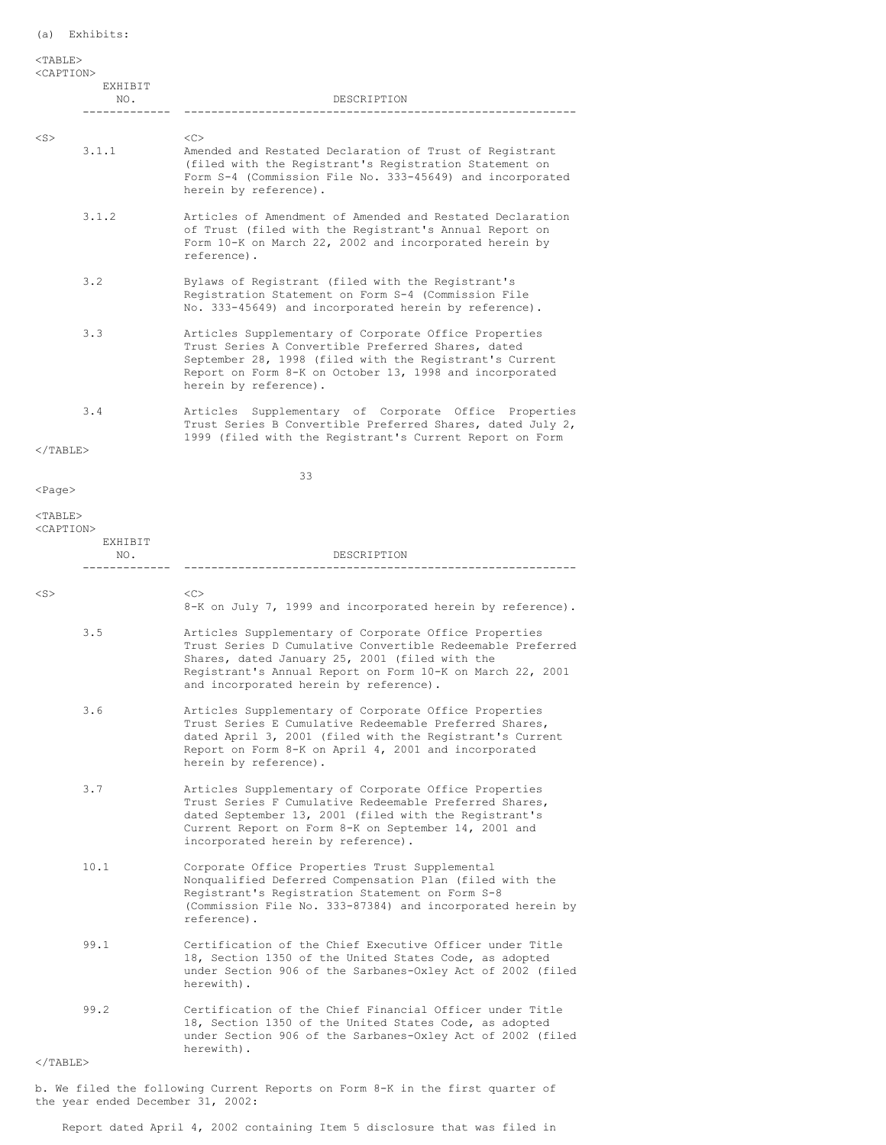| $TABLE$<br><caption></caption> | EXHIBIT<br>NO.<br>------        | DESCRIPTION                                                                                                                                                                                                                                                                  |
|--------------------------------|---------------------------------|------------------------------------------------------------------------------------------------------------------------------------------------------------------------------------------------------------------------------------------------------------------------------|
| $<$ S $>$                      | 3.1.1                           | < <sub><br/>Amended and Restated Declaration of Trust of Registrant<br/>(filed with the Registrant's Registration Statement on<br/>Form S-4 (Commission File No. 333-45649) and incorporated<br/>herein by reference).</sub>                                                 |
|                                | 3.1.2                           | Articles of Amendment of Amended and Restated Declaration<br>of Trust (filed with the Registrant's Annual Report on<br>Form 10-K on March 22, 2002 and incorporated herein by<br>reference).                                                                                 |
|                                | 3.2                             | Bylaws of Registrant (filed with the Registrant's<br>Registration Statement on Form S-4 (Commission File<br>No. 333-45649) and incorporated herein by reference).                                                                                                            |
|                                | 3.3                             | Articles Supplementary of Corporate Office Properties<br>Trust Series A Convertible Preferred Shares, dated<br>September 28, 1998 (filed with the Registrant's Current<br>Report on Form 8-K on October 13, 1998 and incorporated<br>herein by reference).                   |
|                                | 3.4                             | Articles Supplementary of Corporate Office Properties<br>Trust Series B Convertible Preferred Shares, dated July 2,<br>1999 (filed with the Registrant's Current Report on Form                                                                                              |
| $<$ /TABLE>                    |                                 |                                                                                                                                                                                                                                                                              |
| $<$ Page $>$                   |                                 | 33                                                                                                                                                                                                                                                                           |
| $<$ TABLE $>$                  |                                 |                                                                                                                                                                                                                                                                              |
|                                | <caption><br/>EXHIBIT</caption> |                                                                                                                                                                                                                                                                              |
|                                | NO.                             | DESCRIPTION                                                                                                                                                                                                                                                                  |
|                                |                                 |                                                                                                                                                                                                                                                                              |
| $<$ S $>$                      |                                 | <<><br>8-K on July 7, 1999 and incorporated herein by reference).                                                                                                                                                                                                            |
|                                | 3.5                             | Articles Supplementary of Corporate Office Properties<br>Trust Series D Cumulative Convertible Redeemable Preferred<br>Shares, dated January 25, 2001 (filed with the<br>Registrant's Annual Report on Form 10-K on March 22, 2001<br>and incorporated herein by reference). |
|                                | 3.6                             | Articles Supplementary of Corporate Office Properties<br>Trust Series E Cumulative Redeemable Preferred Shares,<br>dated April 3, 2001 (filed with the Registrant's Current<br>Report on Form 8-K on April 4, 2001 and incorporated<br>herein by reference).                 |
|                                | 3.7                             | Articles Supplementary of Corporate Office Properties<br>Trust Series F Cumulative Redeemable Preferred Shares,<br>dated September 13, 2001 (filed with the Registrant's<br>Current Report on Form 8-K on September 14, 2001 and<br>incorporated herein by reference).       |
|                                | 10.1                            | Corporate Office Properties Trust Supplemental<br>Nonqualified Deferred Compensation Plan (filed with the<br>Registrant's Registration Statement on Form S-8<br>(Commission File No. 333-87384) and incorporated herein by<br>reference).                                    |
|                                | 99.1                            | Certification of the Chief Executive Officer under Title<br>18, Section 1350 of the United States Code, as adopted<br>under Section 906 of the Sarbanes-Oxley Act of 2002 (filed<br>herewith).                                                                               |
|                                | 99.2                            | Certification of the Chief Financial Officer under Title<br>18, Section 1350 of the United States Code, as adopted<br>under Section 906 of the Sarbanes-Oxley Act of 2002 (filed<br>herewith).                                                                               |

# </TABLE>

b. We filed the following Current Reports on Form 8-K in the first quarter of the year ended December 31, 2002:

Report dated April 4, 2002 containing Item 5 disclosure that was filed in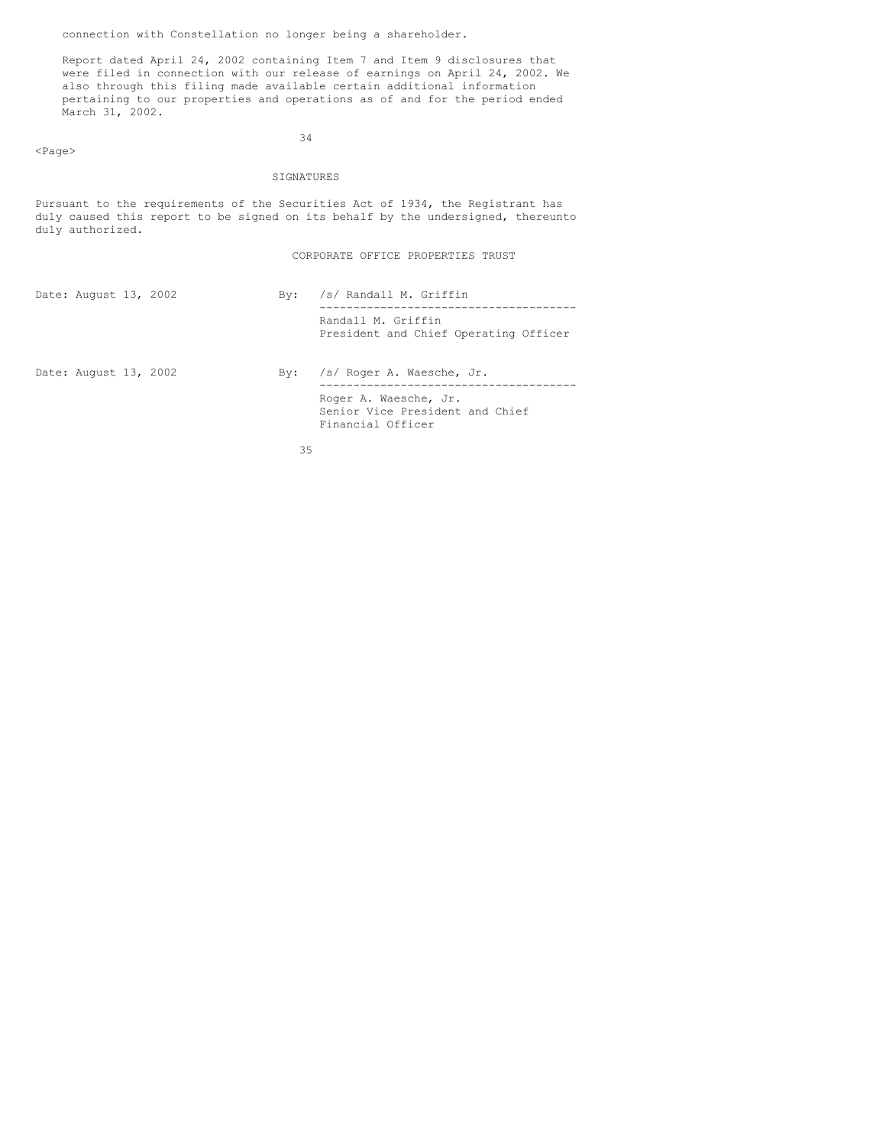connection with Constellation no longer being a shareholder.

<Page>

Report dated April 24, 2002 containing Item 7 and Item 9 disclosures that were filed in connection with our release of earnings on April 24, 2002. We also through this filing made available certain additional information pertaining to our properties and operations as of and for the period ended March 31, 2002.

34

### SIGNATURES

Pursuant to the requirements of the Securities Act of 1934, the Registrant has duly caused this report to be signed on its behalf by the undersigned, thereunto duly authorized.

CORPORATE OFFICE PROPERTIES TRUST

Financial Officer

| Date: August 13, 2002 |  | Bv: | /s/ Randall M. Griffin                                      |
|-----------------------|--|-----|-------------------------------------------------------------|
|                       |  |     | Randall M. Griffin<br>President and Chief Operating Officer |
| Date: August 13, 2002 |  |     | By: /s/ Roger A. Waesche, Jr.                               |
|                       |  |     | Roger A. Waesche, Jr.<br>Senior Vice President and Chief    |

35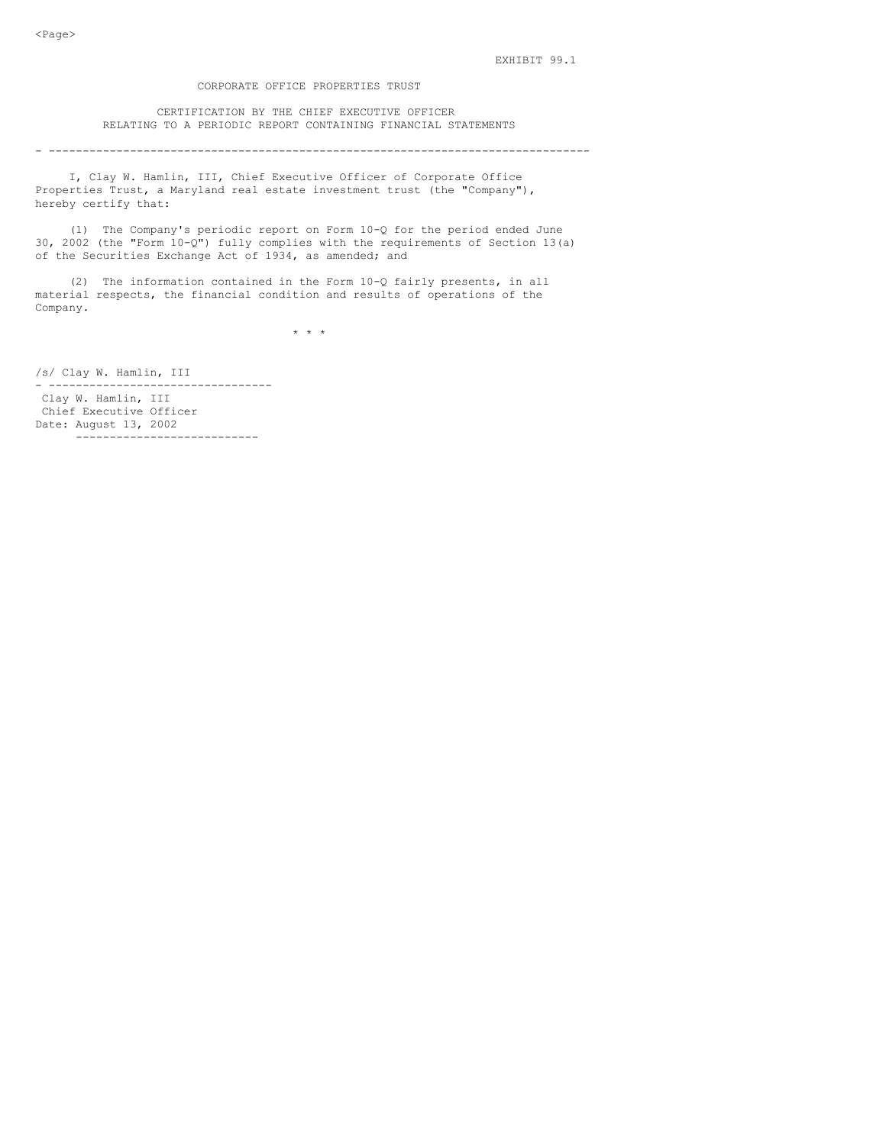### CORPORATE OFFICE PROPERTIES TRUST

CERTIFICATION BY THE CHIEF EXECUTIVE OFFICER RELATING TO A PERIODIC REPORT CONTAINING FINANCIAL STATEMENTS

#### - --------------------------------------------------------------------------------

I, Clay W. Hamlin, III, Chief Executive Officer of Corporate Office Properties Trust, a Maryland real estate investment trust (the "Company"), hereby certify that:

(1) The Company's periodic report on Form 10-Q for the period ended June 30, 2002 (the "Form 10-Q") fully complies with the requirements of Section 13(a) of the Securities Exchange Act of 1934, as amended; and

(2) The information contained in the Form 10-Q fairly presents, in all material respects, the financial condition and results of operations of the Company.

 $\star$   $\star$   $\star$ 

/s/ Clay W. Hamlin, III

- --------------------------------- Clay W. Hamlin, III Chief Executive Officer Date: August 13, 2002 ---------------------------